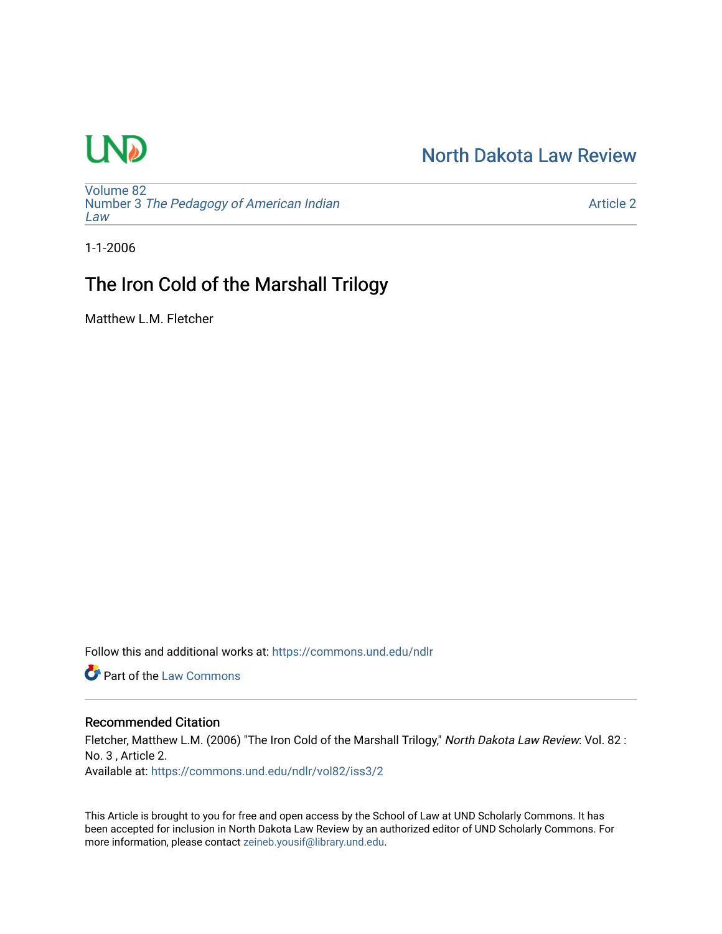# **LND**

# [North Dakota Law Review](https://commons.und.edu/ndlr)

[Volume 82](https://commons.und.edu/ndlr/vol82) Number 3 [The Pedagogy of American Indian](https://commons.und.edu/ndlr/vol82/iss3)  [Law](https://commons.und.edu/ndlr/vol82/iss3)

[Article 2](https://commons.und.edu/ndlr/vol82/iss3/2) 

1-1-2006

# The Iron Cold of the Marshall Trilogy

Matthew L.M. Fletcher

Follow this and additional works at: [https://commons.und.edu/ndlr](https://commons.und.edu/ndlr?utm_source=commons.und.edu%2Fndlr%2Fvol82%2Fiss3%2F2&utm_medium=PDF&utm_campaign=PDFCoverPages) 

**Part of the [Law Commons](http://network.bepress.com/hgg/discipline/578?utm_source=commons.und.edu%2Fndlr%2Fvol82%2Fiss3%2F2&utm_medium=PDF&utm_campaign=PDFCoverPages)** 

# Recommended Citation

Fletcher, Matthew L.M. (2006) "The Iron Cold of the Marshall Trilogy," North Dakota Law Review: Vol. 82 : No. 3 , Article 2.

Available at: [https://commons.und.edu/ndlr/vol82/iss3/2](https://commons.und.edu/ndlr/vol82/iss3/2?utm_source=commons.und.edu%2Fndlr%2Fvol82%2Fiss3%2F2&utm_medium=PDF&utm_campaign=PDFCoverPages)

This Article is brought to you for free and open access by the School of Law at UND Scholarly Commons. It has been accepted for inclusion in North Dakota Law Review by an authorized editor of UND Scholarly Commons. For more information, please contact [zeineb.yousif@library.und.edu.](mailto:zeineb.yousif@library.und.edu)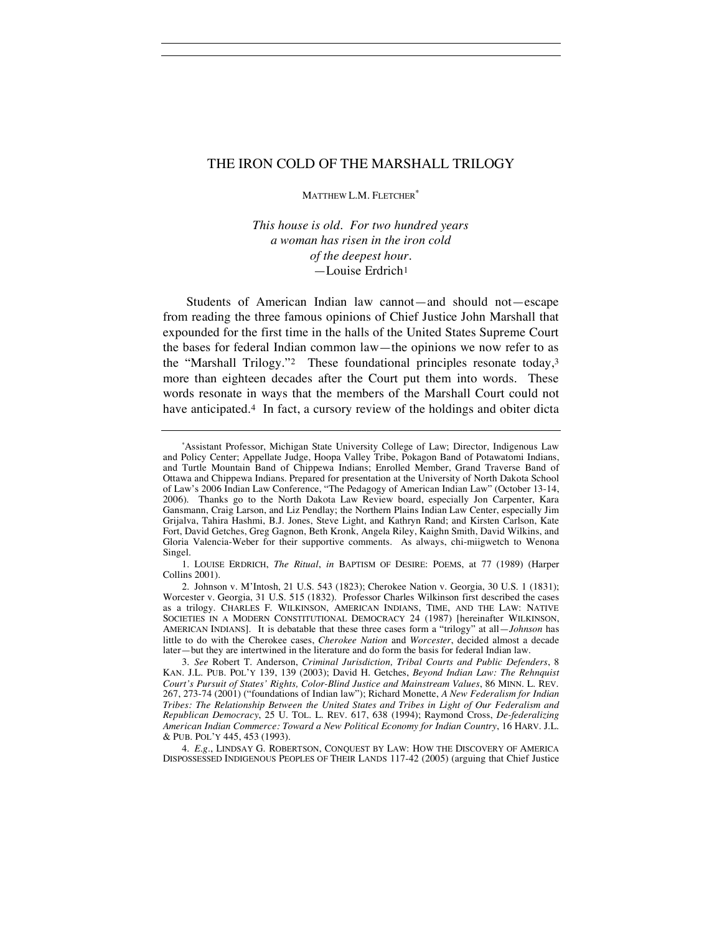# THE IRON COLD OF THE MARSHALL TRILOGY

MATTHEW L.M. FLETCHER<sup>\*</sup>

*This house is old. For two hundred years a woman has risen in the iron cold of the deepest hour*. —Louise Erdrich1

Students of American Indian law cannot—and should not—escape from reading the three famous opinions of Chief Justice John Marshall that expounded for the first time in the halls of the United States Supreme Court the bases for federal Indian common law—the opinions we now refer to as the "Marshall Trilogy."2 These foundational principles resonate today,3 more than eighteen decades after the Court put them into words. These words resonate in ways that the members of the Marshall Court could not have anticipated.<sup>4</sup> In fact, a cursory review of the holdings and obiter dicta

<sup>∗</sup> Assistant Professor, Michigan State University College of Law; Director, Indigenous Law and Policy Center; Appellate Judge, Hoopa Valley Tribe, Pokagon Band of Potawatomi Indians, and Turtle Mountain Band of Chippewa Indians; Enrolled Member, Grand Traverse Band of Ottawa and Chippewa Indians. Prepared for presentation at the University of North Dakota School of Law's 2006 Indian Law Conference, "The Pedagogy of American Indian Law" (October 13-14, 2006). Thanks go to the North Dakota Law Review board, especially Jon Carpenter, Kara Gansmann, Craig Larson, and Liz Pendlay; the Northern Plains Indian Law Center, especially Jim Grijalva, Tahira Hashmi, B.J. Jones, Steve Light, and Kathryn Rand; and Kirsten Carlson, Kate Fort, David Getches, Greg Gagnon, Beth Kronk, Angela Riley, Kaighn Smith, David Wilkins, and Gloria Valencia-Weber for their supportive comments. As always, chi-miigwetch to Wenona Singel.

<sup>1.</sup> LOUISE ERDRICH, *The Ritual*, *in* BAPTISM OF DESIRE: POEMS, at 77 (1989) (Harper Collins 2001).

<sup>2.</sup> Johnson v. M'Intosh, 21 U.S. 543 (1823); Cherokee Nation v. Georgia, 30 U.S. 1 (1831); Worcester v. Georgia, 31 U.S. 515 (1832). Professor Charles Wilkinson first described the cases as a trilogy. CHARLES F. WILKINSON, AMERICAN INDIANS, TIME, AND THE LAW: NATIVE SOCIETIES IN A MODERN CONSTITUTIONAL DEMOCRACY 24 (1987) [hereinafter WILKINSON, AMERICAN INDIANS]. It is debatable that these three cases form a "trilogy" at all—*Johnson* has little to do with the Cherokee cases, *Cherokee Nation* and *Worcester*, decided almost a decade later—but they are intertwined in the literature and do form the basis for federal Indian law.

<sup>3</sup>*. See* Robert T. Anderson, *Criminal Jurisdiction, Tribal Courts and Public Defenders*, 8 KAN. J.L. PUB. POL'Y 139, 139 (2003); David H. Getches, *Beyond Indian Law: The Rehnquist Court's Pursuit of States' Rights, Color-Blind Justice and Mainstream Values*, 86 MINN. L. REV. 267, 273-74 (2001) ("foundations of Indian law"); Richard Monette, *A New Federalism for Indian Tribes: The Relationship Between the United States and Tribes in Light of Our Federalism and Republican Democracy*, 25 U. TOL. L. REV. 617, 638 (1994); Raymond Cross, *De-federalizing American Indian Commerce: Toward a New Political Economy for Indian Country*, 16 HARV. J.L. & PUB. POL'Y 445, 453 (1993).

<sup>4</sup>*. E.g.*, LINDSAY G. ROBERTSON, CONQUEST BY LAW: HOW THE DISCOVERY OF AMERICA DISPOSSESSED INDIGENOUS PEOPLES OF THEIR LANDS 117-42 (2005) (arguing that Chief Justice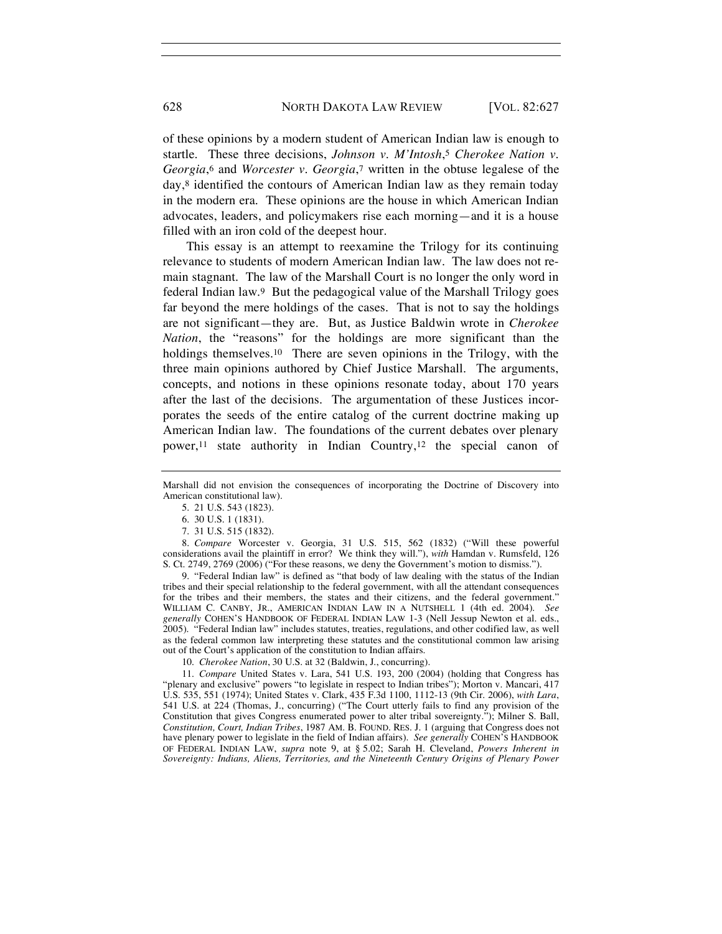of these opinions by a modern student of American Indian law is enough to startle. These three decisions, *Johnson v. M'Intosh*,5 *Cherokee Nation v. Georgia*,6 and *Worcester v. Georgia*,7 written in the obtuse legalese of the day,8 identified the contours of American Indian law as they remain today in the modern era. These opinions are the house in which American Indian advocates, leaders, and policymakers rise each morning—and it is a house filled with an iron cold of the deepest hour.

This essay is an attempt to reexamine the Trilogy for its continuing relevance to students of modern American Indian law. The law does not remain stagnant. The law of the Marshall Court is no longer the only word in federal Indian law.9 But the pedagogical value of the Marshall Trilogy goes far beyond the mere holdings of the cases. That is not to say the holdings are not significant—they are. But, as Justice Baldwin wrote in *Cherokee Nation*, the "reasons" for the holdings are more significant than the holdings themselves.10 There are seven opinions in the Trilogy, with the three main opinions authored by Chief Justice Marshall. The arguments, concepts, and notions in these opinions resonate today, about 170 years after the last of the decisions. The argumentation of these Justices incorporates the seeds of the entire catalog of the current doctrine making up American Indian law. The foundations of the current debates over plenary power,11 state authority in Indian Country,12 the special canon of

5. 21 U.S. 543 (1823).

6. 30 U.S. 1 (1831).

7. 31 U.S. 515 (1832).

8*. Compare* Worcester v. Georgia, 31 U.S. 515, 562 (1832) ("Will these powerful considerations avail the plaintiff in error? We think they will."), *with* Hamdan v. Rumsfeld, 126 S. Ct. 2749, 2769 (2006) ("For these reasons, we deny the Government's motion to dismiss.").

9. "Federal Indian law" is defined as "that body of law dealing with the status of the Indian tribes and their special relationship to the federal government, with all the attendant consequences for the tribes and their members, the states and their citizens, and the federal government." WILLIAM C. CANBY, JR., AMERICAN INDIAN LAW IN A NUTSHELL 1 (4th ed. 2004). *See generally* COHEN'S HANDBOOK OF FEDERAL INDIAN LAW 1-3 (Nell Jessup Newton et al. eds., 2005). "Federal Indian law" includes statutes, treaties, regulations, and other codified law, as well as the federal common law interpreting these statutes and the constitutional common law arising out of the Court's application of the constitution to Indian affairs.

10*. Cherokee Nation*, 30 U.S. at 32 (Baldwin, J., concurring).

11*. Compare* United States v. Lara, 541 U.S. 193, 200 (2004) (holding that Congress has "plenary and exclusive" powers "to legislate in respect to Indian tribes"); Morton v. Mancari, 417 U.S. 535, 551 (1974); United States v. Clark, 435 F.3d 1100, 1112-13 (9th Cir. 2006), *with Lara*, 541 U.S. at 224 (Thomas, J., concurring) ("The Court utterly fails to find any provision of the Constitution that gives Congress enumerated power to alter tribal sovereignty."); Milner S. Ball, *Constitution, Court, Indian Tribes*, 1987 AM. B. FOUND. RES. J. 1 (arguing that Congress does not have plenary power to legislate in the field of Indian affairs). *See generally* COHEN'S HANDBOOK OF FEDERAL INDIAN LAW, *supra* note 9, at § 5.02; Sarah H. Cleveland, *Powers Inherent in Sovereignty: Indians, Aliens, Territories, and the Nineteenth Century Origins of Plenary Power* 

Marshall did not envision the consequences of incorporating the Doctrine of Discovery into American constitutional law).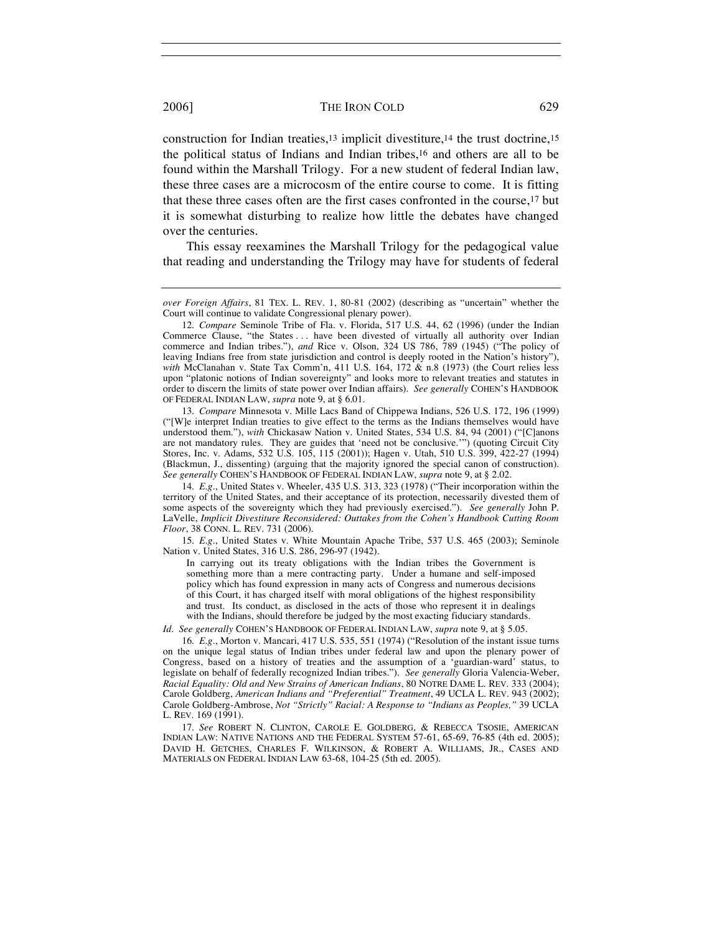construction for Indian treaties,13 implicit divestiture,14 the trust doctrine,15 the political status of Indians and Indian tribes,16 and others are all to be found within the Marshall Trilogy. For a new student of federal Indian law, these three cases are a microcosm of the entire course to come. It is fitting that these three cases often are the first cases confronted in the course,17 but it is somewhat disturbing to realize how little the debates have changed over the centuries.

This essay reexamines the Marshall Trilogy for the pedagogical value that reading and understanding the Trilogy may have for students of federal

13*. Compare* Minnesota v. Mille Lacs Band of Chippewa Indians, 526 U.S. 172, 196 (1999) ("[W]e interpret Indian treaties to give effect to the terms as the Indians themselves would have understood them."), *with* Chickasaw Nation v. United States, 534 U.S. 84, 94 (2001) ("[C]anons are not mandatory rules. They are guides that 'need not be conclusive.'") (quoting Circuit City Stores, Inc. v. Adams, 532 U.S. 105, 115 (2001)); Hagen v. Utah, 510 U.S. 399, 422-27 (1994) (Blackmun, J., dissenting) (arguing that the majority ignored the special canon of construction). *See generally* COHEN'S HANDBOOK OF FEDERAL INDIAN LAW, *supra* note 9, at § 2.02.

14*. E.g.*, United States v. Wheeler, 435 U.S. 313, 323 (1978) ("Their incorporation within the territory of the United States, and their acceptance of its protection, necessarily divested them of some aspects of the sovereignty which they had previously exercised."). *See generally* John P. LaVelle, *Implicit Divestiture Reconsidered: Outtakes from the Cohen's Handbook Cutting Room Floor*, 38 CONN. L. REV. 731 (2006).

15*. E.g.*, United States v. White Mountain Apache Tribe, 537 U.S. 465 (2003); Seminole Nation v. United States, 316 U.S. 286, 296-97 (1942).

In carrying out its treaty obligations with the Indian tribes the Government is something more than a mere contracting party. Under a humane and self-imposed policy which has found expression in many acts of Congress and numerous decisions of this Court, it has charged itself with moral obligations of the highest responsibility and trust. Its conduct, as disclosed in the acts of those who represent it in dealings with the Indians, should therefore be judged by the most exacting fiduciary standards.

*Id. See generally* COHEN'S HANDBOOK OF FEDERAL INDIAN LAW, *supra* note 9, at § 5.05.

16*. E.g.*, Morton v. Mancari, 417 U.S. 535, 551 (1974) ("Resolution of the instant issue turns on the unique legal status of Indian tribes under federal law and upon the plenary power of Congress, based on a history of treaties and the assumption of a 'guardian-ward' status, to legislate on behalf of federally recognized Indian tribes."). *See generally* Gloria Valencia-Weber, *Racial Equality: Old and New Strains of American Indians*, 80 NOTRE DAME L. REV. 333 (2004); Carole Goldberg, *American Indians and "Preferential" Treatment*, 49 UCLA L. REV. 943 (2002); Carole Goldberg-Ambrose, *Not "Strictly" Racial: A Response to "Indians as Peoples,"* 39 UCLA L. REV. 169 (1991).

17*. See* ROBERT N. CLINTON, CAROLE E. GOLDBERG, & REBECCA TSOSIE, AMERICAN INDIAN LAW: NATIVE NATIONS AND THE FEDERAL SYSTEM 57-61, 65-69, 76-85 (4th ed. 2005); DAVID H. GETCHES, CHARLES F. WILKINSON, & ROBERT A. WILLIAMS, JR., CASES AND MATERIALS ON FEDERAL INDIAN LAW 63-68, 104-25 (5th ed. 2005).

*over Foreign Affairs*, 81 TEX. L. REV. 1, 80-81 (2002) (describing as "uncertain" whether the Court will continue to validate Congressional plenary power).

<sup>12.</sup> *Compare* Seminole Tribe of Fla. v. Florida, 517 U.S. 44, 62 (1996) (under the Indian Commerce Clause, "the States . . . have been divested of virtually all authority over Indian commerce and Indian tribes."), *and* Rice v. Olson, 324 US 786, 789 (1945) ("The policy of leaving Indians free from state jurisdiction and control is deeply rooted in the Nation's history"), *with* McClanahan v. State Tax Comm'n, 411 U.S. 164, 172 & n.8 (1973) (the Court relies less upon "platonic notions of Indian sovereignty" and looks more to relevant treaties and statutes in order to discern the limits of state power over Indian affairs). *See generally* COHEN'S HANDBOOK OF FEDERAL INDIAN LAW, *supra* note 9, at § 6.01.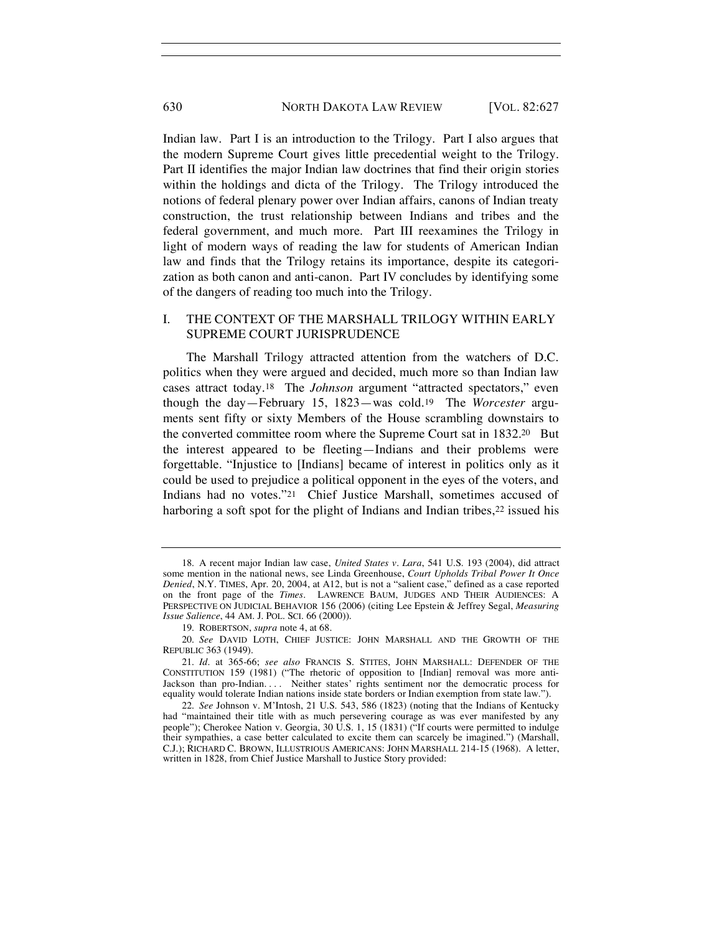Indian law. Part I is an introduction to the Trilogy. Part I also argues that the modern Supreme Court gives little precedential weight to the Trilogy. Part II identifies the major Indian law doctrines that find their origin stories within the holdings and dicta of the Trilogy. The Trilogy introduced the notions of federal plenary power over Indian affairs, canons of Indian treaty construction, the trust relationship between Indians and tribes and the federal government, and much more. Part III reexamines the Trilogy in light of modern ways of reading the law for students of American Indian law and finds that the Trilogy retains its importance, despite its categorization as both canon and anti-canon. Part IV concludes by identifying some of the dangers of reading too much into the Trilogy.

# I. THE CONTEXT OF THE MARSHALL TRILOGY WITHIN EARLY SUPREME COURT JURISPRUDENCE

The Marshall Trilogy attracted attention from the watchers of D.C. politics when they were argued and decided, much more so than Indian law cases attract today.18 The *Johnson* argument "attracted spectators," even though the day—February 15, 1823—was cold.19 The *Worcester* arguments sent fifty or sixty Members of the House scrambling downstairs to the converted committee room where the Supreme Court sat in 1832.20 But the interest appeared to be fleeting—Indians and their problems were forgettable. "Injustice to [Indians] became of interest in politics only as it could be used to prejudice a political opponent in the eyes of the voters, and Indians had no votes."21 Chief Justice Marshall, sometimes accused of harboring a soft spot for the plight of Indians and Indian tribes,<sup>22</sup> issued his

<sup>18.</sup> A recent major Indian law case, *United States v. Lara*, 541 U.S. 193 (2004), did attract some mention in the national news, see Linda Greenhouse, *Court Upholds Tribal Power It Once Denied*, N.Y. TIMES, Apr. 20, 2004, at A12, but is not a "salient case," defined as a case reported on the front page of the *Times*. LAWRENCE BAUM, JUDGES AND THEIR AUDIENCES: A PERSPECTIVE ON JUDICIAL BEHAVIOR 156 (2006) (citing Lee Epstein & Jeffrey Segal, *Measuring Issue Salience*, 44 AM. J. POL. SCI. 66 (2000)).

<sup>19.</sup> ROBERTSON, *supra* note 4, at 68.

<sup>20</sup>*. See* DAVID LOTH, CHIEF JUSTICE: JOHN MARSHALL AND THE GROWTH OF THE REPUBLIC 363 (1949).

<sup>21</sup>*. Id.* at 365-66; *see also* FRANCIS S. STITES, JOHN MARSHALL: DEFENDER OF THE CONSTITUTION 159 (1981) ("The rhetoric of opposition to [Indian] removal was more anti-Jackson than pro-Indian.... Neither states' rights sentiment nor the democratic process for equality would tolerate Indian nations inside state borders or Indian exemption from state law.").

<sup>22</sup>*. See* Johnson v. M'Intosh, 21 U.S. 543, 586 (1823) (noting that the Indians of Kentucky had "maintained their title with as much persevering courage as was ever manifested by any people"); Cherokee Nation v. Georgia, 30 U.S. 1, 15 (1831) ("If courts were permitted to indulge their sympathies, a case better calculated to excite them can scarcely be imagined.") (Marshall, C.J.); RICHARD C. BROWN, ILLUSTRIOUS AMERICANS: JOHN MARSHALL 214-15 (1968). A letter, written in 1828, from Chief Justice Marshall to Justice Story provided: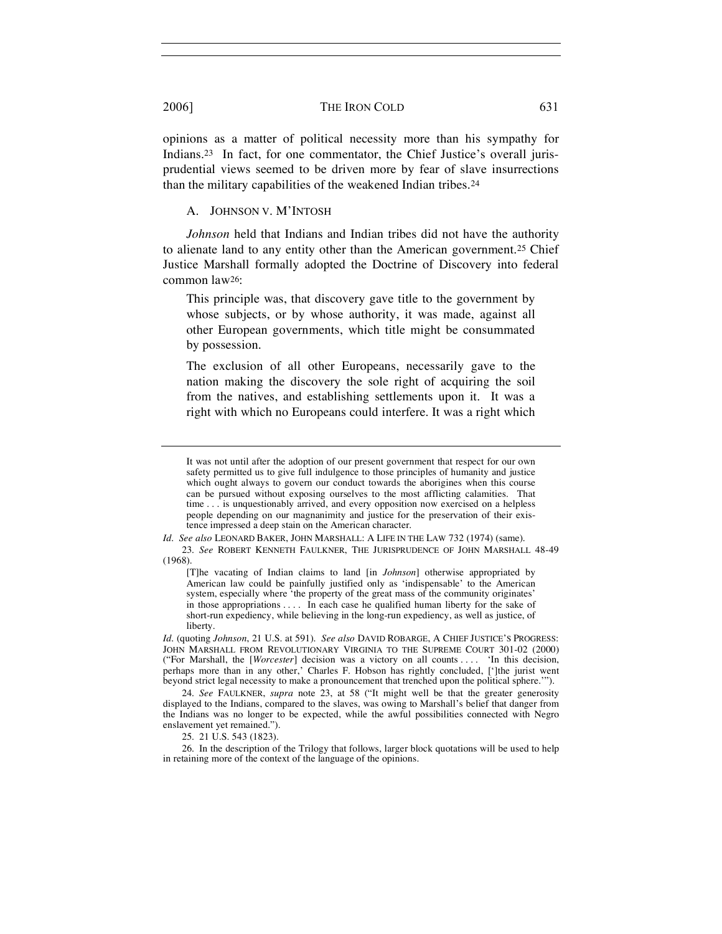opinions as a matter of political necessity more than his sympathy for Indians.23 In fact, for one commentator, the Chief Justice's overall jurisprudential views seemed to be driven more by fear of slave insurrections than the military capabilities of the weakened Indian tribes.24

A. JOHNSON V. M'INTOSH

*Johnson* held that Indians and Indian tribes did not have the authority to alienate land to any entity other than the American government.25 Chief Justice Marshall formally adopted the Doctrine of Discovery into federal common law26:

This principle was, that discovery gave title to the government by whose subjects, or by whose authority, it was made, against all other European governments, which title might be consummated by possession.

The exclusion of all other Europeans, necessarily gave to the nation making the discovery the sole right of acquiring the soil from the natives, and establishing settlements upon it. It was a right with which no Europeans could interfere. It was a right which

23*. See* ROBERT KENNETH FAULKNER, THE JURISPRUDENCE OF JOHN MARSHALL 48-49 (1968).

[T]he vacating of Indian claims to land [in *Johnson*] otherwise appropriated by American law could be painfully justified only as 'indispensable' to the American system, especially where 'the property of the great mass of the community originates' in those appropriations . . . . In each case he qualified human liberty for the sake of short-run expediency, while believing in the long-run expediency, as well as justice, of liberty.

*Id.* (quoting *Johnson*, 21 U.S. at 591). *See also* DAVID ROBARGE, A CHIEF JUSTICE'S PROGRESS: JOHN MARSHALL FROM REVOLUTIONARY VIRGINIA TO THE SUPREME COURT 301-02 (2000) ("For Marshall, the [*Worcester*] decision was a victory on all counts . . . . 'In this decision, perhaps more than in any other,' Charles F. Hobson has rightly concluded, [']the jurist went beyond strict legal necessity to make a pronouncement that trenched upon the political sphere.'").

24*. See* FAULKNER, *supra* note 23, at 58 ("It might well be that the greater generosity displayed to the Indians, compared to the slaves, was owing to Marshall's belief that danger from the Indians was no longer to be expected, while the awful possibilities connected with Negro enslavement yet remained.").

25. 21 U.S. 543 (1823).

26. In the description of the Trilogy that follows, larger block quotations will be used to help in retaining more of the context of the language of the opinions.

It was not until after the adoption of our present government that respect for our own safety permitted us to give full indulgence to those principles of humanity and justice which ought always to govern our conduct towards the aborigines when this course can be pursued without exposing ourselves to the most afflicting calamities. That time . . . is unquestionably arrived, and every opposition now exercised on a helpless people depending on our magnanimity and justice for the preservation of their existence impressed a deep stain on the American character.

*Id*. *See also* LEONARD BAKER, JOHN MARSHALL: A LIFE IN THE LAW 732 (1974) (same).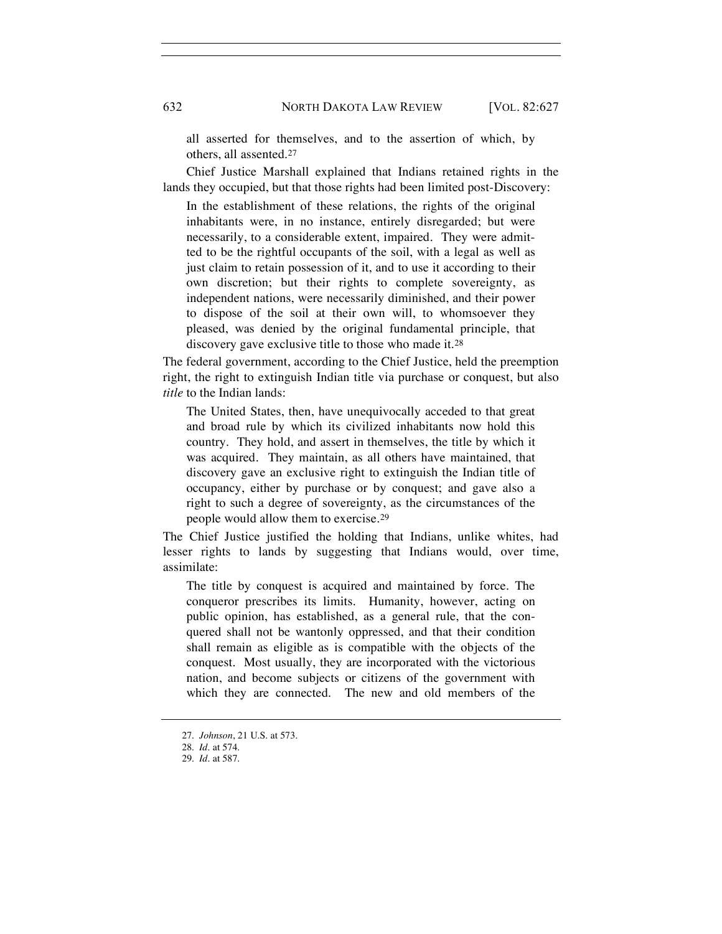all asserted for themselves, and to the assertion of which, by others, all assented.27

Chief Justice Marshall explained that Indians retained rights in the lands they occupied, but that those rights had been limited post-Discovery:

In the establishment of these relations, the rights of the original inhabitants were, in no instance, entirely disregarded; but were necessarily, to a considerable extent, impaired. They were admitted to be the rightful occupants of the soil, with a legal as well as just claim to retain possession of it, and to use it according to their own discretion; but their rights to complete sovereignty, as independent nations, were necessarily diminished, and their power to dispose of the soil at their own will, to whomsoever they pleased, was denied by the original fundamental principle, that discovery gave exclusive title to those who made it.28

The federal government, according to the Chief Justice, held the preemption right, the right to extinguish Indian title via purchase or conquest, but also *title* to the Indian lands:

The United States, then, have unequivocally acceded to that great and broad rule by which its civilized inhabitants now hold this country. They hold, and assert in themselves, the title by which it was acquired. They maintain, as all others have maintained, that discovery gave an exclusive right to extinguish the Indian title of occupancy, either by purchase or by conquest; and gave also a right to such a degree of sovereignty, as the circumstances of the people would allow them to exercise.29

The Chief Justice justified the holding that Indians, unlike whites, had lesser rights to lands by suggesting that Indians would, over time, assimilate:

The title by conquest is acquired and maintained by force. The conqueror prescribes its limits. Humanity, however, acting on public opinion, has established, as a general rule, that the conquered shall not be wantonly oppressed, and that their condition shall remain as eligible as is compatible with the objects of the conquest. Most usually, they are incorporated with the victorious nation, and become subjects or citizens of the government with which they are connected. The new and old members of the

<sup>27</sup>*. Johnson*, 21 U.S. at 573.

<sup>28</sup>*. Id.* at 574.

<sup>29</sup>*. Id.* at 587.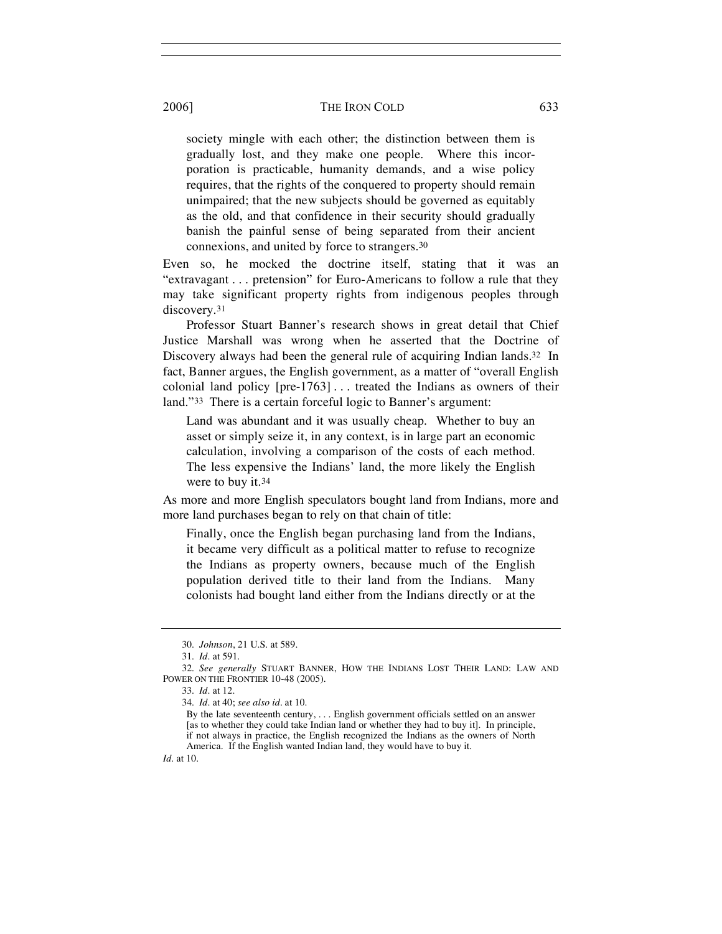society mingle with each other; the distinction between them is gradually lost, and they make one people. Where this incorporation is practicable, humanity demands, and a wise policy requires, that the rights of the conquered to property should remain unimpaired; that the new subjects should be governed as equitably as the old, and that confidence in their security should gradually banish the painful sense of being separated from their ancient connexions, and united by force to strangers.30

Even so, he mocked the doctrine itself, stating that it was an "extravagant . . . pretension" for Euro-Americans to follow a rule that they may take significant property rights from indigenous peoples through discovery.31

Professor Stuart Banner's research shows in great detail that Chief Justice Marshall was wrong when he asserted that the Doctrine of Discovery always had been the general rule of acquiring Indian lands.<sup>32</sup> In fact, Banner argues, the English government, as a matter of "overall English colonial land policy [pre-1763] . . . treated the Indians as owners of their land."33 There is a certain forceful logic to Banner's argument:

Land was abundant and it was usually cheap. Whether to buy an asset or simply seize it, in any context, is in large part an economic calculation, involving a comparison of the costs of each method. The less expensive the Indians' land, the more likely the English were to buy it.34

As more and more English speculators bought land from Indians, more and more land purchases began to rely on that chain of title:

Finally, once the English began purchasing land from the Indians, it became very difficult as a political matter to refuse to recognize the Indians as property owners, because much of the English population derived title to their land from the Indians. Many colonists had bought land either from the Indians directly or at the

<sup>30</sup>*. Johnson*, 21 U.S. at 589.

<sup>31</sup>*. Id.* at 591.

<sup>32</sup>*. See generally* STUART BANNER, HOW THE INDIANS LOST THEIR LAND: LAW AND POWER ON THE FRONTIER 10-48 (2005).

<sup>33</sup>*. Id.* at 12.

<sup>34</sup>*. Id.* at 40; *see also id*. at 10.

By the late seventeenth century, . . . English government officials settled on an answer [as to whether they could take Indian land or whether they had to buy it]. In principle, if not always in practice, the English recognized the Indians as the owners of North America. If the English wanted Indian land, they would have to buy it.

*Id.* at 10.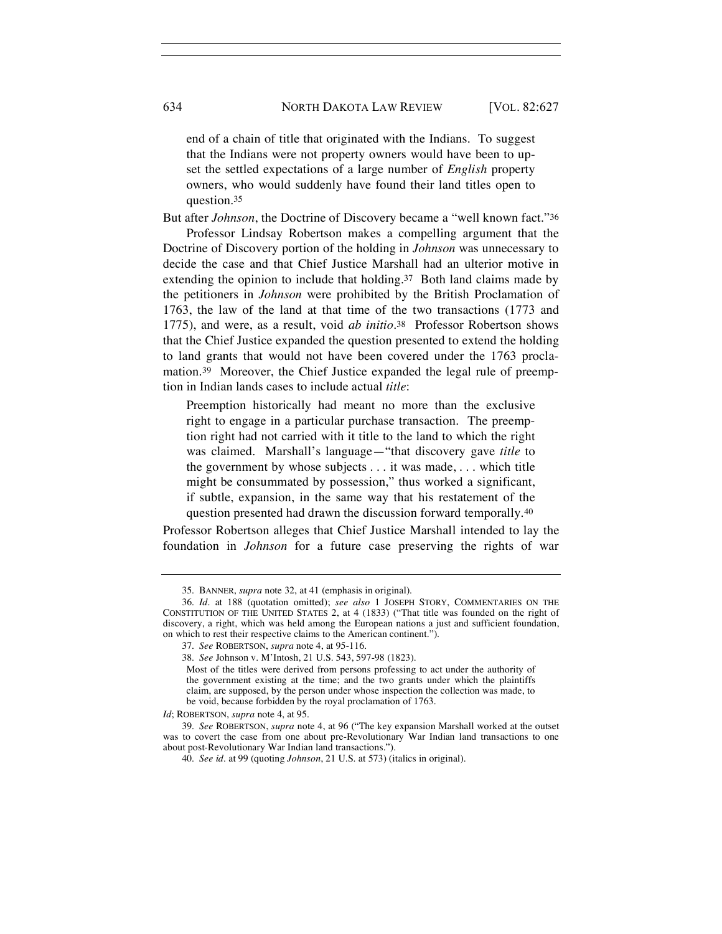end of a chain of title that originated with the Indians. To suggest that the Indians were not property owners would have been to upset the settled expectations of a large number of *English* property owners, who would suddenly have found their land titles open to question.35

But after *Johnson*, the Doctrine of Discovery became a "well known fact."36 Professor Lindsay Robertson makes a compelling argument that the Doctrine of Discovery portion of the holding in *Johnson* was unnecessary to decide the case and that Chief Justice Marshall had an ulterior motive in extending the opinion to include that holding.<sup>37</sup> Both land claims made by the petitioners in *Johnson* were prohibited by the British Proclamation of 1763, the law of the land at that time of the two transactions (1773 and 1775), and were, as a result, void *ab initio*.38 Professor Robertson shows that the Chief Justice expanded the question presented to extend the holding to land grants that would not have been covered under the 1763 proclamation.39 Moreover, the Chief Justice expanded the legal rule of preemption in Indian lands cases to include actual *title*:

Preemption historically had meant no more than the exclusive right to engage in a particular purchase transaction. The preemption right had not carried with it title to the land to which the right was claimed. Marshall's language—"that discovery gave *title* to the government by whose subjects . . . it was made, . . . which title might be consummated by possession," thus worked a significant, if subtle, expansion, in the same way that his restatement of the question presented had drawn the discussion forward temporally.40

Professor Robertson alleges that Chief Justice Marshall intended to lay the foundation in *Johnson* for a future case preserving the rights of war

*Id*; ROBERTSON, *supra* note 4, at 95.

<sup>35.</sup> BANNER, *supra* note 32, at 41 (emphasis in original).

<sup>36</sup>*. Id.* at 188 (quotation omitted); *see also* 1 JOSEPH STORY, COMMENTARIES ON THE CONSTITUTION OF THE UNITED STATES 2, at 4 (1833) ("That title was founded on the right of discovery, a right, which was held among the European nations a just and sufficient foundation, on which to rest their respective claims to the American continent.").

<sup>37</sup>*. See* ROBERTSON, *supra* note 4, at 95-116.

<sup>38</sup>*. See* Johnson v. M'Intosh, 21 U.S. 543, 597-98 (1823).

Most of the titles were derived from persons professing to act under the authority of the government existing at the time; and the two grants under which the plaintiffs claim, are supposed, by the person under whose inspection the collection was made, to be void, because forbidden by the royal proclamation of 1763.

<sup>39</sup>*. See* ROBERTSON, *supra* note 4, at 96 ("The key expansion Marshall worked at the outset was to covert the case from one about pre-Revolutionary War Indian land transactions to one about post-Revolutionary War Indian land transactions.").

<sup>40</sup>*. See id.* at 99 (quoting *Johnson*, 21 U.S. at 573) (italics in original).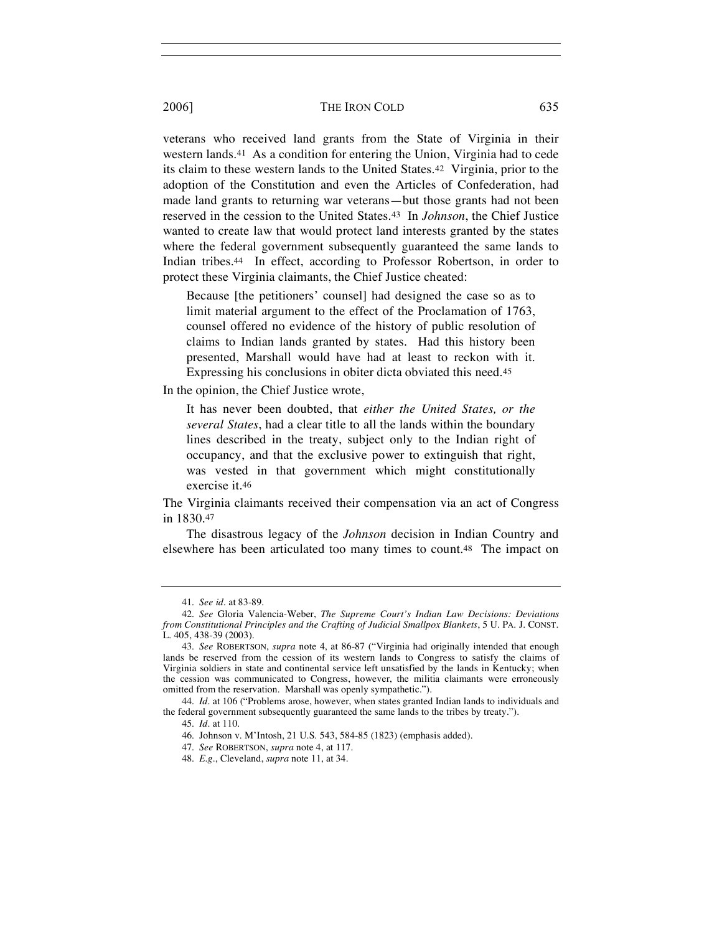veterans who received land grants from the State of Virginia in their western lands.41 As a condition for entering the Union, Virginia had to cede its claim to these western lands to the United States.42 Virginia, prior to the adoption of the Constitution and even the Articles of Confederation, had made land grants to returning war veterans—but those grants had not been reserved in the cession to the United States.43 In *Johnson*, the Chief Justice wanted to create law that would protect land interests granted by the states where the federal government subsequently guaranteed the same lands to Indian tribes.44 In effect, according to Professor Robertson, in order to protect these Virginia claimants, the Chief Justice cheated:

Because [the petitioners' counsel] had designed the case so as to limit material argument to the effect of the Proclamation of 1763, counsel offered no evidence of the history of public resolution of claims to Indian lands granted by states. Had this history been presented, Marshall would have had at least to reckon with it. Expressing his conclusions in obiter dicta obviated this need.45

In the opinion, the Chief Justice wrote,

It has never been doubted, that *either the United States, or the several States*, had a clear title to all the lands within the boundary lines described in the treaty, subject only to the Indian right of occupancy, and that the exclusive power to extinguish that right, was vested in that government which might constitutionally exercise it.46

The Virginia claimants received their compensation via an act of Congress in 1830.47

The disastrous legacy of the *Johnson* decision in Indian Country and elsewhere has been articulated too many times to count.48 The impact on

44*. Id.* at 106 ("Problems arose, however, when states granted Indian lands to individuals and the federal government subsequently guaranteed the same lands to the tribes by treaty.").

45*. Id.* at 110.

- 46*.* Johnson v. M'Intosh, 21 U.S. 543, 584-85 (1823) (emphasis added).
- 47*. See* ROBERTSON, *supra* note 4, at 117.
- 48*. E.g.*, Cleveland, *supra* note 11, at 34.

<sup>41</sup>*. See id.* at 83-89.

<sup>42</sup>*. See* Gloria Valencia-Weber, *The Supreme Court's Indian Law Decisions: Deviations from Constitutional Principles and the Crafting of Judicial Smallpox Blankets*, 5 U. PA. J. CONST. L. 405, 438-39 (2003).

<sup>43</sup>*. See* ROBERTSON, *supra* note 4, at 86-87 ("Virginia had originally intended that enough lands be reserved from the cession of its western lands to Congress to satisfy the claims of Virginia soldiers in state and continental service left unsatisfied by the lands in Kentucky; when the cession was communicated to Congress, however, the militia claimants were erroneously omitted from the reservation. Marshall was openly sympathetic.").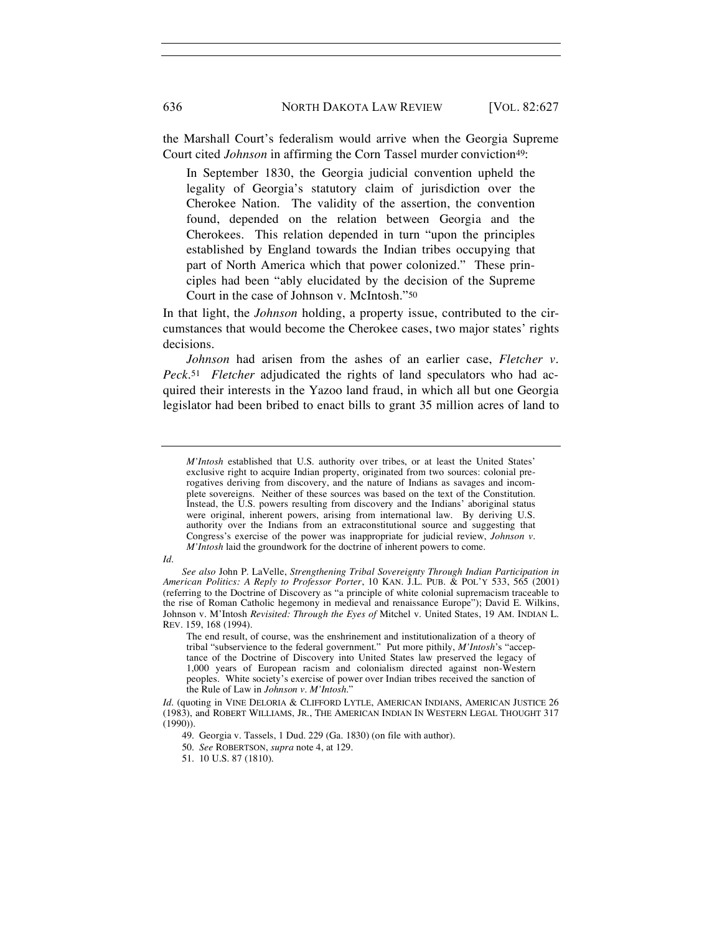the Marshall Court's federalism would arrive when the Georgia Supreme Court cited *Johnson* in affirming the Corn Tassel murder conviction<sup>49</sup>:

In September 1830, the Georgia judicial convention upheld the legality of Georgia's statutory claim of jurisdiction over the Cherokee Nation. The validity of the assertion, the convention found, depended on the relation between Georgia and the Cherokees. This relation depended in turn "upon the principles established by England towards the Indian tribes occupying that part of North America which that power colonized." These principles had been "ably elucidated by the decision of the Supreme Court in the case of Johnson v. McIntosh."50

In that light, the *Johnson* holding, a property issue, contributed to the circumstances that would become the Cherokee cases, two major states' rights decisions.

*Johnson* had arisen from the ashes of an earlier case, *Fletcher v. Peck*.51 *Fletcher* adjudicated the rights of land speculators who had acquired their interests in the Yazoo land fraud, in which all but one Georgia legislator had been bribed to enact bills to grant 35 million acres of land to

*Id*.

*M'Intosh* established that U.S. authority over tribes, or at least the United States' exclusive right to acquire Indian property, originated from two sources: colonial prerogatives deriving from discovery, and the nature of Indians as savages and incomplete sovereigns. Neither of these sources was based on the text of the Constitution. Instead, the U.S. powers resulting from discovery and the Indians' aboriginal status were original, inherent powers, arising from international law. By deriving U.S. authority over the Indians from an extraconstitutional source and suggesting that Congress's exercise of the power was inappropriate for judicial review, *Johnson v. M'Intosh* laid the groundwork for the doctrine of inherent powers to come.

*See also* John P. LaVelle, *Strengthening Tribal Sovereignty Through Indian Participation in American Politics: A Reply to Professor Porter*, 10 KAN. J.L. PUB. & POL'Y 533, 565 (2001) (referring to the Doctrine of Discovery as "a principle of white colonial supremacism traceable to the rise of Roman Catholic hegemony in medieval and renaissance Europe"); David E. Wilkins, Johnson v. M'Intosh *Revisited: Through the Eyes of* Mitchel v. United States, 19 AM. INDIAN L. REV. 159, 168 (1994).

The end result, of course, was the enshrinement and institutionalization of a theory of tribal "subservience to the federal government." Put more pithily, *M'Intosh*'s "acceptance of the Doctrine of Discovery into United States law preserved the legacy of 1,000 years of European racism and colonialism directed against non-Western peoples. White society's exercise of power over Indian tribes received the sanction of the Rule of Law in *Johnson v. M'Intosh*."

*Id.* (quoting in VINE DELORIA & CLIFFORD LYTLE, AMERICAN INDIANS, AMERICAN JUSTICE 26 (1983), and ROBERT WILLIAMS, JR., THE AMERICAN INDIAN IN WESTERN LEGAL THOUGHT 317 (1990)).

<sup>49.</sup> Georgia v. Tassels, 1 Dud. 229 (Ga. 1830) (on file with author).

<sup>50</sup>*. See* ROBERTSON, *supra* note 4, at 129.

<sup>51.</sup> 10 U.S. 87 (1810).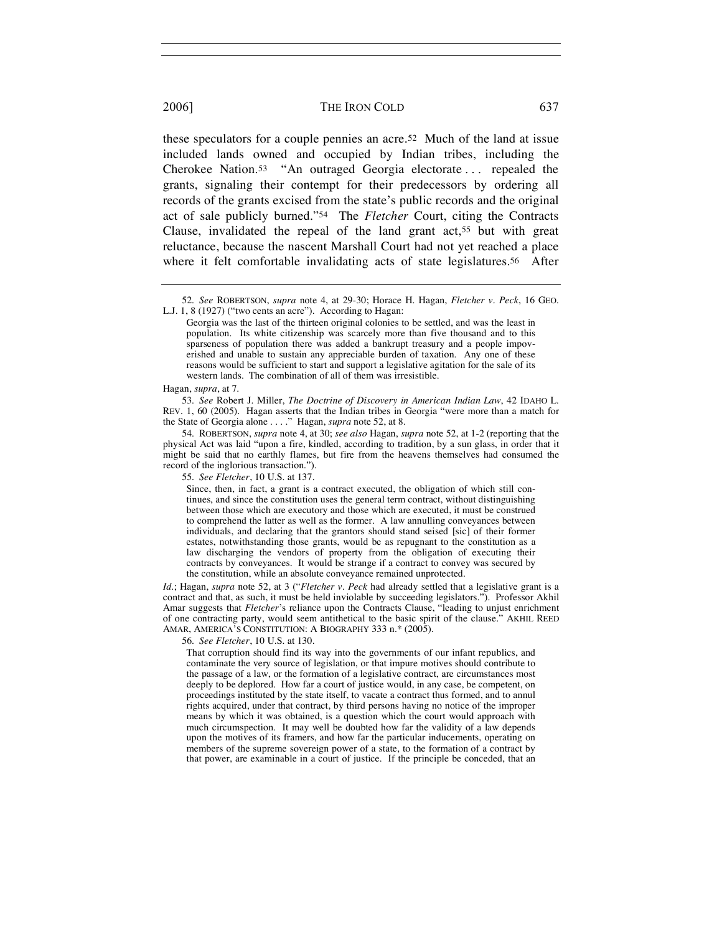these speculators for a couple pennies an acre.52 Much of the land at issue included lands owned and occupied by Indian tribes, including the Cherokee Nation.53 "An outraged Georgia electorate . . . repealed the grants, signaling their contempt for their predecessors by ordering all records of the grants excised from the state's public records and the original act of sale publicly burned."54 The *Fletcher* Court, citing the Contracts Clause, invalidated the repeal of the land grant act,55 but with great reluctance, because the nascent Marshall Court had not yet reached a place where it felt comfortable invalidating acts of state legislatures.<sup>56</sup> After

Hagan, *supra*, at 7.

53*. See* Robert J. Miller, *The Doctrine of Discovery in American Indian Law*, 42 IDAHO L. REV. 1, 60 (2005). Hagan asserts that the Indian tribes in Georgia "were more than a match for the State of Georgia alone . . . ." Hagan, *supra* note 52, at 8.

54. ROBERTSON, *supra* note 4, at 30; *see also* Hagan, *supra* note 52, at 1-2 (reporting that the physical Act was laid "upon a fire, kindled, according to tradition, by a sun glass, in order that it might be said that no earthly flames, but fire from the heavens themselves had consumed the record of the inglorious transaction.").

55*. See Fletcher*, 10 U.S. at 137.

Since, then, in fact, a grant is a contract executed, the obligation of which still continues, and since the constitution uses the general term contract, without distinguishing between those which are executory and those which are executed, it must be construed to comprehend the latter as well as the former. A law annulling conveyances between individuals, and declaring that the grantors should stand seised [sic] of their former estates, notwithstanding those grants, would be as repugnant to the constitution as a law discharging the vendors of property from the obligation of executing their contracts by conveyances. It would be strange if a contract to convey was secured by the constitution, while an absolute conveyance remained unprotected.

*Id.*; Hagan, *supra* note 52, at 3 ("*Fletcher v. Peck* had already settled that a legislative grant is a contract and that, as such, it must be held inviolable by succeeding legislators."). Professor Akhil Amar suggests that *Fletcher*'s reliance upon the Contracts Clause, "leading to unjust enrichment of one contracting party, would seem antithetical to the basic spirit of the clause." AKHIL REED AMAR, AMERICA'S CONSTITUTION: A BIOGRAPHY 333 n.\* (2005).

56*. See Fletcher*, 10 U.S. at 130.

That corruption should find its way into the governments of our infant republics, and contaminate the very source of legislation, or that impure motives should contribute to the passage of a law, or the formation of a legislative contract, are circumstances most deeply to be deplored. How far a court of justice would, in any case, be competent, on proceedings instituted by the state itself, to vacate a contract thus formed, and to annul rights acquired, under that contract, by third persons having no notice of the improper means by which it was obtained, is a question which the court would approach with much circumspection. It may well be doubted how far the validity of a law depends upon the motives of its framers, and how far the particular inducements, operating on members of the supreme sovereign power of a state, to the formation of a contract by that power, are examinable in a court of justice. If the principle be conceded, that an

<sup>52</sup>*. See* ROBERTSON, *supra* note 4, at 29-30; Horace H. Hagan, *Fletcher v. Peck*, 16 GEO. L.J. 1, 8 (1927) ("two cents an acre"). According to Hagan:

Georgia was the last of the thirteen original colonies to be settled, and was the least in population. Its white citizenship was scarcely more than five thousand and to this sparseness of population there was added a bankrupt treasury and a people impoverished and unable to sustain any appreciable burden of taxation. Any one of these reasons would be sufficient to start and support a legislative agitation for the sale of its western lands. The combination of all of them was irresistible.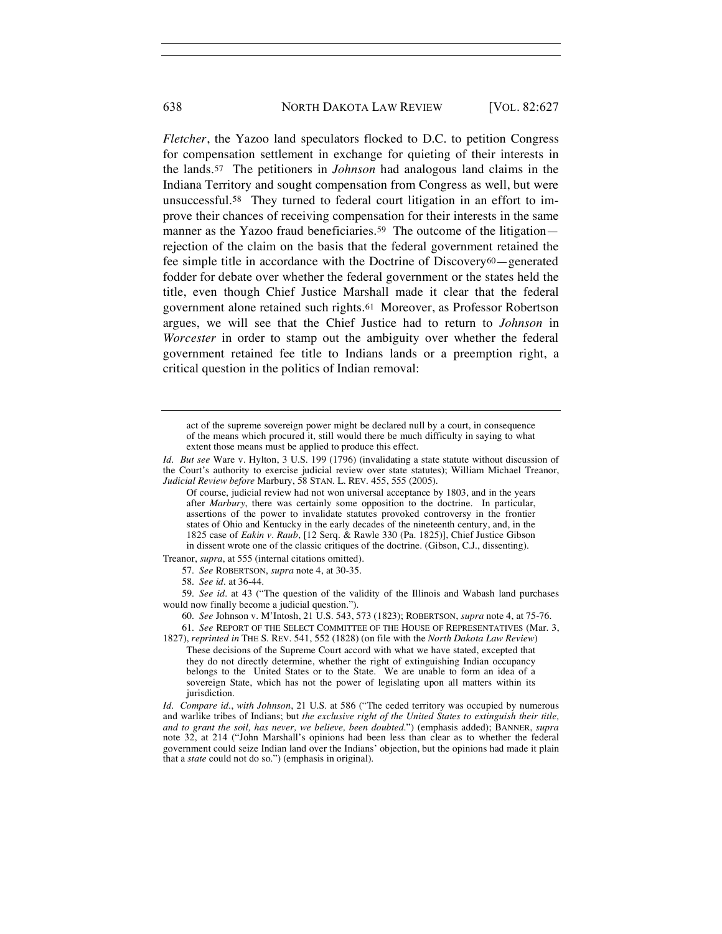*Fletcher*, the Yazoo land speculators flocked to D.C. to petition Congress for compensation settlement in exchange for quieting of their interests in the lands.57 The petitioners in *Johnson* had analogous land claims in the Indiana Territory and sought compensation from Congress as well, but were unsuccessful.58 They turned to federal court litigation in an effort to improve their chances of receiving compensation for their interests in the same manner as the Yazoo fraud beneficiaries.<sup>59</sup> The outcome of the litigation rejection of the claim on the basis that the federal government retained the fee simple title in accordance with the Doctrine of Discovery60—generated fodder for debate over whether the federal government or the states held the title, even though Chief Justice Marshall made it clear that the federal government alone retained such rights.61 Moreover, as Professor Robertson argues, we will see that the Chief Justice had to return to *Johnson* in *Worcester* in order to stamp out the ambiguity over whether the federal government retained fee title to Indians lands or a preemption right, a critical question in the politics of Indian removal:

act of the supreme sovereign power might be declared null by a court, in consequence of the means which procured it, still would there be much difficulty in saying to what extent those means must be applied to produce this effect.

*Id. But see* Ware v. Hylton, 3 U.S. 199 (1796) (invalidating a state statute without discussion of the Court's authority to exercise judicial review over state statutes); William Michael Treanor, *Judicial Review before* Marbury, 58 STAN. L. REV. 455, 555 (2005).

Of course, judicial review had not won universal acceptance by 1803, and in the years after *Marbury*, there was certainly some opposition to the doctrine. In particular, assertions of the power to invalidate statutes provoked controversy in the frontier states of Ohio and Kentucky in the early decades of the nineteenth century, and, in the 1825 case of *Eakin v. Raub*, [12 Serq. & Rawle 330 (Pa. 1825)], Chief Justice Gibson in dissent wrote one of the classic critiques of the doctrine. (Gibson, C.J., dissenting).

Treanor, *supra*, at 555 (internal citations omitted).

57*. See* ROBERTSON, *supra* note 4, at 30-35.

58*. See id.* at 36-44.

59*. See id.* at 43 ("The question of the validity of the Illinois and Wabash land purchases would now finally become a judicial question.").

60*. See* Johnson v. M'Intosh, 21 U.S. 543, 573 (1823); ROBERTSON, *supra* note 4, at 75-76.

61*. See* REPORT OF THE SELECT COMMITTEE OF THE HOUSE OF REPRESENTATIVES (Mar. 3,

1827), *reprinted in* THE S. REV. 541, 552 (1828) (on file with the *North Dakota Law Review*) These decisions of the Supreme Court accord with what we have stated, excepted that they do not directly determine, whether the right of extinguishing Indian occupancy belongs to the United States or to the State. We are unable to form an idea of a sovereign State, which has not the power of legislating upon all matters within its jurisdiction.

*Id. Compare id.*, *with Johnson*, 21 U.S. at 586 ("The ceded territory was occupied by numerous and warlike tribes of Indians; but *the exclusive right of the United States to extinguish their title, and to grant the soil, has never, we believe, been doubted*.") (emphasis added); BANNER, *supra* note 32, at 214 ("John Marshall's opinions had been less than clear as to whether the federal government could seize Indian land over the Indians' objection, but the opinions had made it plain that a *state* could not do so.") (emphasis in original).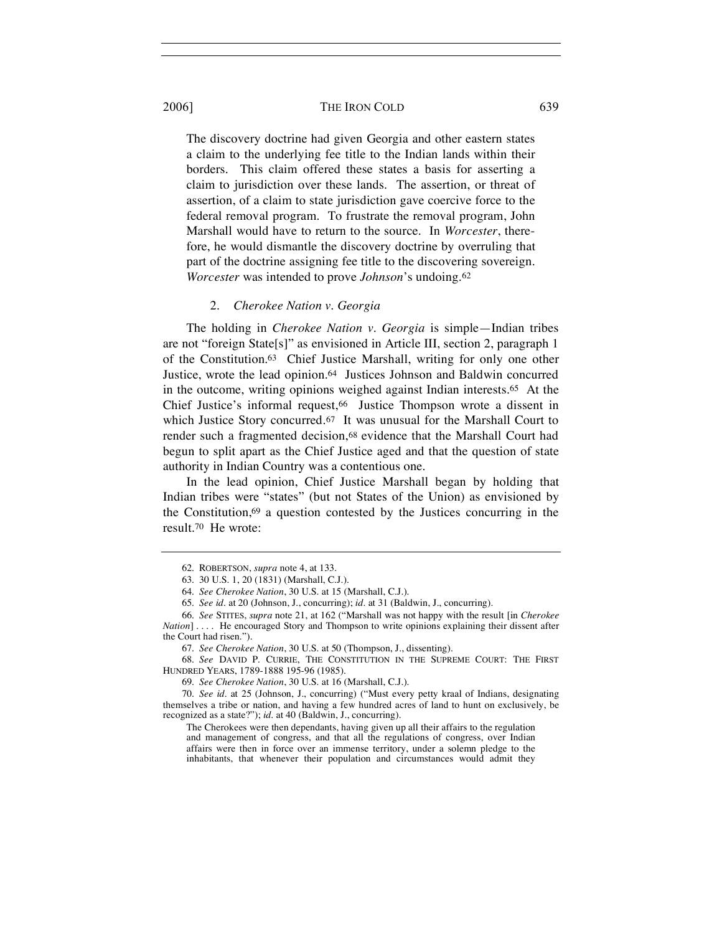2006] THE IRON COLD 639

The discovery doctrine had given Georgia and other eastern states a claim to the underlying fee title to the Indian lands within their borders. This claim offered these states a basis for asserting a claim to jurisdiction over these lands. The assertion, or threat of assertion, of a claim to state jurisdiction gave coercive force to the federal removal program. To frustrate the removal program, John Marshall would have to return to the source. In *Worcester*, therefore, he would dismantle the discovery doctrine by overruling that part of the doctrine assigning fee title to the discovering sovereign. *Worcester* was intended to prove *Johnson*'s undoing.62

# 2. *Cherokee Nation v. Georgia*

The holding in *Cherokee Nation v. Georgia* is simple—Indian tribes are not "foreign State[s]" as envisioned in Article III, section 2, paragraph 1 of the Constitution.63 Chief Justice Marshall, writing for only one other Justice, wrote the lead opinion.64 Justices Johnson and Baldwin concurred in the outcome, writing opinions weighed against Indian interests.65 At the Chief Justice's informal request,<sup>66</sup> Justice Thompson wrote a dissent in which Justice Story concurred.<sup>67</sup> It was unusual for the Marshall Court to render such a fragmented decision,68 evidence that the Marshall Court had begun to split apart as the Chief Justice aged and that the question of state authority in Indian Country was a contentious one.

In the lead opinion, Chief Justice Marshall began by holding that Indian tribes were "states" (but not States of the Union) as envisioned by the Constitution,69 a question contested by the Justices concurring in the result.70 He wrote:

68*. See* DAVID P. CURRIE, THE CONSTITUTION IN THE SUPREME COURT: THE FIRST HUNDRED YEARS, 1789-1888 195-96 (1985).

69*. See Cherokee Nation*, 30 U.S. at 16 (Marshall, C.J.).

70*. See id.* at 25 (Johnson, J., concurring) ("Must every petty kraal of Indians, designating themselves a tribe or nation, and having a few hundred acres of land to hunt on exclusively, be recognized as a state?"); *id*. at 40 (Baldwin, J., concurring).

The Cherokees were then dependants, having given up all their affairs to the regulation and management of congress, and that all the regulations of congress, over Indian affairs were then in force over an immense territory, under a solemn pledge to the inhabitants, that whenever their population and circumstances would admit they

<sup>62.</sup> ROBERTSON, *supra* note 4, at 133.

<sup>63.</sup> 30 U.S. 1, 20 (1831) (Marshall, C.J.).

<sup>64</sup>*. See Cherokee Nation*, 30 U.S. at 15 (Marshall, C.J.).

<sup>65</sup>*. See id.* at 20 (Johnson, J., concurring); *id*. at 31 (Baldwin, J., concurring).

<sup>66</sup>*. See* STITES, *supra* note 21, at 162 ("Marshall was not happy with the result [in *Cherokee Nation*] . . . . He encouraged Story and Thompson to write opinions explaining their dissent after the Court had risen.").

<sup>67</sup>*. See Cherokee Nation*, 30 U.S. at 50 (Thompson, J., dissenting).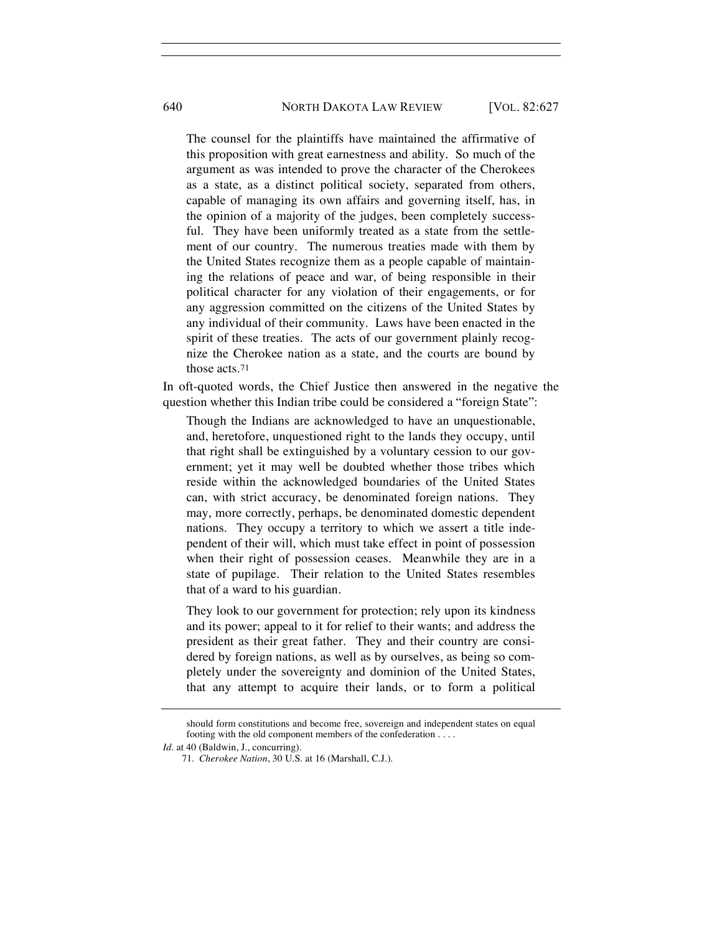The counsel for the plaintiffs have maintained the affirmative of this proposition with great earnestness and ability. So much of the argument as was intended to prove the character of the Cherokees as a state, as a distinct political society, separated from others, capable of managing its own affairs and governing itself, has, in the opinion of a majority of the judges, been completely successful. They have been uniformly treated as a state from the settlement of our country. The numerous treaties made with them by the United States recognize them as a people capable of maintaining the relations of peace and war, of being responsible in their political character for any violation of their engagements, or for any aggression committed on the citizens of the United States by any individual of their community. Laws have been enacted in the spirit of these treaties. The acts of our government plainly recognize the Cherokee nation as a state, and the courts are bound by those acts.71

In oft-quoted words, the Chief Justice then answered in the negative the question whether this Indian tribe could be considered a "foreign State":

Though the Indians are acknowledged to have an unquestionable, and, heretofore, unquestioned right to the lands they occupy, until that right shall be extinguished by a voluntary cession to our government; yet it may well be doubted whether those tribes which reside within the acknowledged boundaries of the United States can, with strict accuracy, be denominated foreign nations. They may, more correctly, perhaps, be denominated domestic dependent nations. They occupy a territory to which we assert a title independent of their will, which must take effect in point of possession when their right of possession ceases. Meanwhile they are in a state of pupilage. Their relation to the United States resembles that of a ward to his guardian.

They look to our government for protection; rely upon its kindness and its power; appeal to it for relief to their wants; and address the president as their great father. They and their country are considered by foreign nations, as well as by ourselves, as being so completely under the sovereignty and dominion of the United States, that any attempt to acquire their lands, or to form a political

should form constitutions and become free, sovereign and independent states on equal footing with the old component members of the confederation . . . .

*Id.* at 40 (Baldwin, J., concurring).

<sup>71</sup>*. Cherokee Nation*, 30 U.S. at 16 (Marshall, C.J.).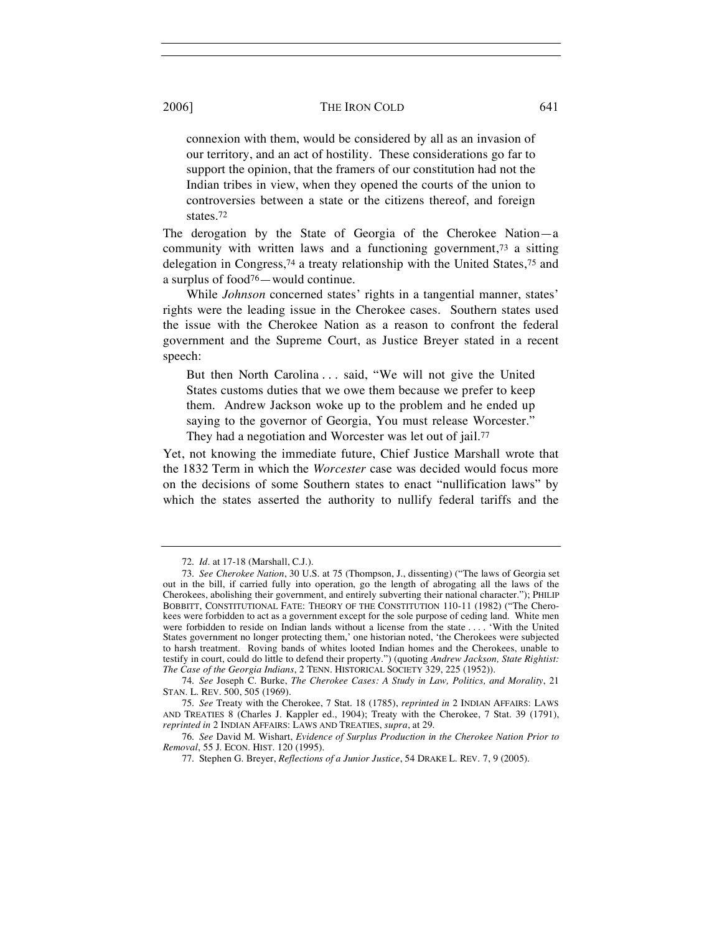connexion with them, would be considered by all as an invasion of our territory, and an act of hostility. These considerations go far to support the opinion, that the framers of our constitution had not the Indian tribes in view, when they opened the courts of the union to controversies between a state or the citizens thereof, and foreign states.72

The derogation by the State of Georgia of the Cherokee Nation—a community with written laws and a functioning government,73 a sitting delegation in Congress,74 a treaty relationship with the United States,75 and a surplus of food76—would continue.

While *Johnson* concerned states' rights in a tangential manner, states' rights were the leading issue in the Cherokee cases. Southern states used the issue with the Cherokee Nation as a reason to confront the federal government and the Supreme Court, as Justice Breyer stated in a recent speech:

But then North Carolina . . . said, "We will not give the United States customs duties that we owe them because we prefer to keep them. Andrew Jackson woke up to the problem and he ended up saying to the governor of Georgia, You must release Worcester." They had a negotiation and Worcester was let out of jail.<sup>77</sup>

Yet, not knowing the immediate future, Chief Justice Marshall wrote that the 1832 Term in which the *Worcester* case was decided would focus more on the decisions of some Southern states to enact "nullification laws" by which the states asserted the authority to nullify federal tariffs and the

<sup>72</sup>*. Id.* at 17-18 (Marshall, C.J.).

<sup>73</sup>*. See Cherokee Nation*, 30 U.S. at 75 (Thompson, J., dissenting) ("The laws of Georgia set out in the bill, if carried fully into operation, go the length of abrogating all the laws of the Cherokees, abolishing their government, and entirely subverting their national character."); PHILIP BOBBITT, CONSTITUTIONAL FATE: THEORY OF THE CONSTITUTION 110-11 (1982) ("The Cherokees were forbidden to act as a government except for the sole purpose of ceding land. White men were forbidden to reside on Indian lands without a license from the state . . . . 'With the United States government no longer protecting them,' one historian noted, 'the Cherokees were subjected to harsh treatment. Roving bands of whites looted Indian homes and the Cherokees, unable to testify in court, could do little to defend their property.") (quoting *Andrew Jackson, State Rightist: The Case of the Georgia Indians*, 2 TENN. HISTORICAL SOCIETY 329, 225 (1952)).

<sup>74</sup>*. See* Joseph C. Burke, *The Cherokee Cases: A Study in Law, Politics, and Morality*, 21 STAN. L. REV. 500, 505 (1969).

<sup>75</sup>*. See* Treaty with the Cherokee, 7 Stat. 18 (1785), *reprinted in* 2 INDIAN AFFAIRS: LAWS AND TREATIES 8 (Charles J. Kappler ed., 1904); Treaty with the Cherokee, 7 Stat. 39 (1791), *reprinted in* 2 INDIAN AFFAIRS: LAWS AND TREATIES, *supra*, at 29.

<sup>76</sup>*. See* David M. Wishart, *Evidence of Surplus Production in the Cherokee Nation Prior to Removal*, 55 J. ECON. HIST. 120 (1995).

<sup>77.</sup> Stephen G. Breyer, *Reflections of a Junior Justice*, 54 DRAKE L. REV. 7, 9 (2005).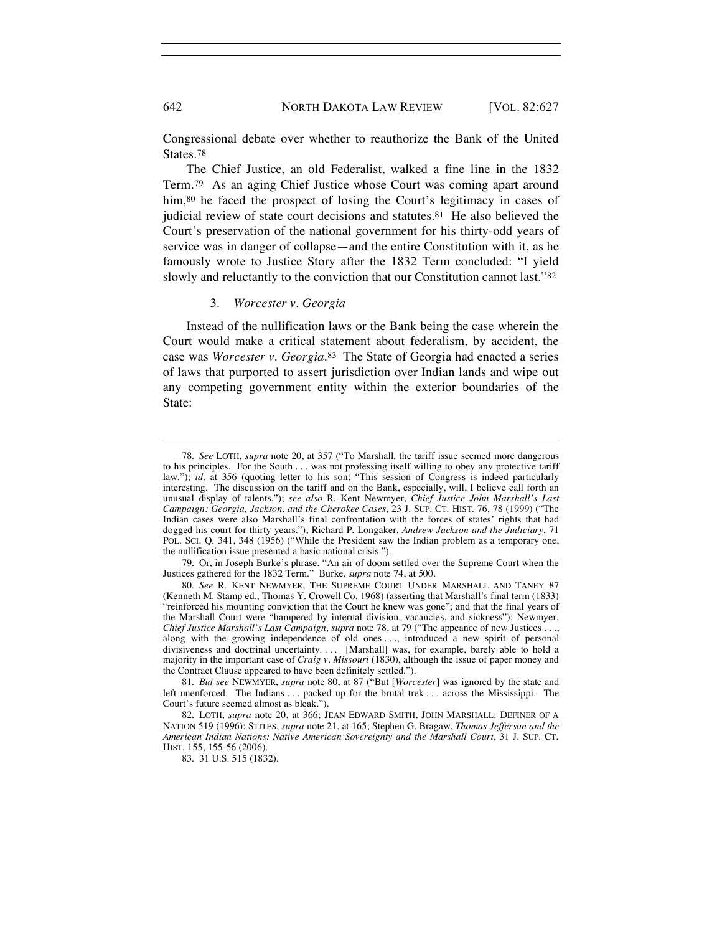Congressional debate over whether to reauthorize the Bank of the United States.78

The Chief Justice, an old Federalist, walked a fine line in the 1832 Term.79 As an aging Chief Justice whose Court was coming apart around him,<sup>80</sup> he faced the prospect of losing the Court's legitimacy in cases of judicial review of state court decisions and statutes.81 He also believed the Court's preservation of the national government for his thirty-odd years of service was in danger of collapse—and the entire Constitution with it, as he famously wrote to Justice Story after the 1832 Term concluded: "I yield slowly and reluctantly to the conviction that our Constitution cannot last."82

#### 3. *Worcester v. Georgia*

Instead of the nullification laws or the Bank being the case wherein the Court would make a critical statement about federalism, by accident, the case was *Worcester v. Georgia*.83 The State of Georgia had enacted a series of laws that purported to assert jurisdiction over Indian lands and wipe out any competing government entity within the exterior boundaries of the State:

79. Or, in Joseph Burke's phrase, "An air of doom settled over the Supreme Court when the Justices gathered for the 1832 Term." Burke, *supra* note 74, at 500.

<sup>78</sup>*. See* LOTH, *supra* note 20, at 357 ("To Marshall, the tariff issue seemed more dangerous to his principles. For the South . . . was not professing itself willing to obey any protective tariff law."); *id*. at 356 (quoting letter to his son; "This session of Congress is indeed particularly interesting. The discussion on the tariff and on the Bank, especially, will, I believe call forth an unusual display of talents."); *see also* R. Kent Newmyer, *Chief Justice John Marshall's Last Campaign: Georgia, Jackson, and the Cherokee Cases*, 23 J. SUP. CT. HIST. 76, 78 (1999) ("The Indian cases were also Marshall's final confrontation with the forces of states' rights that had dogged his court for thirty years."); Richard P. Longaker, *Andrew Jackson and the Judiciary*, 71 POL. SCI. Q. 341, 348 (1956) ("While the President saw the Indian problem as a temporary one, the nullification issue presented a basic national crisis.").

<sup>80</sup>*. See* R. KENT NEWMYER, THE SUPREME COURT UNDER MARSHALL AND TANEY 87 (Kenneth M. Stamp ed., Thomas Y. Crowell Co. 1968) (asserting that Marshall's final term (1833) "reinforced his mounting conviction that the Court he knew was gone"; and that the final years of the Marshall Court were "hampered by internal division, vacancies, and sickness"); Newmyer, *Chief Justice Marshall's Last Campaign*, *supra* note 78, at 79 ("The appeance of new Justices . . ., along with the growing independence of old ones . . ., introduced a new spirit of personal divisiveness and doctrinal uncertainty. . . . [Marshall] was, for example, barely able to hold a majority in the important case of *Craig v. Missouri* (1830), although the issue of paper money and the Contract Clause appeared to have been definitely settled.").

<sup>81</sup>*. But see* NEWMYER, *supra* note 80, at 87 ("But [*Worcester*] was ignored by the state and left unenforced. The Indians . . . packed up for the brutal trek . . . across the Mississippi. The Court's future seemed almost as bleak.").

<sup>82.</sup> LOTH, *supra* note 20, at 366; JEAN EDWARD SMITH, JOHN MARSHALL: DEFINER OF A NATION 519 (1996); STITES, *supra* note 21, at 165; Stephen G. Bragaw, *Thomas Jefferson and the American Indian Nations: Native American Sovereignty and the Marshall Court*, 31 J. SUP. CT. HIST. 155, 155-56 (2006).

<sup>83.</sup> 31 U.S. 515 (1832).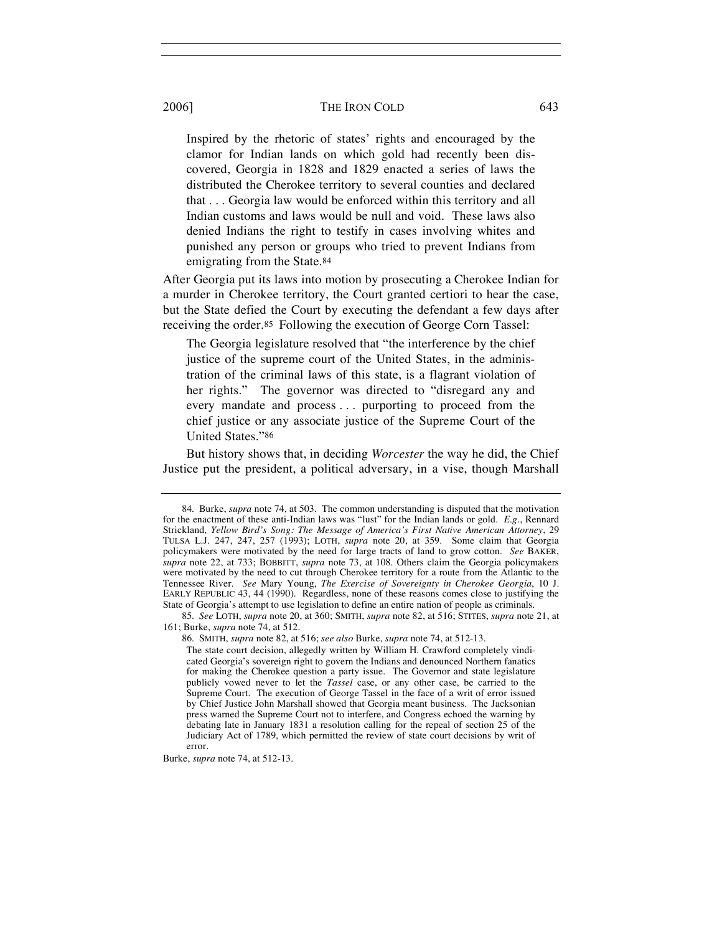Inspired by the rhetoric of states' rights and encouraged by the clamor for Indian lands on which gold had recently been discovered, Georgia in 1828 and 1829 enacted a series of laws the distributed the Cherokee territory to several counties and declared that . . . Georgia law would be enforced within this territory and all Indian customs and laws would be null and void. These laws also denied Indians the right to testify in cases involving whites and punished any person or groups who tried to prevent Indians from emigrating from the State.84

After Georgia put its laws into motion by prosecuting a Cherokee Indian for a murder in Cherokee territory, the Court granted certiori to hear the case, but the State defied the Court by executing the defendant a few days after receiving the order.85 Following the execution of George Corn Tassel:

The Georgia legislature resolved that "the interference by the chief justice of the supreme court of the United States, in the administration of the criminal laws of this state, is a flagrant violation of her rights." The governor was directed to "disregard any and every mandate and process ... purporting to proceed from the chief justice or any associate justice of the Supreme Court of the United States."86

But history shows that, in deciding *Worcester* the way he did, the Chief Justice put the president, a political adversary, in a vise, though Marshall

Burke, *supra* note 74, at 512-13.

<sup>84.</sup> Burke, *supra* note 74, at 503. The common understanding is disputed that the motivation for the enactment of these anti-Indian laws was "lust" for the Indian lands or gold. *E.g.*, Rennard Strickland, *Yellow Bird's Song: The Message of America's First Native American Attorney*, 29 TULSA L.J. 247, 247, 257 (1993); LOTH, *supra* note 20, at 359. Some claim that Georgia policymakers were motivated by the need for large tracts of land to grow cotton. *See* BAKER, *supra* note 22, at 733; BOBBITT, *supra* note 73, at 108. Others claim the Georgia policymakers were motivated by the need to cut through Cherokee territory for a route from the Atlantic to the Tennessee River. *See* Mary Young, *The Exercise of Sovereignty in Cherokee Georgia*, 10 J. EARLY REPUBLIC 43, 44 (1990). Regardless, none of these reasons comes close to justifying the State of Georgia's attempt to use legislation to define an entire nation of people as criminals.

<sup>85</sup>*. See* LOTH, *supra* note 20, at 360; SMITH, *supra* note 82, at 516; STITES, *supra* note 21, at 161; Burke, *supra* note 74, at 512.

<sup>86.</sup> SMITH, *supra* note 82, at 516; *see also* Burke, *supra* note 74, at 512-13.

The state court decision, allegedly written by William H. Crawford completely vindicated Georgia's sovereign right to govern the Indians and denounced Northern fanatics for making the Cherokee question a party issue. The Governor and state legislature publicly vowed never to let the *Tassel* case, or any other case, be carried to the Supreme Court. The execution of George Tassel in the face of a writ of error issued by Chief Justice John Marshall showed that Georgia meant business. The Jacksonian press warned the Supreme Court not to interfere, and Congress echoed the warning by debating late in January 1831 a resolution calling for the repeal of section 25 of the Judiciary Act of 1789, which permitted the review of state court decisions by writ of error.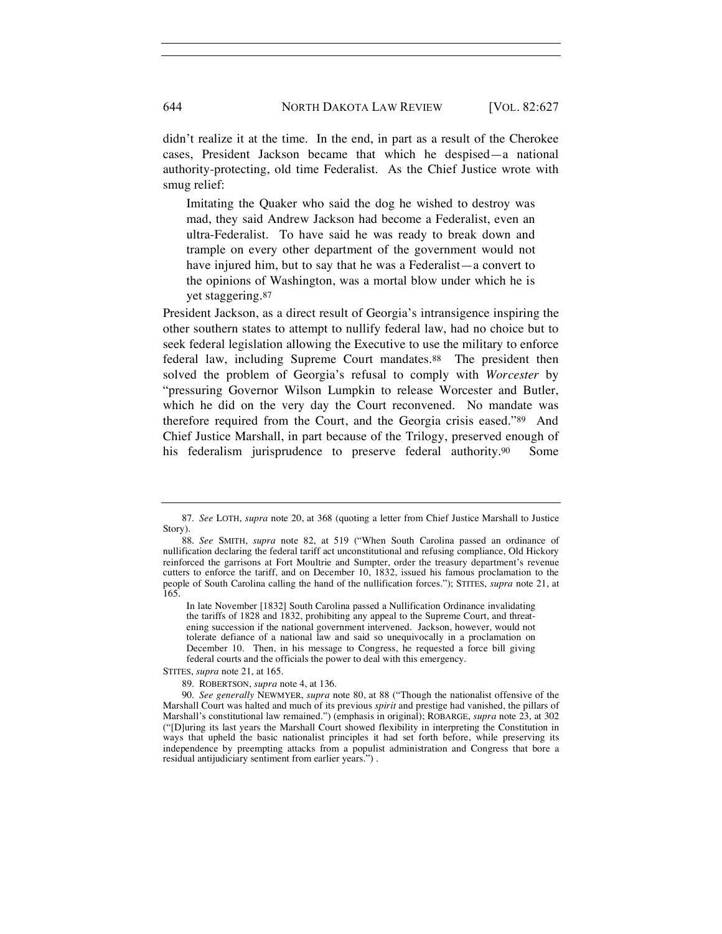didn't realize it at the time. In the end, in part as a result of the Cherokee cases, President Jackson became that which he despised—a national authority-protecting, old time Federalist. As the Chief Justice wrote with smug relief:

Imitating the Quaker who said the dog he wished to destroy was mad, they said Andrew Jackson had become a Federalist, even an ultra-Federalist. To have said he was ready to break down and trample on every other department of the government would not have injured him, but to say that he was a Federalist—a convert to the opinions of Washington, was a mortal blow under which he is yet staggering.87

President Jackson, as a direct result of Georgia's intransigence inspiring the other southern states to attempt to nullify federal law, had no choice but to seek federal legislation allowing the Executive to use the military to enforce federal law, including Supreme Court mandates.88 The president then solved the problem of Georgia's refusal to comply with *Worcester* by "pressuring Governor Wilson Lumpkin to release Worcester and Butler, which he did on the very day the Court reconvened. No mandate was therefore required from the Court, and the Georgia crisis eased."89 And Chief Justice Marshall, in part because of the Trilogy, preserved enough of his federalism jurisprudence to preserve federal authority.<sup>90</sup> Some

<sup>87</sup>*. See* LOTH, *supra* note 20, at 368 (quoting a letter from Chief Justice Marshall to Justice Story).

<sup>88</sup>*. See* SMITH, *supra* note 82, at 519 ("When South Carolina passed an ordinance of nullification declaring the federal tariff act unconstitutional and refusing compliance, Old Hickory reinforced the garrisons at Fort Moultrie and Sumpter, order the treasury department's revenue cutters to enforce the tariff, and on December 10, 1832, issued his famous proclamation to the people of South Carolina calling the hand of the nullification forces."); STITES, *supra* note 21, at 165.

In late November [1832] South Carolina passed a Nullification Ordinance invalidating the tariffs of 1828 and 1832, prohibiting any appeal to the Supreme Court, and threatening succession if the national government intervened. Jackson, however, would not tolerate defiance of a national law and said so unequivocally in a proclamation on December 10. Then, in his message to Congress, he requested a force bill giving federal courts and the officials the power to deal with this emergency.

STITES, *supra* note 21, at 165.

<sup>89.</sup> ROBERTSON, *supra* note 4, at 136.

<sup>90</sup>*. See generally* NEWMYER, *supra* note 80, at 88 ("Though the nationalist offensive of the Marshall Court was halted and much of its previous *spirit* and prestige had vanished, the pillars of Marshall's constitutional law remained.") (emphasis in original); ROBARGE, *supra* note 23, at 302 ("[D]uring its last years the Marshall Court showed flexibility in interpreting the Constitution in ways that upheld the basic nationalist principles it had set forth before, while preserving its independence by preempting attacks from a populist administration and Congress that bore a residual antijudiciary sentiment from earlier years.") .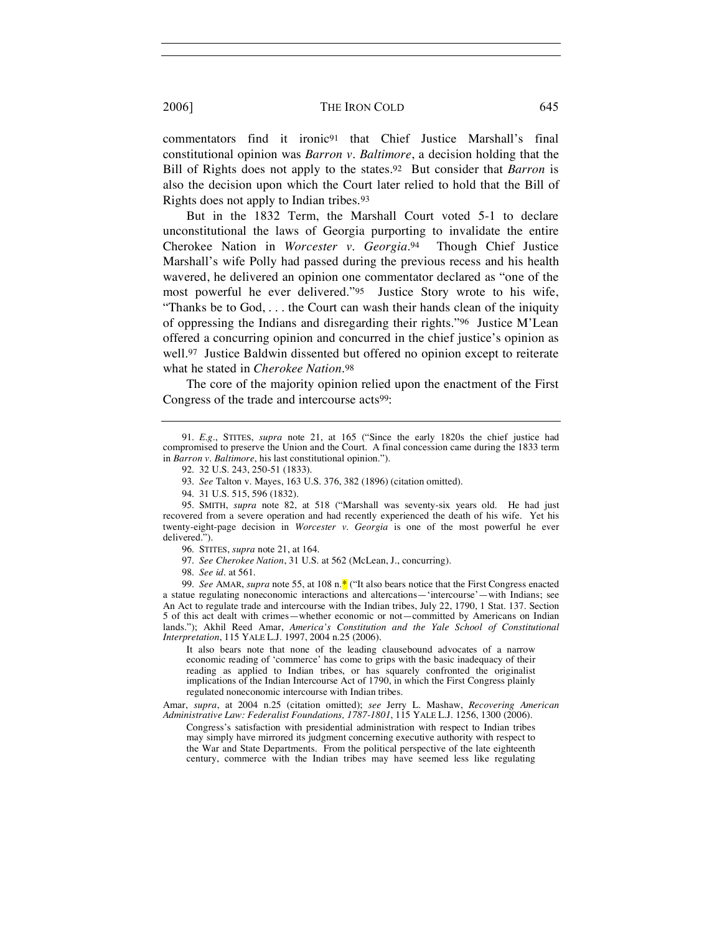commentators find it ironic91 that Chief Justice Marshall's final constitutional opinion was *Barron v. Baltimore*, a decision holding that the Bill of Rights does not apply to the states.92 But consider that *Barron* is also the decision upon which the Court later relied to hold that the Bill of Rights does not apply to Indian tribes.93

But in the 1832 Term, the Marshall Court voted 5-1 to declare unconstitutional the laws of Georgia purporting to invalidate the entire Cherokee Nation in *Worcester v. Georgia*.94 Though Chief Justice Marshall's wife Polly had passed during the previous recess and his health wavered, he delivered an opinion one commentator declared as "one of the most powerful he ever delivered."95 Justice Story wrote to his wife, "Thanks be to God, . . . the Court can wash their hands clean of the iniquity of oppressing the Indians and disregarding their rights."96 Justice M'Lean offered a concurring opinion and concurred in the chief justice's opinion as well.97 Justice Baldwin dissented but offered no opinion except to reiterate what he stated in *Cherokee Nation*.98

The core of the majority opinion relied upon the enactment of the First Congress of the trade and intercourse acts99:

99*. See* AMAR, *supra* note 55, at 108 n.\* ("It also bears notice that the First Congress enacted a statue regulating noneconomic interactions and altercations—'intercourse'—with Indians; see An Act to regulate trade and intercourse with the Indian tribes, July 22, 1790, 1 Stat. 137. Section 5 of this act dealt with crimes—whether economic or not—committed by Americans on Indian lands."); Akhil Reed Amar, *America's Constitution and the Yale School of Constitutional Interpretation*, 115 YALE L.J. 1997, 2004 n.25 (2006).

It also bears note that none of the leading clausebound advocates of a narrow economic reading of 'commerce' has come to grips with the basic inadequacy of their reading as applied to Indian tribes, or has squarely confronted the originalist implications of the Indian Intercourse Act of 1790, in which the First Congress plainly regulated noneconomic intercourse with Indian tribes.

Amar, *supra*, at 2004 n.25 (citation omitted); *see* Jerry L. Mashaw, *Recovering American Administrative Law: Federalist Foundations, 1787-1801*, 115 YALE L.J. 1256, 1300 (2006).

Congress's satisfaction with presidential administration with respect to Indian tribes may simply have mirrored its judgment concerning executive authority with respect to the War and State Departments. From the political perspective of the late eighteenth century, commerce with the Indian tribes may have seemed less like regulating

<sup>91</sup>*. E.g.*, STITES, *supra* note 21, at 165 ("Since the early 1820s the chief justice had compromised to preserve the Union and the Court. A final concession came during the 1833 term in *Barron v. Baltimore*, his last constitutional opinion.").

<sup>92.</sup> 32 U.S. 243, 250-51 (1833).

<sup>93</sup>*. See* Talton v. Mayes, 163 U.S. 376, 382 (1896) (citation omitted).

<sup>94.</sup> 31 U.S. 515, 596 (1832).

<sup>95.</sup> SMITH, *supra* note 82, at 518 ("Marshall was seventy-six years old. He had just recovered from a severe operation and had recently experienced the death of his wife. Yet his twenty-eight-page decision in *Worcester v. Georgia* is one of the most powerful he ever delivered.").

<sup>96.</sup> STITES, *supra* note 21, at 164.

<sup>97</sup>*. See Cherokee Nation*, 31 U.S. at 562 (McLean, J., concurring).

<sup>98</sup>*. See id.* at 561.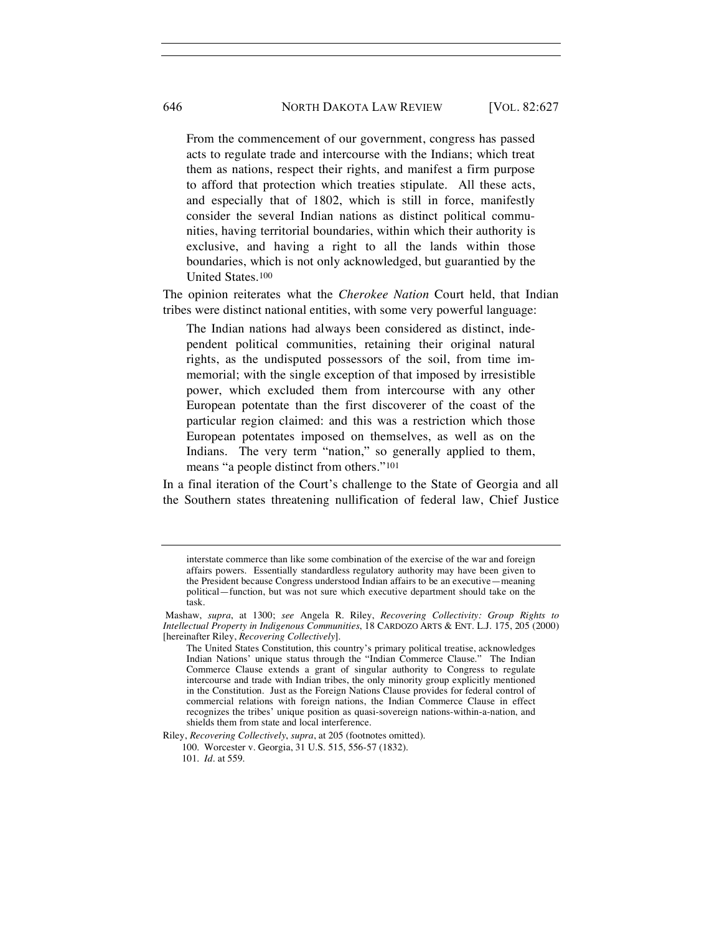From the commencement of our government, congress has passed acts to regulate trade and intercourse with the Indians; which treat them as nations, respect their rights, and manifest a firm purpose to afford that protection which treaties stipulate. All these acts, and especially that of 1802, which is still in force, manifestly consider the several Indian nations as distinct political communities, having territorial boundaries, within which their authority is exclusive, and having a right to all the lands within those boundaries, which is not only acknowledged, but guarantied by the United States.100

The opinion reiterates what the *Cherokee Nation* Court held, that Indian tribes were distinct national entities, with some very powerful language:

The Indian nations had always been considered as distinct, independent political communities, retaining their original natural rights, as the undisputed possessors of the soil, from time immemorial; with the single exception of that imposed by irresistible power, which excluded them from intercourse with any other European potentate than the first discoverer of the coast of the particular region claimed: and this was a restriction which those European potentates imposed on themselves, as well as on the Indians. The very term "nation," so generally applied to them, means "a people distinct from others."101

In a final iteration of the Court's challenge to the State of Georgia and all the Southern states threatening nullification of federal law, Chief Justice

interstate commerce than like some combination of the exercise of the war and foreign affairs powers. Essentially standardless regulatory authority may have been given to the President because Congress understood Indian affairs to be an executive—meaning political—function, but was not sure which executive department should take on the task.

Mashaw, *supra*, at 1300; *see* Angela R. Riley, *Recovering Collectivity: Group Rights to Intellectual Property in Indigenous Communities*, 18 CARDOZO ARTS & ENT. L.J. 175, 205 (2000) [hereinafter Riley, *Recovering Collectively*].

The United States Constitution, this country's primary political treatise, acknowledges Indian Nations' unique status through the "Indian Commerce Clause." The Indian Commerce Clause extends a grant of singular authority to Congress to regulate intercourse and trade with Indian tribes, the only minority group explicitly mentioned in the Constitution. Just as the Foreign Nations Clause provides for federal control of commercial relations with foreign nations, the Indian Commerce Clause in effect recognizes the tribes' unique position as quasi-sovereign nations-within-a-nation, and shields them from state and local interference.

Riley, *Recovering Collectively*, *supra*, at 205 (footnotes omitted).

<sup>100</sup>*.* Worcester v. Georgia, 31 U.S. 515, 556-57 (1832). 101*. Id.* at 559.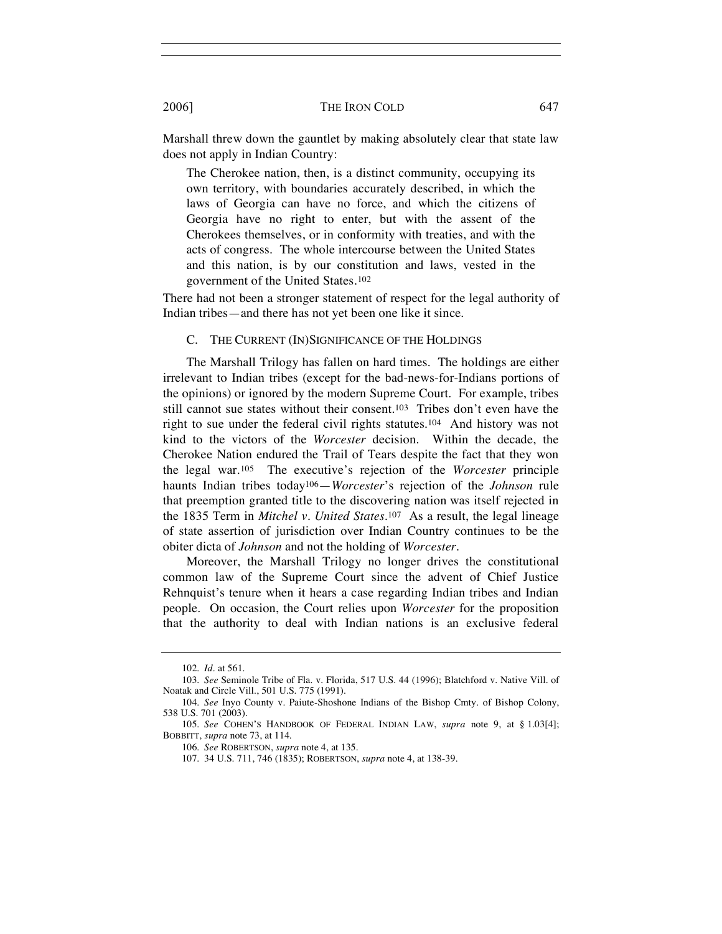Marshall threw down the gauntlet by making absolutely clear that state law does not apply in Indian Country:

The Cherokee nation, then, is a distinct community, occupying its own territory, with boundaries accurately described, in which the laws of Georgia can have no force, and which the citizens of Georgia have no right to enter, but with the assent of the Cherokees themselves, or in conformity with treaties, and with the acts of congress. The whole intercourse between the United States and this nation, is by our constitution and laws, vested in the government of the United States.102

There had not been a stronger statement of respect for the legal authority of Indian tribes—and there has not yet been one like it since.

#### C. THE CURRENT (IN)SIGNIFICANCE OF THE HOLDINGS

The Marshall Trilogy has fallen on hard times. The holdings are either irrelevant to Indian tribes (except for the bad-news-for-Indians portions of the opinions) or ignored by the modern Supreme Court. For example, tribes still cannot sue states without their consent.103 Tribes don't even have the right to sue under the federal civil rights statutes.104 And history was not kind to the victors of the *Worcester* decision. Within the decade, the Cherokee Nation endured the Trail of Tears despite the fact that they won the legal war.105 The executive's rejection of the *Worcester* principle haunts Indian tribes today106—*Worcester*'s rejection of the *Johnson* rule that preemption granted title to the discovering nation was itself rejected in the 1835 Term in *Mitchel v. United States*.107 As a result, the legal lineage of state assertion of jurisdiction over Indian Country continues to be the obiter dicta of *Johnson* and not the holding of *Worcester*.

Moreover, the Marshall Trilogy no longer drives the constitutional common law of the Supreme Court since the advent of Chief Justice Rehnquist's tenure when it hears a case regarding Indian tribes and Indian people. On occasion, the Court relies upon *Worcester* for the proposition that the authority to deal with Indian nations is an exclusive federal

<sup>102</sup>*. Id.* at 561.

<sup>103</sup>*. See* Seminole Tribe of Fla. v. Florida, 517 U.S. 44 (1996); Blatchford v. Native Vill. of Noatak and Circle Vill., 501 U.S. 775 (1991).

<sup>104</sup>*. See* Inyo County v. Paiute-Shoshone Indians of the Bishop Cmty. of Bishop Colony, 538 U.S. 701 (2003).

<sup>105</sup>*. See* COHEN'S HANDBOOK OF FEDERAL INDIAN LAW, *supra* note 9, at § 1.03[4]; BOBBITT, *supra* note 73, at 114.

<sup>106</sup>*. See* ROBERTSON, *supra* note 4, at 135.

<sup>107.</sup> 34 U.S. 711, 746 (1835); ROBERTSON, *supra* note 4, at 138-39.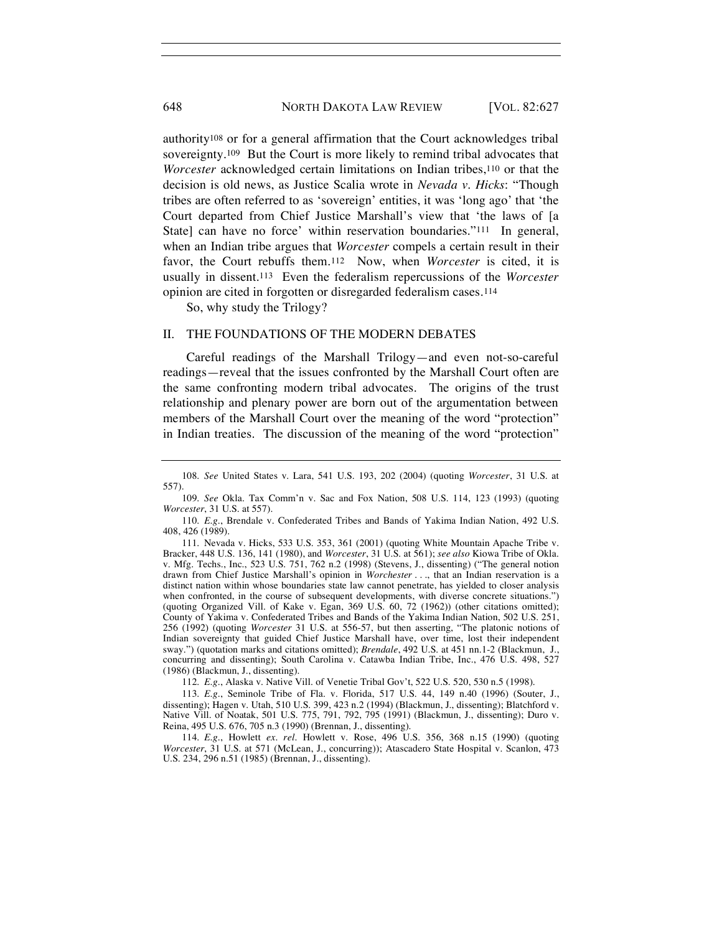authority108 or for a general affirmation that the Court acknowledges tribal sovereignty.109 But the Court is more likely to remind tribal advocates that *Worcester* acknowledged certain limitations on Indian tribes,<sup>110</sup> or that the decision is old news, as Justice Scalia wrote in *Nevada v. Hicks*: "Though tribes are often referred to as 'sovereign' entities, it was 'long ago' that 'the Court departed from Chief Justice Marshall's view that 'the laws of [a State] can have no force' within reservation boundaries."<sup>111</sup> In general, when an Indian tribe argues that *Worcester* compels a certain result in their favor, the Court rebuffs them.112 Now, when *Worcester* is cited, it is usually in dissent.113 Even the federalism repercussions of the *Worcester* opinion are cited in forgotten or disregarded federalism cases.114

So, why study the Trilogy?

#### II. THE FOUNDATIONS OF THE MODERN DEBATES

Careful readings of the Marshall Trilogy—and even not-so-careful readings—reveal that the issues confronted by the Marshall Court often are the same confronting modern tribal advocates. The origins of the trust relationship and plenary power are born out of the argumentation between members of the Marshall Court over the meaning of the word "protection" in Indian treaties. The discussion of the meaning of the word "protection"

111. Nevada v. Hicks, 533 U.S. 353, 361 (2001) (quoting White Mountain Apache Tribe v. Bracker, 448 U.S. 136, 141 (1980), and *Worcester*, 31 U.S. at 561); *see also* Kiowa Tribe of Okla. v. Mfg. Techs., Inc., 523 U.S. 751, 762 n.2 (1998) (Stevens, J., dissenting) ("The general notion drawn from Chief Justice Marshall's opinion in *Worchester* . . ., that an Indian reservation is a distinct nation within whose boundaries state law cannot penetrate, has yielded to closer analysis when confronted, in the course of subsequent developments, with diverse concrete situations.") (quoting Organized Vill. of Kake v. Egan, 369 U.S. 60, 72 (1962)) (other citations omitted); County of Yakima v. Confederated Tribes and Bands of the Yakima Indian Nation, 502 U.S. 251, 256 (1992) (quoting *Worcester* 31 U.S. at 556-57, but then asserting, "The platonic notions of Indian sovereignty that guided Chief Justice Marshall have, over time, lost their independent sway.") (quotation marks and citations omitted); *Brendale*, 492 U.S. at 451 nn.1-2 (Blackmun, J., concurring and dissenting); South Carolina v. Catawba Indian Tribe, Inc., 476 U.S. 498, 527 (1986) (Blackmun, J., dissenting).

112*. E.g.*, Alaska v. Native Vill. of Venetie Tribal Gov't, 522 U.S. 520, 530 n.5 (1998).

113*. E.g.*, Seminole Tribe of Fla. v. Florida, 517 U.S. 44, 149 n.40 (1996) (Souter, J., dissenting); Hagen v. Utah, 510 U.S. 399, 423 n.2 (1994) (Blackmun, J., dissenting); Blatchford v. Native Vill. of Noatak, 501 U.S. 775, 791, 792, 795 (1991) (Blackmun, J., dissenting); Duro v. Reina, 495 U.S. 676, 705 n.3 (1990) (Brennan, J., dissenting).

114*. E.g.*, Howlett *ex. rel*. Howlett v. Rose, 496 U.S. 356, 368 n.15 (1990) (quoting *Worcester*, 31 U.S. at 571 (McLean, J., concurring)); Atascadero State Hospital v. Scanlon, 473 U.S. 234, 296 n.51 (1985) (Brennan, J., dissenting).

<sup>108</sup>*. See* United States v. Lara, 541 U.S. 193, 202 (2004) (quoting *Worcester*, 31 U.S. at 557).

<sup>109</sup>*. See* Okla. Tax Comm'n v. Sac and Fox Nation, 508 U.S. 114, 123 (1993) (quoting *Worcester*, 31 U.S. at 557).

<sup>110</sup>*. E.g.*, Brendale v. Confederated Tribes and Bands of Yakima Indian Nation, 492 U.S. 408, 426 (1989).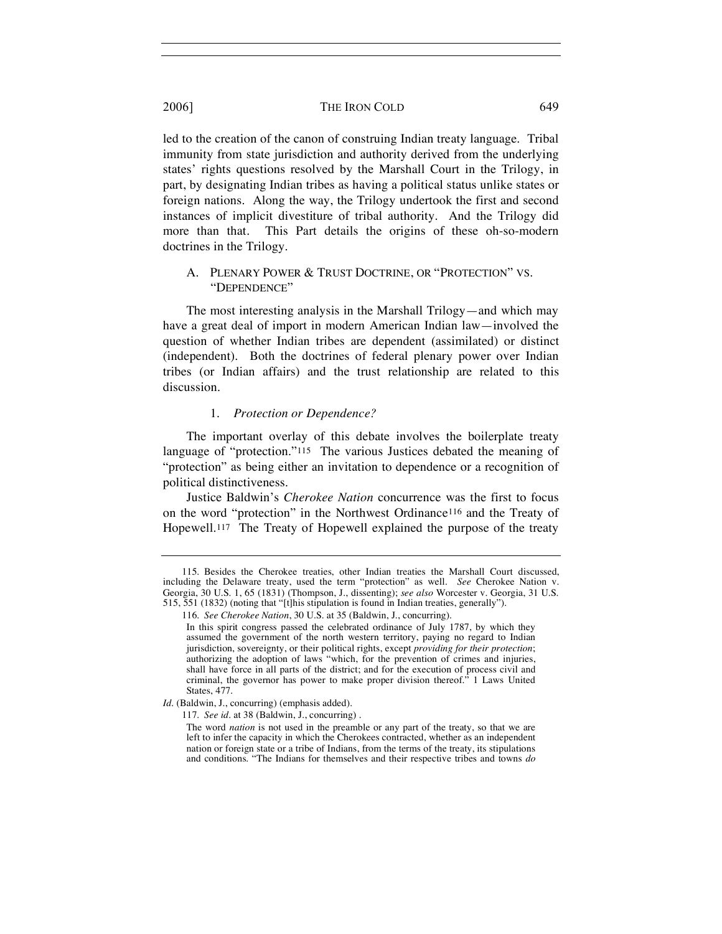led to the creation of the canon of construing Indian treaty language. Tribal immunity from state jurisdiction and authority derived from the underlying states' rights questions resolved by the Marshall Court in the Trilogy, in part, by designating Indian tribes as having a political status unlike states or foreign nations. Along the way, the Trilogy undertook the first and second instances of implicit divestiture of tribal authority. And the Trilogy did more than that. This Part details the origins of these oh-so-modern doctrines in the Trilogy.

# A. PLENARY POWER & TRUST DOCTRINE, OR "PROTECTION" VS. "DEPENDENCE"

The most interesting analysis in the Marshall Trilogy—and which may have a great deal of import in modern American Indian law—involved the question of whether Indian tribes are dependent (assimilated) or distinct (independent). Both the doctrines of federal plenary power over Indian tribes (or Indian affairs) and the trust relationship are related to this discussion.

# 1. *Protection or Dependence?*

The important overlay of this debate involves the boilerplate treaty language of "protection."115 The various Justices debated the meaning of "protection" as being either an invitation to dependence or a recognition of political distinctiveness.

Justice Baldwin's *Cherokee Nation* concurrence was the first to focus on the word "protection" in the Northwest Ordinance116 and the Treaty of Hopewell.117 The Treaty of Hopewell explained the purpose of the treaty

117*. See id*. at 38 (Baldwin, J., concurring) .

<sup>115.</sup> Besides the Cherokee treaties, other Indian treaties the Marshall Court discussed, including the Delaware treaty, used the term "protection" as well. *See* Cherokee Nation v. Georgia, 30 U.S. 1, 65 (1831) (Thompson, J., dissenting); *see also* Worcester v. Georgia, 31 U.S. 515, 551 (1832) (noting that "[t]his stipulation is found in Indian treaties, generally").

<sup>116</sup>*. See Cherokee Nation*, 30 U.S. at 35 (Baldwin, J., concurring).

In this spirit congress passed the celebrated ordinance of July 1787, by which they assumed the government of the north western territory, paying no regard to Indian jurisdiction, sovereignty, or their political rights, except *providing for their protection*; authorizing the adoption of laws "which, for the prevention of crimes and injuries, shall have force in all parts of the district; and for the execution of process civil and criminal, the governor has power to make proper division thereof." 1 Laws United States, 477.

*Id.* (Baldwin, J., concurring) (emphasis added).

The word *nation* is not used in the preamble or any part of the treaty, so that we are left to infer the capacity in which the Cherokees contracted, whether as an independent nation or foreign state or a tribe of Indians, from the terms of the treaty, its stipulations and conditions. "The Indians for themselves and their respective tribes and towns *do*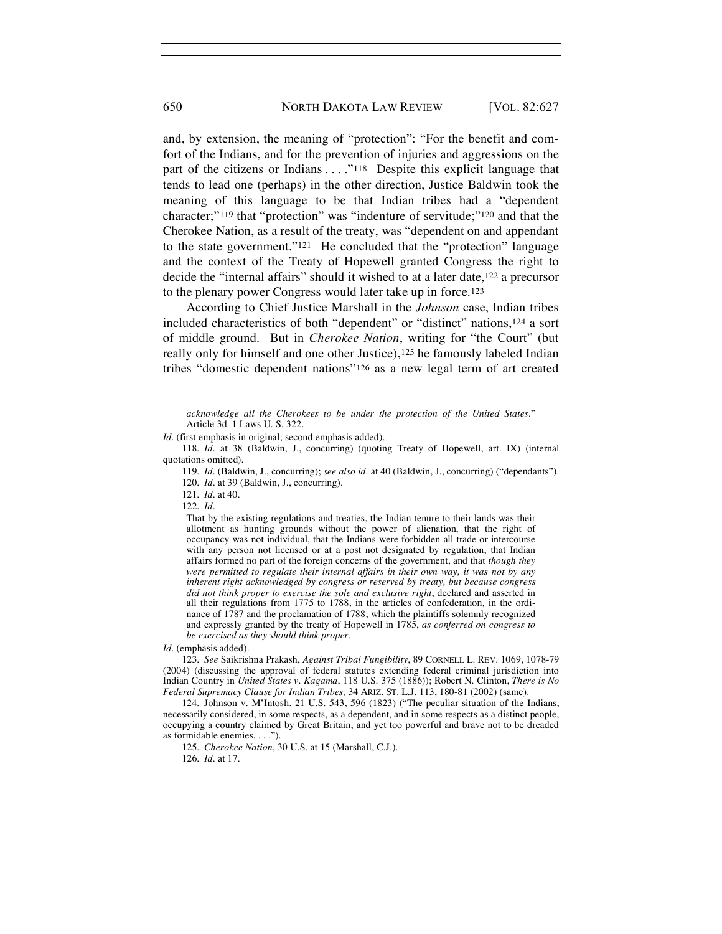and, by extension, the meaning of "protection": "For the benefit and comfort of the Indians, and for the prevention of injuries and aggressions on the part of the citizens or Indians . . . . "<sup>118</sup> Despite this explicit language that tends to lead one (perhaps) in the other direction, Justice Baldwin took the meaning of this language to be that Indian tribes had a "dependent character;"119 that "protection" was "indenture of servitude;"120 and that the Cherokee Nation, as a result of the treaty, was "dependent on and appendant to the state government."121 He concluded that the "protection" language and the context of the Treaty of Hopewell granted Congress the right to decide the "internal affairs" should it wished to at a later date,122 a precursor to the plenary power Congress would later take up in force.123

According to Chief Justice Marshall in the *Johnson* case, Indian tribes included characteristics of both "dependent" or "distinct" nations,124 a sort of middle ground. But in *Cherokee Nation*, writing for "the Court" (but really only for himself and one other Justice),125 he famously labeled Indian tribes "domestic dependent nations"126 as a new legal term of art created

*Id.* (first emphasis in original; second emphasis added).

120*. Id*. at 39 (Baldwin, J., concurring).

121*. Id*. at 40.

122*. Id*.

That by the existing regulations and treaties, the Indian tenure to their lands was their allotment as hunting grounds without the power of alienation, that the right of occupancy was not individual, that the Indians were forbidden all trade or intercourse with any person not licensed or at a post not designated by regulation, that Indian affairs formed no part of the foreign concerns of the government, and that *though they were permitted to regulate their internal affairs in their own way, it was not by any inherent right acknowledged by congress or reserved by treaty, but because congress did not think proper to exercise the sole and exclusive right*, declared and asserted in all their regulations from 1775 to 1788, in the articles of confederation, in the ordinance of 1787 and the proclamation of 1788; which the plaintiffs solemnly recognized and expressly granted by the treaty of Hopewell in 1785, *as conferred on congress to be exercised as they should think proper*.

Id. (emphasis added).

123*. See* Saikrishna Prakash, *Against Tribal Fungibility*, 89 CORNELL L. REV. 1069, 1078-79 (2004) (discussing the approval of federal statutes extending federal criminal jurisdiction into Indian Country in *United States v. Kagama*, 118 U.S. 375 (1886)); Robert N. Clinton, *There is No Federal Supremacy Clause for Indian Tribes,* 34 ARIZ. ST. L.J. 113, 180-81 (2002) (same).

124*.* Johnson v. M'Intosh, 21 U.S. 543, 596 (1823) ("The peculiar situation of the Indians, necessarily considered, in some respects, as a dependent, and in some respects as a distinct people, occupying a country claimed by Great Britain, and yet too powerful and brave not to be dreaded as formidable enemies. . . .").

125*. Cherokee Nation*, 30 U.S. at 15 (Marshall, C.J.).

126*. Id.* at 17.

*acknowledge all the Cherokees to be under the protection of the United States*." Article 3d. 1 Laws U. S. 322.

<sup>118</sup>*. Id*. at 38 (Baldwin, J., concurring) (quoting Treaty of Hopewell, art. IX) (internal quotations omitted).

<sup>119</sup>*. Id*. (Baldwin, J., concurring); *see also id*. at 40 (Baldwin, J., concurring) ("dependants").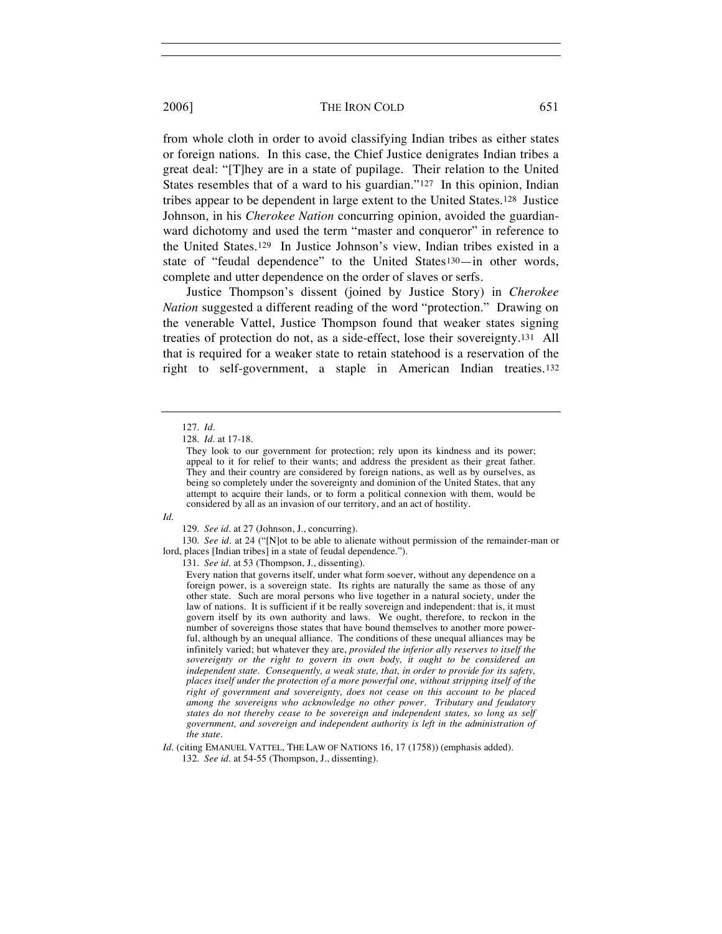from whole cloth in order to avoid classifying Indian tribes as either states or foreign nations. In this case, the Chief Justice denigrates Indian tribes a great deal: "[T]hey are in a state of pupilage. Their relation to the United States resembles that of a ward to his guardian."<sup>127</sup> In this opinion, Indian tribes appear to be dependent in large extent to the United States.128 Justice Johnson, in his *Cherokee Nation* concurring opinion, avoided the guardianward dichotomy and used the term "master and conqueror" in reference to the United States.129 In Justice Johnson's view, Indian tribes existed in a state of "feudal dependence" to the United States130—in other words, complete and utter dependence on the order of slaves or serfs.

Justice Thompson's dissent (joined by Justice Story) in *Cherokee Nation* suggested a different reading of the word "protection." Drawing on the venerable Vattel, Justice Thompson found that weaker states signing treaties of protection do not, as a side-effect, lose their sovereignty.131 All that is required for a weaker state to retain statehood is a reservation of the right to self-government, a staple in American Indian treaties.132

*Id.* 

129*. See id.* at 27 (Johnson, J., concurring).

130*. See id.* at 24 ("[N]ot to be able to alienate without permission of the remainder-man or lord, places [Indian tribes] in a state of feudal dependence.").

131*. See id.* at 53 (Thompson, J., dissenting).

Every nation that governs itself, under what form soever, without any dependence on a foreign power, is a sovereign state. Its rights are naturally the same as those of any other state. Such are moral persons who live together in a natural society, under the law of nations. It is sufficient if it be really sovereign and independent: that is, it must govern itself by its own authority and laws. We ought, therefore, to reckon in the number of sovereigns those states that have bound themselves to another more powerful, although by an unequal alliance. The conditions of these unequal alliances may be infinitely varied; but whatever they are, *provided the inferior ally reserves to itself the sovereignty or the right to govern its own body, it ought to be considered an independent state. Consequently, a weak state, that, in order to provide for its safety, places itself under the protection of a more powerful one, without stripping itself of the right of government and sovereignty, does not cease on this account to be placed among the sovereigns who acknowledge no other power. Tributary and feudatory states do not thereby cease to be sovereign and independent states, so long as self government, and sovereign and independent authority is left in the administration of the state*.

<sup>127</sup>*. Id*.

<sup>128</sup>*. Id*. at 17-18.

They look to our government for protection; rely upon its kindness and its power; appeal to it for relief to their wants; and address the president as their great father. They and their country are considered by foreign nations, as well as by ourselves, as being so completely under the sovereignty and dominion of the United States, that any attempt to acquire their lands, or to form a political connexion with them, would be considered by all as an invasion of our territory, and an act of hostility*.*

Id. (citing EMANUEL VATTEL, THE LAW OF NATIONS 16, 17 (1758)) (emphasis added). 132*. See id*. at 54-55 (Thompson, J., dissenting).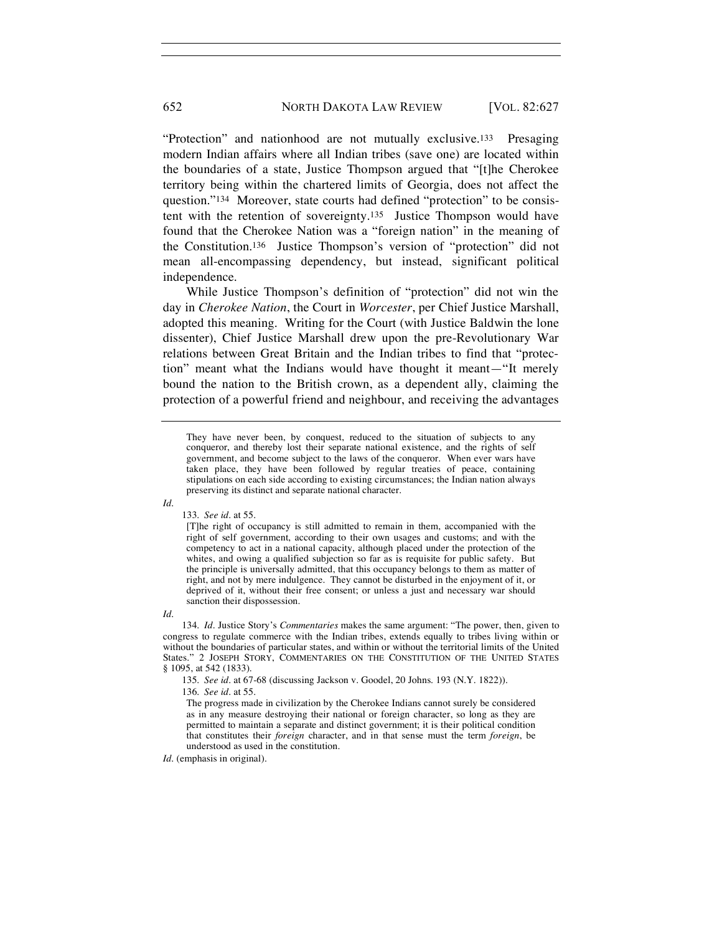"Protection" and nationhood are not mutually exclusive.133 Presaging modern Indian affairs where all Indian tribes (save one) are located within the boundaries of a state, Justice Thompson argued that "[t]he Cherokee territory being within the chartered limits of Georgia, does not affect the question."134 Moreover, state courts had defined "protection" to be consistent with the retention of sovereignty.135 Justice Thompson would have found that the Cherokee Nation was a "foreign nation" in the meaning of the Constitution.136 Justice Thompson's version of "protection" did not mean all-encompassing dependency, but instead, significant political independence.

While Justice Thompson's definition of "protection" did not win the day in *Cherokee Nation*, the Court in *Worcester*, per Chief Justice Marshall, adopted this meaning. Writing for the Court (with Justice Baldwin the lone dissenter), Chief Justice Marshall drew upon the pre-Revolutionary War relations between Great Britain and the Indian tribes to find that "protection" meant what the Indians would have thought it meant—"It merely bound the nation to the British crown, as a dependent ally, claiming the protection of a powerful friend and neighbour, and receiving the advantages

They have never been, by conquest, reduced to the situation of subjects to any conqueror, and thereby lost their separate national existence, and the rights of self government, and become subject to the laws of the conqueror. When ever wars have taken place, they have been followed by regular treaties of peace, containing stipulations on each side according to existing circumstances; the Indian nation always preserving its distinct and separate national character.

*Id.*

133*. See id*. at 55.

[T]he right of occupancy is still admitted to remain in them, accompanied with the right of self government, according to their own usages and customs; and with the competency to act in a national capacity, although placed under the protection of the whites, and owing a qualified subjection so far as is requisite for public safety. But the principle is universally admitted, that this occupancy belongs to them as matter of right, and not by mere indulgence. They cannot be disturbed in the enjoyment of it, or deprived of it, without their free consent; or unless a just and necessary war should sanction their dispossession.

*Id.*

134*. Id*. Justice Story's *Commentaries* makes the same argument: "The power, then, given to congress to regulate commerce with the Indian tribes, extends equally to tribes living within or without the boundaries of particular states, and within or without the territorial limits of the United States." 2 JOSEPH STORY, COMMENTARIES ON THE CONSTITUTION OF THE UNITED STATES § 1095, at 542 (1833).

135*. See id*. at 67-68 (discussing Jackson v. Goodel, 20 Johns. 193 (N.Y. 1822)).

136*. See id*. at 55.

The progress made in civilization by the Cherokee Indians cannot surely be considered as in any measure destroying their national or foreign character, so long as they are permitted to maintain a separate and distinct government; it is their political condition that constitutes their *foreign* character, and in that sense must the term *foreign*, be understood as used in the constitution.

*Id.* (emphasis in original).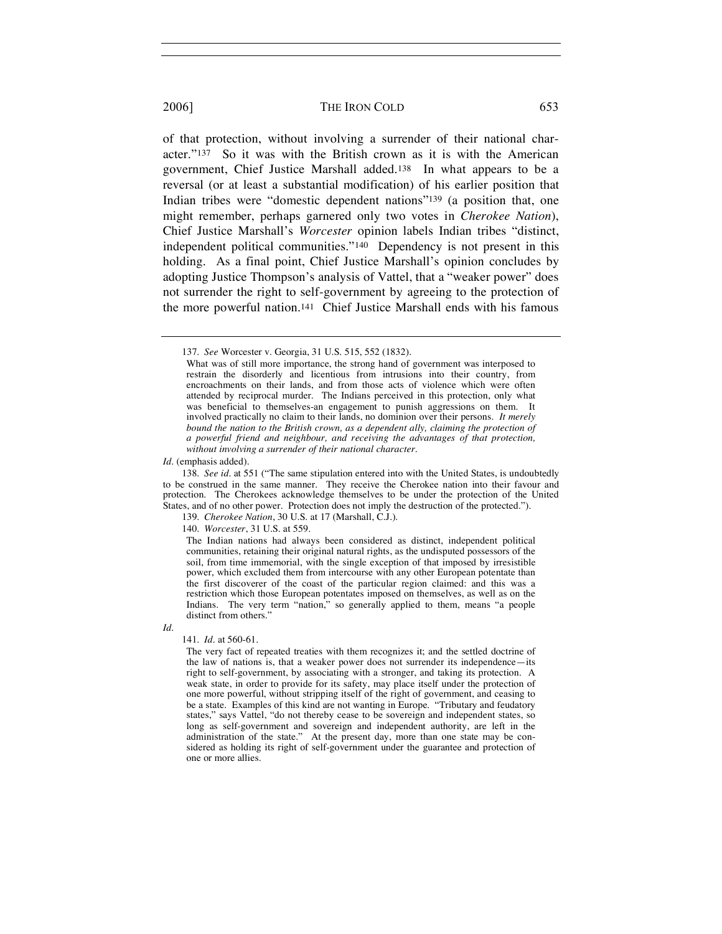of that protection, without involving a surrender of their national character."137 So it was with the British crown as it is with the American government, Chief Justice Marshall added.138 In what appears to be a reversal (or at least a substantial modification) of his earlier position that Indian tribes were "domestic dependent nations"139 (a position that, one might remember, perhaps garnered only two votes in *Cherokee Nation*), Chief Justice Marshall's *Worcester* opinion labels Indian tribes "distinct, independent political communities."140 Dependency is not present in this holding. As a final point, Chief Justice Marshall's opinion concludes by adopting Justice Thompson's analysis of Vattel, that a "weaker power" does not surrender the right to self-government by agreeing to the protection of the more powerful nation.141 Chief Justice Marshall ends with his famous

139*. Cherokee Nation*, 30 U.S. at 17 (Marshall, C.J.).

140*. Worcester*, 31 U.S. at 559.

The Indian nations had always been considered as distinct, independent political communities, retaining their original natural rights, as the undisputed possessors of the soil, from time immemorial, with the single exception of that imposed by irresistible power, which excluded them from intercourse with any other European potentate than the first discoverer of the coast of the particular region claimed: and this was a restriction which those European potentates imposed on themselves, as well as on the Indians. The very term "nation," so generally applied to them, means "a people distinct from others."

*Id.*

#### 141*. Id.* at 560-61.

The very fact of repeated treaties with them recognizes it; and the settled doctrine of the law of nations is, that a weaker power does not surrender its independence—its right to self-government, by associating with a stronger, and taking its protection. A weak state, in order to provide for its safety, may place itself under the protection of one more powerful, without stripping itself of the right of government, and ceasing to be a state. Examples of this kind are not wanting in Europe. "Tributary and feudatory states," says Vattel, "do not thereby cease to be sovereign and independent states, so long as self-government and sovereign and independent authority, are left in the administration of the state." At the present day, more than one state may be considered as holding its right of self-government under the guarantee and protection of one or more allies.

<sup>137</sup>*. See* Worcester v. Georgia, 31 U.S. 515, 552 (1832).

What was of still more importance, the strong hand of government was interposed to restrain the disorderly and licentious from intrusions into their country, from encroachments on their lands, and from those acts of violence which were often attended by reciprocal murder. The Indians perceived in this protection, only what was beneficial to themselves-an engagement to punish aggressions on them. It involved practically no claim to their lands, no dominion over their persons. *It merely bound the nation to the British crown, as a dependent ally, claiming the protection of a powerful friend and neighbour, and receiving the advantages of that protection, without involving a surrender of their national character*.

*Id.* (emphasis added).

<sup>138</sup>*. See id.* at 551 ("The same stipulation entered into with the United States, is undoubtedly to be construed in the same manner. They receive the Cherokee nation into their favour and protection. The Cherokees acknowledge themselves to be under the protection of the United States, and of no other power. Protection does not imply the destruction of the protected.").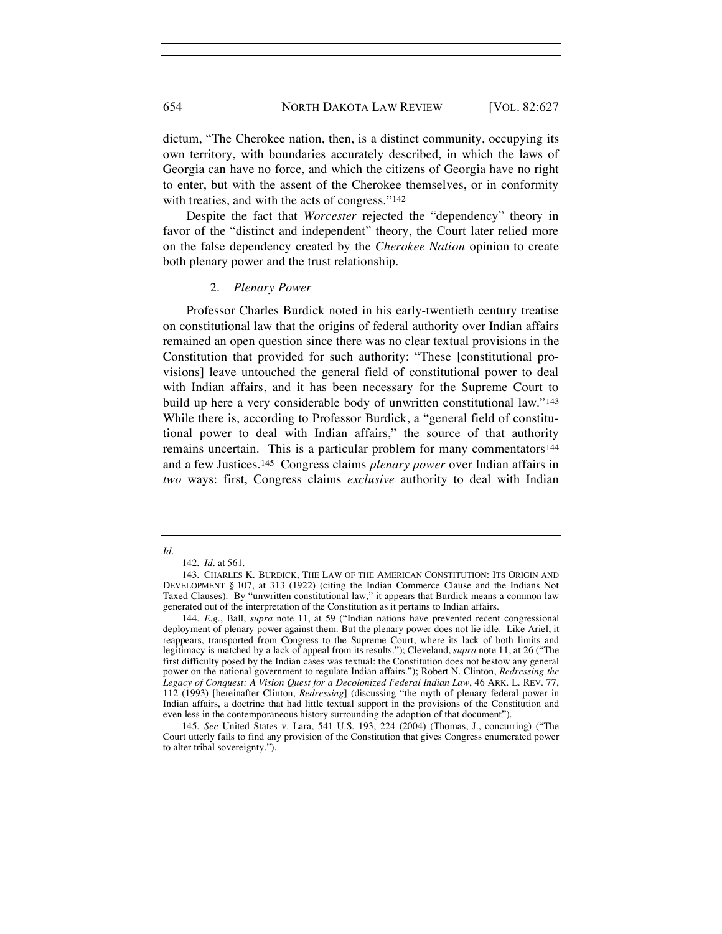dictum, "The Cherokee nation, then, is a distinct community, occupying its own territory, with boundaries accurately described, in which the laws of Georgia can have no force, and which the citizens of Georgia have no right to enter, but with the assent of the Cherokee themselves, or in conformity with treaties, and with the acts of congress."<sup>142</sup>

Despite the fact that *Worcester* rejected the "dependency" theory in favor of the "distinct and independent" theory, the Court later relied more on the false dependency created by the *Cherokee Nation* opinion to create both plenary power and the trust relationship.

#### 2. *Plenary Power*

Professor Charles Burdick noted in his early-twentieth century treatise on constitutional law that the origins of federal authority over Indian affairs remained an open question since there was no clear textual provisions in the Constitution that provided for such authority: "These [constitutional provisions] leave untouched the general field of constitutional power to deal with Indian affairs, and it has been necessary for the Supreme Court to build up here a very considerable body of unwritten constitutional law."143 While there is, according to Professor Burdick, a "general field of constitutional power to deal with Indian affairs," the source of that authority remains uncertain. This is a particular problem for many commentators<sup>144</sup> and a few Justices.145 Congress claims *plenary power* over Indian affairs in *two* ways: first, Congress claims *exclusive* authority to deal with Indian

*Id.*

<sup>142</sup>*. Id.* at 561.

<sup>143.</sup> CHARLES K. BURDICK, THE LAW OF THE AMERICAN CONSTITUTION: ITS ORIGIN AND DEVELOPMENT § 107, at 313 (1922) (citing the Indian Commerce Clause and the Indians Not Taxed Clauses). By "unwritten constitutional law," it appears that Burdick means a common law generated out of the interpretation of the Constitution as it pertains to Indian affairs.

<sup>144</sup>*. E.g.*, Ball, *supra* note 11, at 59 ("Indian nations have prevented recent congressional deployment of plenary power against them. But the plenary power does not lie idle. Like Ariel, it reappears, transported from Congress to the Supreme Court, where its lack of both limits and legitimacy is matched by a lack of appeal from its results."); Cleveland, *supra* note 11, at 26 ("The first difficulty posed by the Indian cases was textual: the Constitution does not bestow any general power on the national government to regulate Indian affairs."); Robert N. Clinton, *Redressing the Legacy of Conquest: A Vision Quest for a Decolonized Federal Indian Law*, 46 ARK. L. REV. 77, 112 (1993) [hereinafter Clinton, *Redressing*] (discussing "the myth of plenary federal power in Indian affairs, a doctrine that had little textual support in the provisions of the Constitution and even less in the contemporaneous history surrounding the adoption of that document").

<sup>145</sup>*. See* United States v. Lara, 541 U.S. 193, 224 (2004) (Thomas, J., concurring) ("The Court utterly fails to find any provision of the Constitution that gives Congress enumerated power to alter tribal sovereignty.").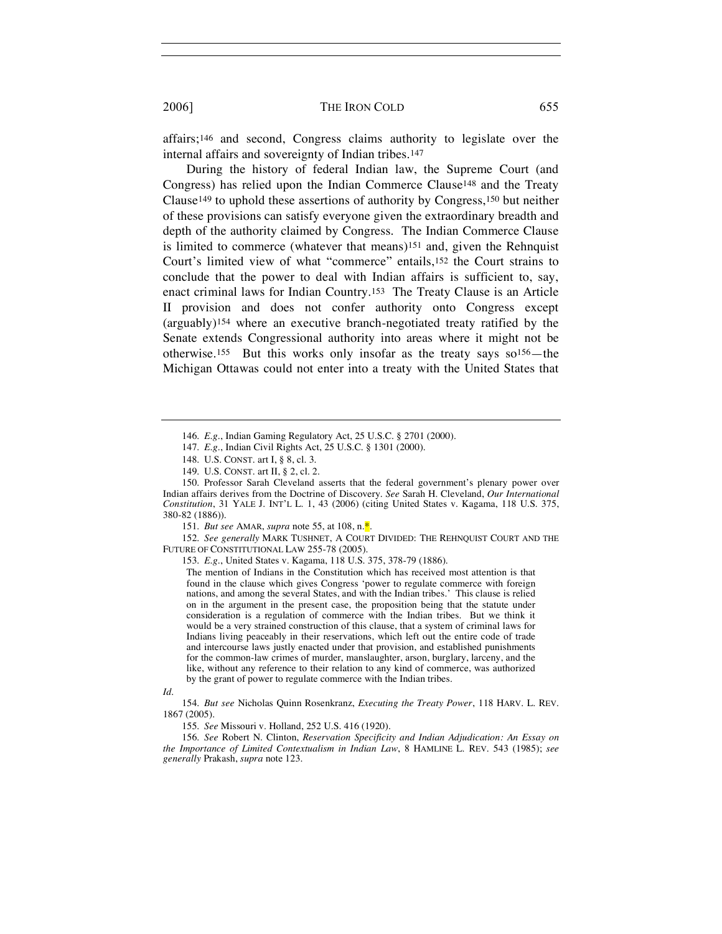affairs;146 and second, Congress claims authority to legislate over the internal affairs and sovereignty of Indian tribes.147

During the history of federal Indian law, the Supreme Court (and Congress) has relied upon the Indian Commerce Clause148 and the Treaty Clause149 to uphold these assertions of authority by Congress,150 but neither of these provisions can satisfy everyone given the extraordinary breadth and depth of the authority claimed by Congress. The Indian Commerce Clause is limited to commerce (whatever that means)151 and, given the Rehnquist Court's limited view of what "commerce" entails,152 the Court strains to conclude that the power to deal with Indian affairs is sufficient to, say, enact criminal laws for Indian Country.153 The Treaty Clause is an Article II provision and does not confer authority onto Congress except (arguably)154 where an executive branch-negotiated treaty ratified by the Senate extends Congressional authority into areas where it might not be otherwise.<sup>155</sup> But this works only insofar as the treaty says  $\frac{156}{-}$ the Michigan Ottawas could not enter into a treaty with the United States that

150. Professor Sarah Cleveland asserts that the federal government's plenary power over Indian affairs derives from the Doctrine of Discovery. *See* Sarah H. Cleveland, *Our International Constitution*, 31 YALE J. INT'L L. 1, 43 (2006) (citing United States v. Kagama, 118 U.S. 375, 380-82 (1886)).

151*. But see* AMAR, *supra* note 55, at 108, n.\*.

152*. See generally* MARK TUSHNET, A COURT DIVIDED: THE REHNQUIST COURT AND THE FUTURE OF CONSTITUTIONAL LAW 255-78 (2005).

153*. E.g.*, United States v. Kagama, 118 U.S. 375, 378-79 (1886).

The mention of Indians in the Constitution which has received most attention is that found in the clause which gives Congress 'power to regulate commerce with foreign nations, and among the several States, and with the Indian tribes.' This clause is relied on in the argument in the present case, the proposition being that the statute under consideration is a regulation of commerce with the Indian tribes. But we think it would be a very strained construction of this clause, that a system of criminal laws for Indians living peaceably in their reservations, which left out the entire code of trade and intercourse laws justly enacted under that provision, and established punishments for the common-law crimes of murder, manslaughter, arson, burglary, larceny, and the like, without any reference to their relation to any kind of commerce, was authorized by the grant of power to regulate commerce with the Indian tribes.

154*. But see* Nicholas Quinn Rosenkranz, *Executing the Treaty Power*, 118 HARV. L. REV. 1867 (2005).

155*. See* Missouri v. Holland, 252 U.S. 416 (1920).

156*. See* Robert N. Clinton, *Reservation Specificity and Indian Adjudication: An Essay on the Importance of Limited Contextualism in Indian Law*, 8 HAMLINE L. REV. 543 (1985); *see generally* Prakash, *supra* note 123.

<sup>146</sup>*. E.g.*, Indian Gaming Regulatory Act, 25 U.S.C. § 2701 (2000).

<sup>147</sup>*. E.g.*, Indian Civil Rights Act, 25 U.S.C. § 1301 (2000).

<sup>148.</sup> U.S. CONST. art I, § 8, cl. 3.

<sup>149.</sup> U.S. CONST. art II, § 2, cl. 2.

*Id.*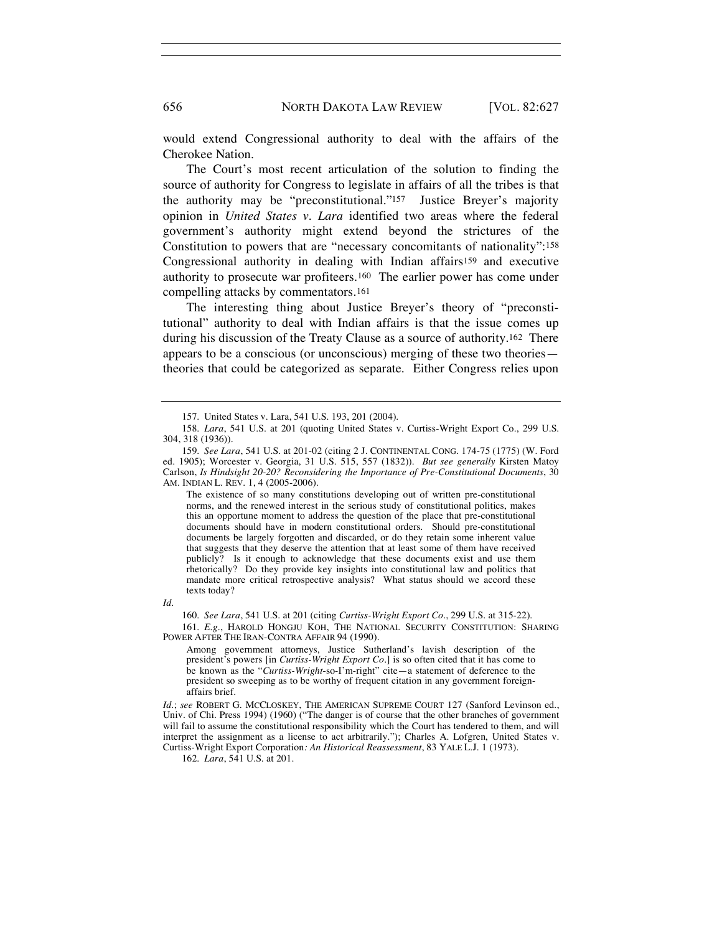would extend Congressional authority to deal with the affairs of the Cherokee Nation.

The Court's most recent articulation of the solution to finding the source of authority for Congress to legislate in affairs of all the tribes is that the authority may be "preconstitutional."157 Justice Breyer's majority opinion in *United States v. Lara* identified two areas where the federal government's authority might extend beyond the strictures of the Constitution to powers that are "necessary concomitants of nationality":158 Congressional authority in dealing with Indian affairs159 and executive authority to prosecute war profiteers.160 The earlier power has come under compelling attacks by commentators.161

The interesting thing about Justice Breyer's theory of "preconstitutional" authority to deal with Indian affairs is that the issue comes up during his discussion of the Treaty Clause as a source of authority.162 There appears to be a conscious (or unconscious) merging of these two theories theories that could be categorized as separate. Either Congress relies upon

The existence of so many constitutions developing out of written pre-constitutional norms, and the renewed interest in the serious study of constitutional politics, makes this an opportune moment to address the question of the place that pre-constitutional documents should have in modern constitutional orders. Should pre-constitutional documents be largely forgotten and discarded, or do they retain some inherent value that suggests that they deserve the attention that at least some of them have received publicly? Is it enough to acknowledge that these documents exist and use them rhetorically? Do they provide key insights into constitutional law and politics that mandate more critical retrospective analysis? What status should we accord these texts today?

*Id.*

160*. See Lara*, 541 U.S. at 201 (citing *Curtiss-Wright Export Co*., 299 U.S. at 315-22).

161*. E.g.*, HAROLD HONGJU KOH, THE NATIONAL SECURITY CONSTITUTION: SHARING POWER AFTER THE IRAN-CONTRA AFFAIR 94 (1990).

Among government attorneys, Justice Sutherland's lavish description of the president's powers [in *Curtiss-Wright Export Co.*] is so often cited that it has come to be known as the "*Curtiss-Wright*-so-I'm-right" cite—a statement of deference to the president so sweeping as to be worthy of frequent citation in any government foreignaffairs brief.

*Id.*; *see* ROBERT G. MCCLOSKEY, THE AMERICAN SUPREME COURT 127 (Sanford Levinson ed., Univ. of Chi. Press 1994) (1960) ("The danger is of course that the other branches of government will fail to assume the constitutional responsibility which the Court has tendered to them, and will interpret the assignment as a license to act arbitrarily."); Charles A. Lofgren, United States v. Curtiss-Wright Export Corporation*: An Historical Reassessment*, 83 YALE L.J. 1 (1973).

162*. Lara*, 541 U.S. at 201.

<sup>157.</sup> United States v. Lara, 541 U.S. 193, 201 (2004).

<sup>158</sup>*. Lara*, 541 U.S. at 201 (quoting United States v. Curtiss-Wright Export Co., 299 U.S. 304, 318 (1936)).

<sup>159</sup>*. See Lara*, 541 U.S. at 201-02 (citing 2 J. CONTINENTAL CONG. 174-75 (1775) (W. Ford ed. 1905); Worcester v. Georgia, 31 U.S. 515, 557 (1832)). *But see generally* Kirsten Matoy Carlson, *Is Hindsight 20-20? Reconsidering the Importance of Pre-Constitutional Documents*, 30 AM. INDIAN L. REV. 1, 4 (2005-2006).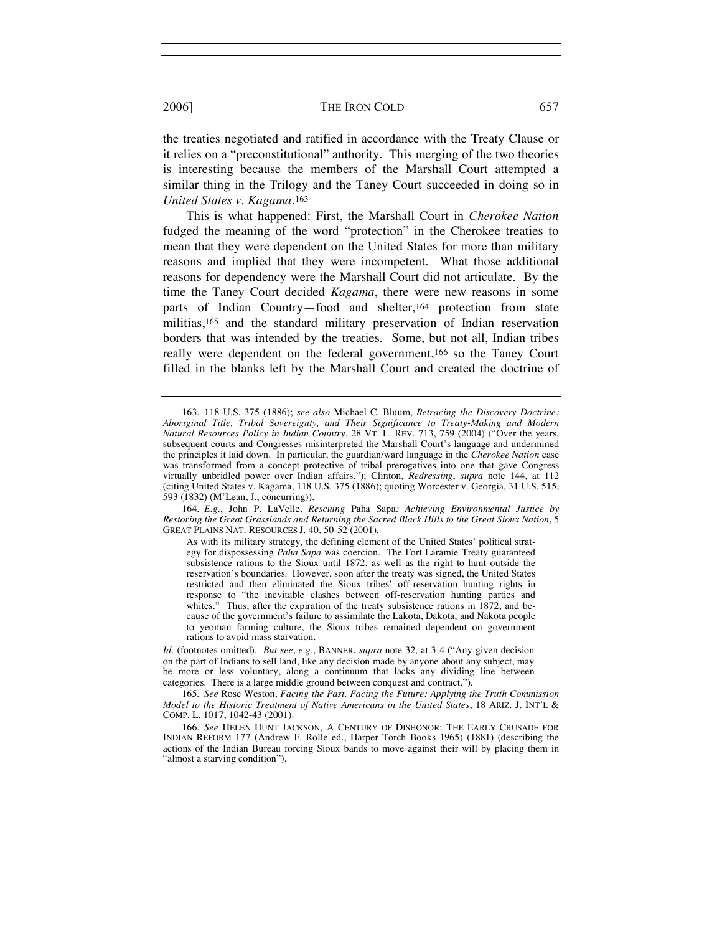the treaties negotiated and ratified in accordance with the Treaty Clause or it relies on a "preconstitutional" authority. This merging of the two theories is interesting because the members of the Marshall Court attempted a similar thing in the Trilogy and the Taney Court succeeded in doing so in *United States v. Kagama*.163

This is what happened: First, the Marshall Court in *Cherokee Nation* fudged the meaning of the word "protection" in the Cherokee treaties to mean that they were dependent on the United States for more than military reasons and implied that they were incompetent. What those additional reasons for dependency were the Marshall Court did not articulate. By the time the Taney Court decided *Kagama*, there were new reasons in some parts of Indian Country—food and shelter,164 protection from state militias,165 and the standard military preservation of Indian reservation borders that was intended by the treaties. Some, but not all, Indian tribes really were dependent on the federal government,166 so the Taney Court filled in the blanks left by the Marshall Court and created the doctrine of

164*. E.g.*, John P. LaVelle, *Rescuing* Paha Sapa*: Achieving Environmental Justice by Restoring the Great Grasslands and Returning the Sacred Black Hills to the Great Sioux Nation*, 5 GREAT PLAINS NAT. RESOURCES J. 40, 50-52 (2001).

As with its military strategy, the defining element of the United States' political strategy for dispossessing *Paha Sapa* was coercion. The Fort Laramie Treaty guaranteed subsistence rations to the Sioux until 1872, as well as the right to hunt outside the reservation's boundaries. However, soon after the treaty was signed, the United States restricted and then eliminated the Sioux tribes' off-reservation hunting rights in response to "the inevitable clashes between off-reservation hunting parties and whites." Thus, after the expiration of the treaty subsistence rations in 1872, and because of the government's failure to assimilate the Lakota, Dakota, and Nakota people to yeoman farming culture, the Sioux tribes remained dependent on government rations to avoid mass starvation.

*Id.* (footnotes omitted). *But see*, *e.g.*, BANNER, *supra* note 32, at 3-4 ("Any given decision on the part of Indians to sell land, like any decision made by anyone about any subject, may be more or less voluntary, along a continuum that lacks any dividing line between categories. There is a large middle ground between conquest and contract.").

165*. See* Rose Weston, *Facing the Past, Facing the Future: Applying the Truth Commission Model to the Historic Treatment of Native Americans in the United States*, 18 ARIZ. J. INT'L & COMP. L. 1017, 1042-43 (2001).

166*. See* HELEN HUNT JACKSON, A CENTURY OF DISHONOR: THE EARLY CRUSADE FOR INDIAN REFORM 177 (Andrew F. Rolle ed., Harper Torch Books 1965) (1881) (describing the actions of the Indian Bureau forcing Sioux bands to move against their will by placing them in "almost a starving condition").

<sup>163.</sup> 118 U.S. 375 (1886); *see also* Michael C. Bluum, *Retracing the Discovery Doctrine: Aboriginal Title, Tribal Sovereignty, and Their Significance to Treaty-Making and Modern Natural Resources Policy in Indian Country*, 28 VT. L. REV. 713, 759 (2004) ("Over the years, subsequent courts and Congresses misinterpreted the Marshall Court's language and undermined the principles it laid down. In particular, the guardian/ward language in the *Cherokee Nation* case was transformed from a concept protective of tribal prerogatives into one that gave Congress virtually unbridled power over Indian affairs."); Clinton, *Redressing*, *supra* note 144, at 112 (citing United States v. Kagama, 118 U.S. 375 (1886); quoting Worcester v. Georgia, 31 U.S. 515, 593 (1832) (M'Lean, J., concurring)).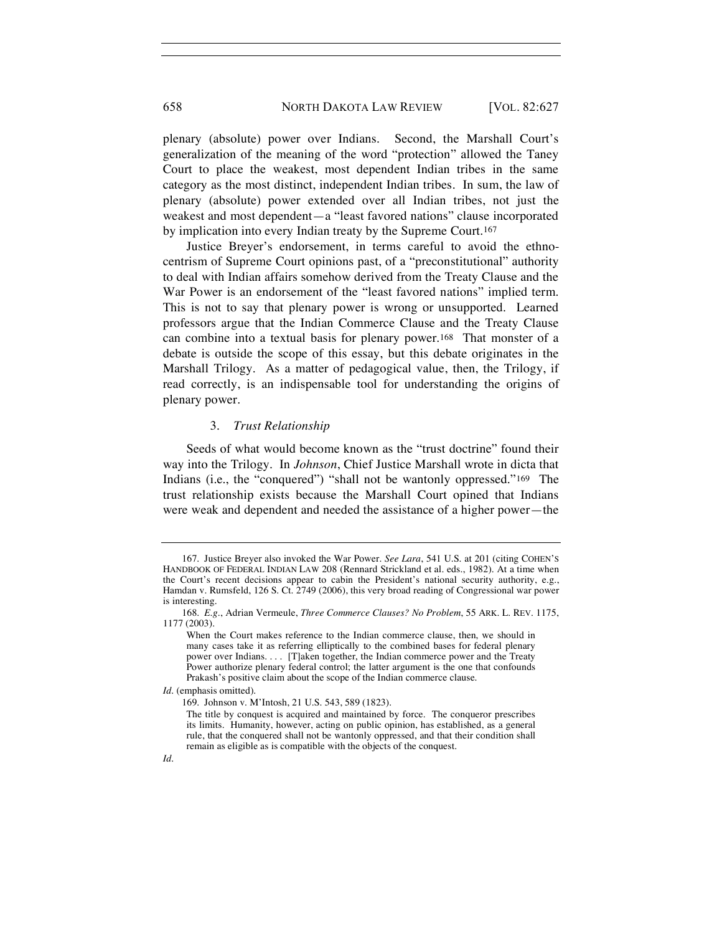plenary (absolute) power over Indians. Second, the Marshall Court's generalization of the meaning of the word "protection" allowed the Taney Court to place the weakest, most dependent Indian tribes in the same category as the most distinct, independent Indian tribes. In sum, the law of plenary (absolute) power extended over all Indian tribes, not just the weakest and most dependent—a "least favored nations" clause incorporated by implication into every Indian treaty by the Supreme Court.167

Justice Breyer's endorsement, in terms careful to avoid the ethnocentrism of Supreme Court opinions past, of a "preconstitutional" authority to deal with Indian affairs somehow derived from the Treaty Clause and the War Power is an endorsement of the "least favored nations" implied term. This is not to say that plenary power is wrong or unsupported. Learned professors argue that the Indian Commerce Clause and the Treaty Clause can combine into a textual basis for plenary power.168 That monster of a debate is outside the scope of this essay, but this debate originates in the Marshall Trilogy. As a matter of pedagogical value, then, the Trilogy, if read correctly, is an indispensable tool for understanding the origins of plenary power.

#### 3. *Trust Relationship*

Seeds of what would become known as the "trust doctrine" found their way into the Trilogy. In *Johnson*, Chief Justice Marshall wrote in dicta that Indians (i.e., the "conquered") "shall not be wantonly oppressed."<sup>169</sup> The trust relationship exists because the Marshall Court opined that Indians were weak and dependent and needed the assistance of a higher power—the

169*.* Johnson v. M'Intosh, 21 U.S. 543, 589 (1823).

<sup>167.</sup> Justice Breyer also invoked the War Power. *See Lara*, 541 U.S. at 201 (citing COHEN'S HANDBOOK OF FEDERAL INDIAN LAW 208 (Rennard Strickland et al. eds., 1982). At a time when the Court's recent decisions appear to cabin the President's national security authority, e.g., Hamdan v. Rumsfeld, 126 S. Ct. 2749 (2006), this very broad reading of Congressional war power is interesting.

<sup>168</sup>*. E.g.*, Adrian Vermeule, *Three Commerce Clauses? No Problem*, 55 ARK. L. REV. 1175, 1177 (2003).

When the Court makes reference to the Indian commerce clause, then, we should in many cases take it as referring elliptically to the combined bases for federal plenary power over Indians. . . . [T]aken together, the Indian commerce power and the Treaty Power authorize plenary federal control; the latter argument is the one that confounds Prakash's positive claim about the scope of the Indian commerce clause.

*Id.* (emphasis omitted).

The title by conquest is acquired and maintained by force. The conqueror prescribes its limits. Humanity, however, acting on public opinion, has established, as a general rule, that the conquered shall not be wantonly oppressed, and that their condition shall remain as eligible as is compatible with the objects of the conquest.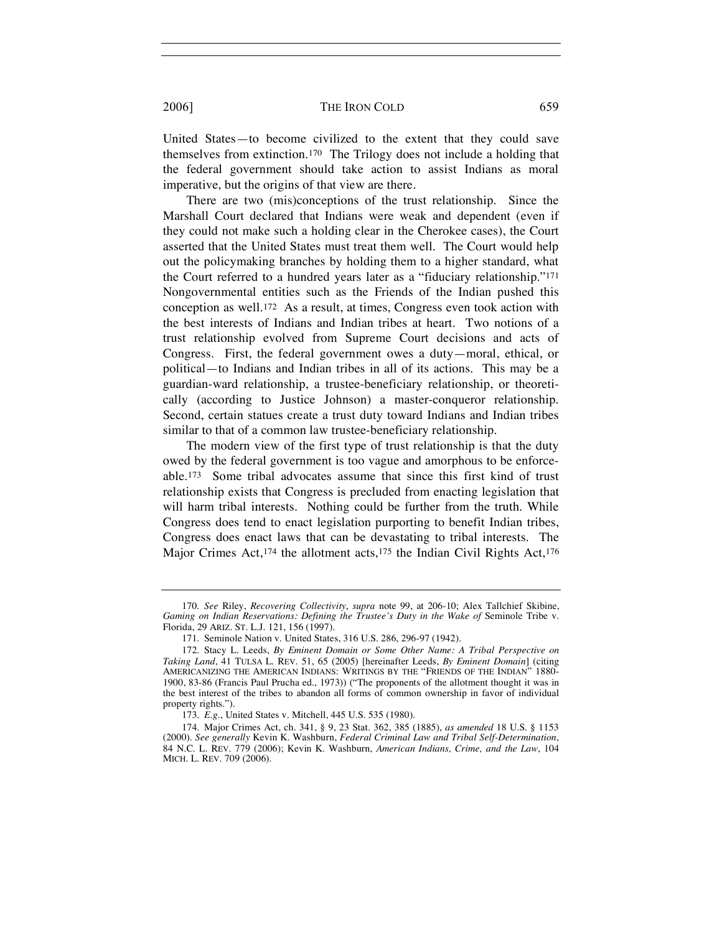United States—to become civilized to the extent that they could save themselves from extinction.170 The Trilogy does not include a holding that the federal government should take action to assist Indians as moral imperative, but the origins of that view are there.

There are two (mis)conceptions of the trust relationship. Since the Marshall Court declared that Indians were weak and dependent (even if they could not make such a holding clear in the Cherokee cases), the Court asserted that the United States must treat them well. The Court would help out the policymaking branches by holding them to a higher standard, what the Court referred to a hundred years later as a "fiduciary relationship."171 Nongovernmental entities such as the Friends of the Indian pushed this conception as well.172 As a result, at times, Congress even took action with the best interests of Indians and Indian tribes at heart. Two notions of a trust relationship evolved from Supreme Court decisions and acts of Congress. First, the federal government owes a duty—moral, ethical, or political—to Indians and Indian tribes in all of its actions. This may be a guardian-ward relationship, a trustee-beneficiary relationship, or theoretically (according to Justice Johnson) a master-conqueror relationship. Second, certain statues create a trust duty toward Indians and Indian tribes similar to that of a common law trustee-beneficiary relationship.

The modern view of the first type of trust relationship is that the duty owed by the federal government is too vague and amorphous to be enforceable.173 Some tribal advocates assume that since this first kind of trust relationship exists that Congress is precluded from enacting legislation that will harm tribal interests. Nothing could be further from the truth. While Congress does tend to enact legislation purporting to benefit Indian tribes, Congress does enact laws that can be devastating to tribal interests. The Major Crimes Act,<sup>174</sup> the allotment acts,<sup>175</sup> the Indian Civil Rights Act,<sup>176</sup>

<sup>170</sup>*. See* Riley, *Recovering Collectivity*, *supra* note 99, at 206-10; Alex Tallchief Skibine, *Gaming on Indian Reservations: Defining the Trustee's Duty in the Wake of* Seminole Tribe v. Florida, 29 ARIZ. ST. L.J. 121, 156 (1997).

<sup>171.</sup> Seminole Nation v. United States, 316 U.S. 286, 296-97 (1942).

<sup>172.</sup> Stacy L. Leeds, *By Eminent Domain or Some Other Name: A Tribal Perspective on Taking Land*, 41 TULSA L. REV. 51, 65 (2005) [hereinafter Leeds, *By Eminent Domain*] (citing AMERICANIZING THE AMERICAN INDIANS: WRITINGS BY THE "FRIENDS OF THE INDIAN" 1880- 1900, 83-86 (Francis Paul Prucha ed., 1973)) ("The proponents of the allotment thought it was in the best interest of the tribes to abandon all forms of common ownership in favor of individual property rights.").

<sup>173</sup>*. E.g.*, United States v. Mitchell, 445 U.S. 535 (1980).

<sup>174.</sup> Major Crimes Act, ch. 341, § 9, 23 Stat. 362, 385 (1885), *as amended* 18 U.S. § 1153 (2000). *See generally* Kevin K. Washburn, *Federal Criminal Law and Tribal Self-Determination*, 84 N.C. L. REV. 779 (2006); Kevin K. Washburn, *American Indians, Crime, and the Law*, 104 MICH. L. REV. 709 (2006).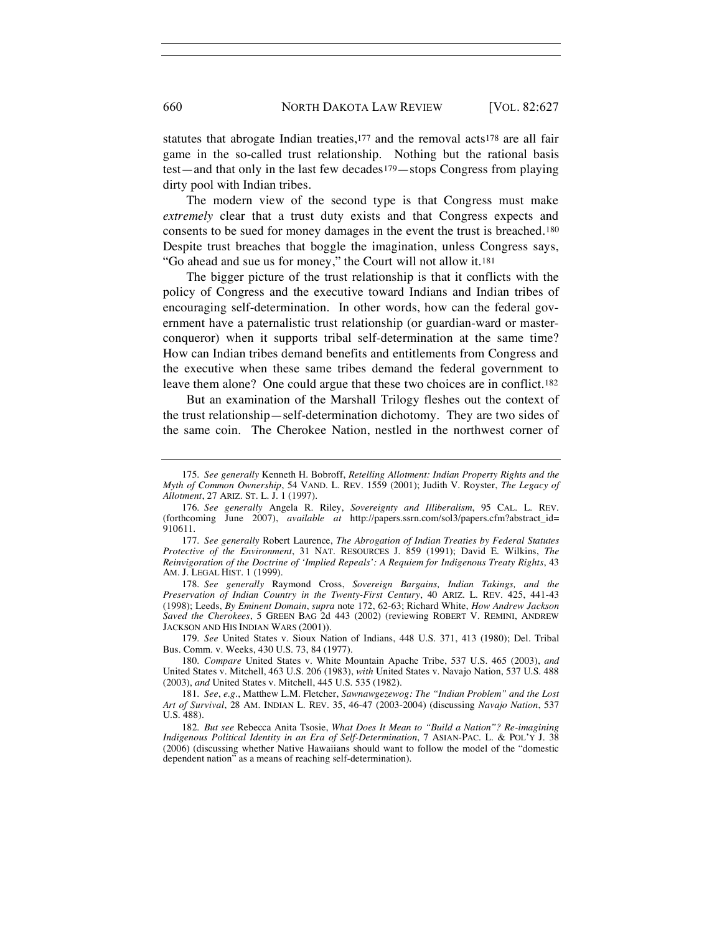statutes that abrogate Indian treaties,<sup>177</sup> and the removal acts<sup>178</sup> are all fair game in the so-called trust relationship. Nothing but the rational basis test—and that only in the last few decades179—stops Congress from playing dirty pool with Indian tribes.

The modern view of the second type is that Congress must make *extremely* clear that a trust duty exists and that Congress expects and consents to be sued for money damages in the event the trust is breached.180 Despite trust breaches that boggle the imagination, unless Congress says, "Go ahead and sue us for money," the Court will not allow it.181

The bigger picture of the trust relationship is that it conflicts with the policy of Congress and the executive toward Indians and Indian tribes of encouraging self-determination. In other words, how can the federal government have a paternalistic trust relationship (or guardian-ward or masterconqueror) when it supports tribal self-determination at the same time? How can Indian tribes demand benefits and entitlements from Congress and the executive when these same tribes demand the federal government to leave them alone? One could argue that these two choices are in conflict.182

But an examination of the Marshall Trilogy fleshes out the context of the trust relationship—self-determination dichotomy. They are two sides of the same coin. The Cherokee Nation, nestled in the northwest corner of

177*. See generally* Robert Laurence, *The Abrogation of Indian Treaties by Federal Statutes Protective of the Environment*, 31 NAT. RESOURCES J. 859 (1991); David E. Wilkins, *The Reinvigoration of the Doctrine of 'Implied Repeals': A Requiem for Indigenous Treaty Rights*, 43 AM. J. LEGAL HIST. 1 (1999).

178*. See generally* Raymond Cross, *Sovereign Bargains, Indian Takings, and the Preservation of Indian Country in the Twenty-First Century*, 40 ARIZ. L. REV. 425, 441-43 (1998); Leeds, *By Eminent Domain*, *supra* note 172, 62-63; Richard White, *How Andrew Jackson Saved the Cherokees*, 5 GREEN BAG 2d 443 (2002) (reviewing ROBERT V. REMINI, ANDREW JACKSON AND HIS INDIAN WARS (2001)).

179*. See* United States v. Sioux Nation of Indians, 448 U.S. 371, 413 (1980); Del. Tribal Bus. Comm. v. Weeks, 430 U.S. 73, 84 (1977).

180*. Compare* United States v. White Mountain Apache Tribe, 537 U.S. 465 (2003), *and* United States v. Mitchell, 463 U.S. 206 (1983), *with* United States v. Navajo Nation, 537 U.S. 488 (2003), *and* United States v. Mitchell, 445 U.S. 535 (1982).

181*. See*, *e.g.*, Matthew L.M. Fletcher, *Sawnawgezewog: The "Indian Problem" and the Lost Art of Survival*, 28 AM. INDIAN L. REV. 35, 46-47 (2003-2004) (discussing *Navajo Nation*, 537 U.S. 488).

182*. But see* Rebecca Anita Tsosie, *What Does It Mean to "Build a Nation"? Re-imagining Indigenous Political Identity in an Era of Self-Determination*, 7 ASIAN-PAC. L. & POL'Y J. 38 (2006) (discussing whether Native Hawaiians should want to follow the model of the "domestic dependent nation" as a means of reaching self-determination).

<sup>175</sup>*. See generally* Kenneth H. Bobroff, *Retelling Allotment: Indian Property Rights and the Myth of Common Ownership*, 54 VAND. L. REV. 1559 (2001); Judith V. Royster, *The Legacy of Allotment*, 27 ARIZ. ST. L. J. 1 (1997).

<sup>176</sup>*. See generally* Angela R. Riley, *Sovereignty and Illiberalism*, 95 CAL. L. REV. (forthcoming June 2007), *available at* http://papers.ssrn.com/sol3/papers.cfm?abstract\_id= 910611.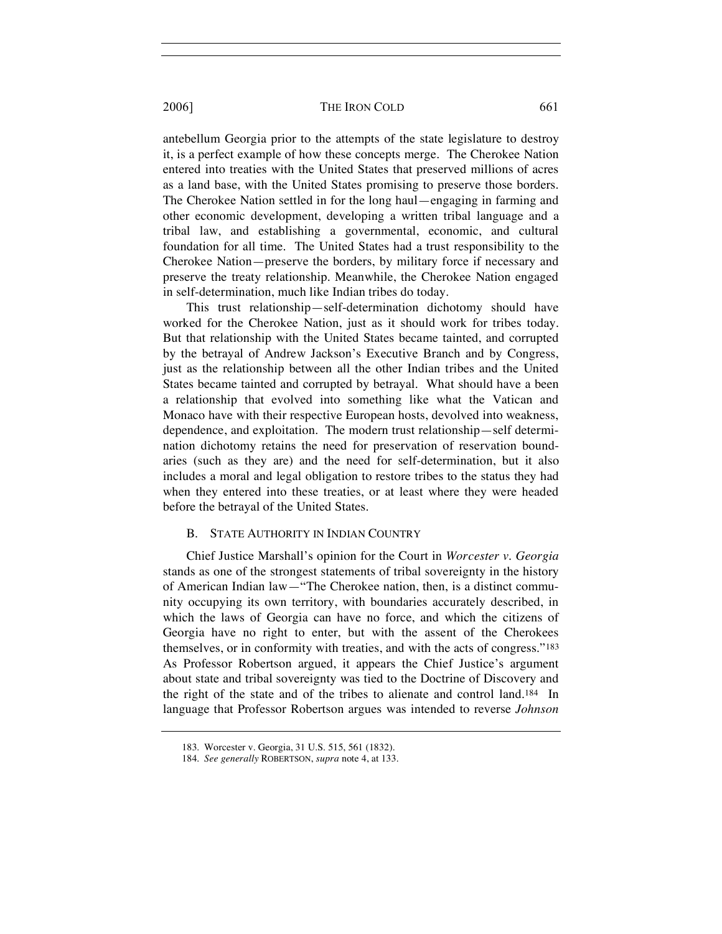antebellum Georgia prior to the attempts of the state legislature to destroy it, is a perfect example of how these concepts merge. The Cherokee Nation entered into treaties with the United States that preserved millions of acres as a land base, with the United States promising to preserve those borders. The Cherokee Nation settled in for the long haul—engaging in farming and other economic development, developing a written tribal language and a tribal law, and establishing a governmental, economic, and cultural foundation for all time. The United States had a trust responsibility to the Cherokee Nation—preserve the borders, by military force if necessary and preserve the treaty relationship. Meanwhile, the Cherokee Nation engaged in self-determination, much like Indian tribes do today.

This trust relationship—self-determination dichotomy should have worked for the Cherokee Nation, just as it should work for tribes today. But that relationship with the United States became tainted, and corrupted by the betrayal of Andrew Jackson's Executive Branch and by Congress, just as the relationship between all the other Indian tribes and the United States became tainted and corrupted by betrayal. What should have a been a relationship that evolved into something like what the Vatican and Monaco have with their respective European hosts, devolved into weakness, dependence, and exploitation. The modern trust relationship—self determination dichotomy retains the need for preservation of reservation boundaries (such as they are) and the need for self-determination, but it also includes a moral and legal obligation to restore tribes to the status they had when they entered into these treaties, or at least where they were headed before the betrayal of the United States.

# B. STATE AUTHORITY IN INDIAN COUNTRY

Chief Justice Marshall's opinion for the Court in *Worcester v. Georgia* stands as one of the strongest statements of tribal sovereignty in the history of American Indian law—"The Cherokee nation, then, is a distinct community occupying its own territory, with boundaries accurately described, in which the laws of Georgia can have no force, and which the citizens of Georgia have no right to enter, but with the assent of the Cherokees themselves, or in conformity with treaties, and with the acts of congress."183 As Professor Robertson argued, it appears the Chief Justice's argument about state and tribal sovereignty was tied to the Doctrine of Discovery and the right of the state and of the tribes to alienate and control land.184 In language that Professor Robertson argues was intended to reverse *Johnson* 

<sup>183</sup>*.* Worcester v. Georgia, 31 U.S. 515, 561 (1832).

<sup>184</sup>*. See generally* ROBERTSON, *supra* note 4, at 133.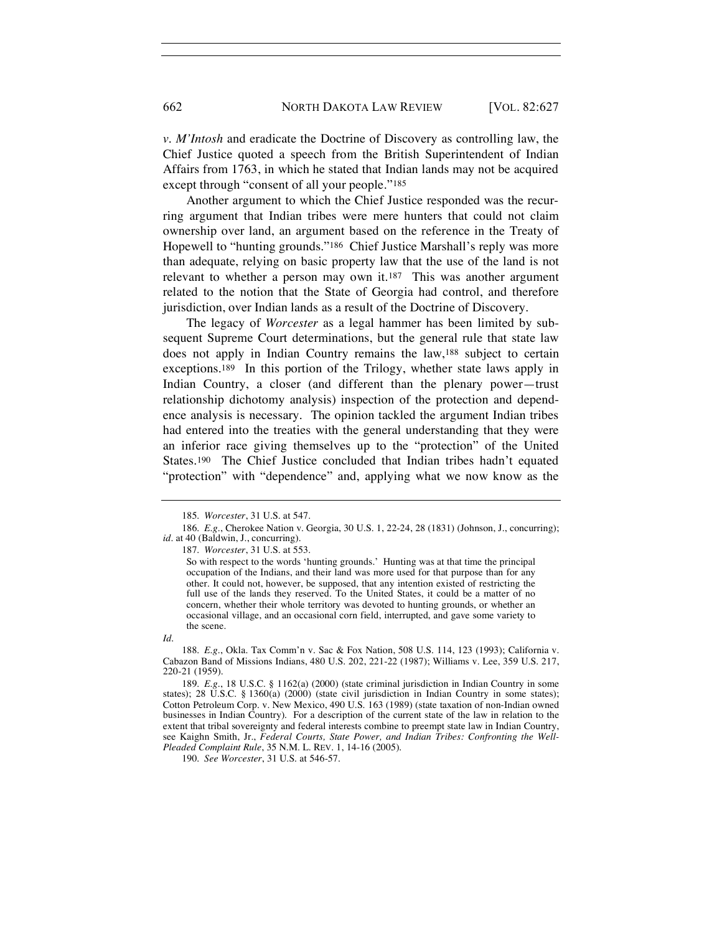*v. M'Intosh* and eradicate the Doctrine of Discovery as controlling law, the Chief Justice quoted a speech from the British Superintendent of Indian Affairs from 1763, in which he stated that Indian lands may not be acquired except through "consent of all your people."185

Another argument to which the Chief Justice responded was the recurring argument that Indian tribes were mere hunters that could not claim ownership over land, an argument based on the reference in the Treaty of Hopewell to "hunting grounds."186 Chief Justice Marshall's reply was more than adequate, relying on basic property law that the use of the land is not relevant to whether a person may own it.<sup>187</sup> This was another argument related to the notion that the State of Georgia had control, and therefore jurisdiction, over Indian lands as a result of the Doctrine of Discovery.

The legacy of *Worcester* as a legal hammer has been limited by subsequent Supreme Court determinations, but the general rule that state law does not apply in Indian Country remains the law,188 subject to certain exceptions.189 In this portion of the Trilogy, whether state laws apply in Indian Country, a closer (and different than the plenary power—trust relationship dichotomy analysis) inspection of the protection and dependence analysis is necessary. The opinion tackled the argument Indian tribes had entered into the treaties with the general understanding that they were an inferior race giving themselves up to the "protection" of the United States.190 The Chief Justice concluded that Indian tribes hadn't equated "protection" with "dependence" and, applying what we now know as the

187*. Worcester*, 31 U.S. at 553.

*Id.*

188*. E.g.*, Okla. Tax Comm'n v. Sac & Fox Nation, 508 U.S. 114, 123 (1993); California v. Cabazon Band of Missions Indians, 480 U.S. 202, 221-22 (1987); Williams v. Lee, 359 U.S. 217, 220-21 (1959).

189*. E.g.*, 18 U.S.C. § 1162(a) (2000) (state criminal jurisdiction in Indian Country in some states); 28 U.S.C. § 1360(a) (2000) (state civil jurisdiction in Indian Country in some states); Cotton Petroleum Corp. v. New Mexico, 490 U.S. 163 (1989) (state taxation of non-Indian owned businesses in Indian Country). For a description of the current state of the law in relation to the extent that tribal sovereignty and federal interests combine to preempt state law in Indian Country, see Kaighn Smith, Jr., *Federal Courts, State Power, and Indian Tribes: Confronting the Well-Pleaded Complaint Rule*, 35 N.M. L. REV. 1, 14-16 (2005).

190*. See Worcester*, 31 U.S. at 546-57.

<sup>185</sup>*. Worcester*, 31 U.S. at 547.

<sup>186</sup>*. E.g.*, Cherokee Nation v. Georgia, 30 U.S. 1, 22-24, 28 (1831) (Johnson, J., concurring); *id.* at 40 (Baldwin, J., concurring).

So with respect to the words 'hunting grounds.' Hunting was at that time the principal occupation of the Indians, and their land was more used for that purpose than for any other. It could not, however, be supposed, that any intention existed of restricting the full use of the lands they reserved. To the United States, it could be a matter of no concern, whether their whole territory was devoted to hunting grounds, or whether an occasional village, and an occasional corn field, interrupted, and gave some variety to the scene.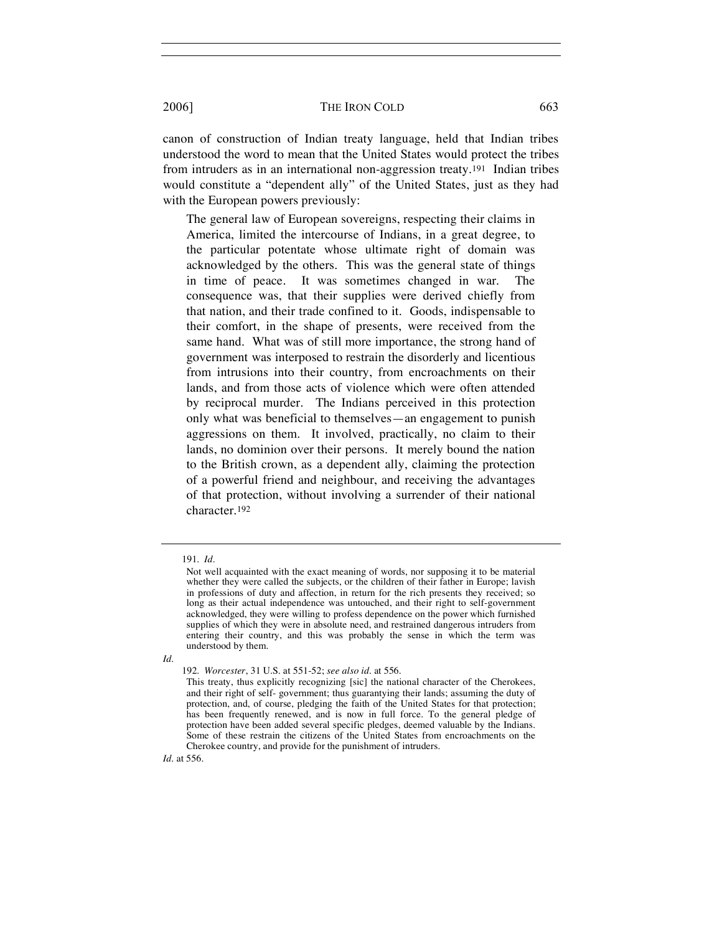canon of construction of Indian treaty language, held that Indian tribes understood the word to mean that the United States would protect the tribes from intruders as in an international non-aggression treaty.191 Indian tribes would constitute a "dependent ally" of the United States, just as they had with the European powers previously:

The general law of European sovereigns, respecting their claims in America, limited the intercourse of Indians, in a great degree, to the particular potentate whose ultimate right of domain was acknowledged by the others. This was the general state of things in time of peace. It was sometimes changed in war. The consequence was, that their supplies were derived chiefly from that nation, and their trade confined to it. Goods, indispensable to their comfort, in the shape of presents, were received from the same hand. What was of still more importance, the strong hand of government was interposed to restrain the disorderly and licentious from intrusions into their country, from encroachments on their lands, and from those acts of violence which were often attended by reciprocal murder. The Indians perceived in this protection only what was beneficial to themselves—an engagement to punish aggressions on them. It involved, practically, no claim to their lands, no dominion over their persons. It merely bound the nation to the British crown, as a dependent ally, claiming the protection of a powerful friend and neighbour, and receiving the advantages of that protection, without involving a surrender of their national character.192

*Id.*

192*. Worcester*, 31 U.S. at 551-52; *see also id.* at 556.

*Id.* at 556.

<sup>191</sup>*. Id.*

Not well acquainted with the exact meaning of words, nor supposing it to be material whether they were called the subjects, or the children of their father in Europe; lavish in professions of duty and affection, in return for the rich presents they received; so long as their actual independence was untouched, and their right to self-government acknowledged, they were willing to profess dependence on the power which furnished supplies of which they were in absolute need, and restrained dangerous intruders from entering their country, and this was probably the sense in which the term was understood by them.

This treaty, thus explicitly recognizing [sic] the national character of the Cherokees, and their right of self- government; thus guarantying their lands; assuming the duty of protection, and, of course, pledging the faith of the United States for that protection; has been frequently renewed, and is now in full force. To the general pledge of protection have been added several specific pledges, deemed valuable by the Indians. Some of these restrain the citizens of the United States from encroachments on the Cherokee country, and provide for the punishment of intruders.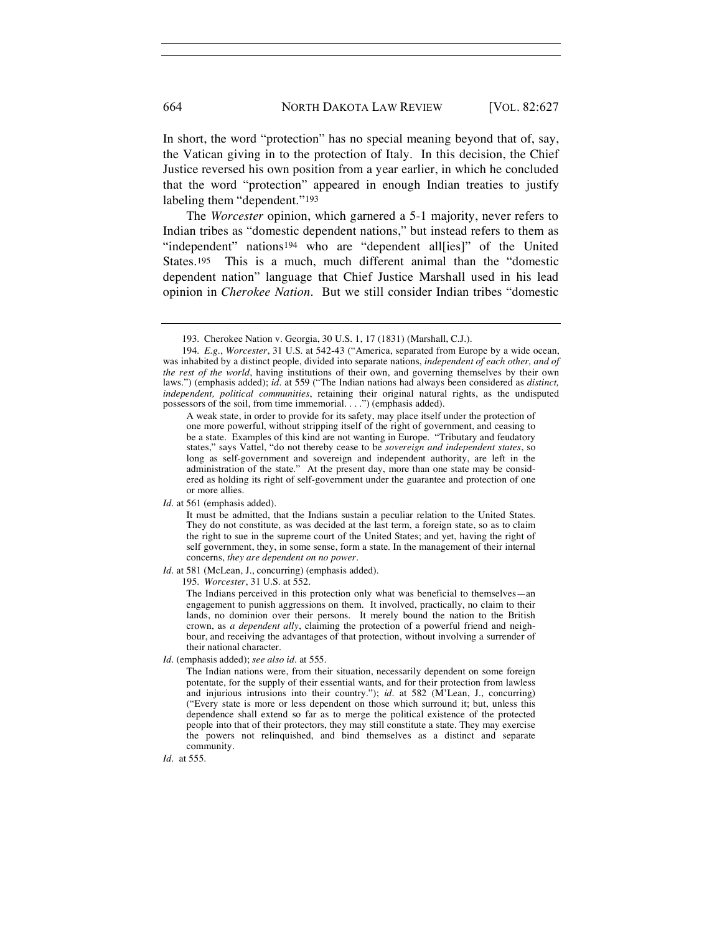In short, the word "protection" has no special meaning beyond that of, say, the Vatican giving in to the protection of Italy. In this decision, the Chief Justice reversed his own position from a year earlier, in which he concluded that the word "protection" appeared in enough Indian treaties to justify labeling them "dependent."193

The *Worcester* opinion, which garnered a 5-1 majority, never refers to Indian tribes as "domestic dependent nations," but instead refers to them as "independent" nations<sup>194</sup> who are "dependent all[ies]" of the United States.<sup>195</sup> This is a much, much different animal than the "domestic dependent nation" language that Chief Justice Marshall used in his lead opinion in *Cherokee Nation*. But we still consider Indian tribes "domestic

A weak state, in order to provide for its safety, may place itself under the protection of one more powerful, without stripping itself of the right of government, and ceasing to be a state. Examples of this kind are not wanting in Europe. "Tributary and feudatory states," says Vattel, "do not thereby cease to be *sovereign and independent states*, so long as self-government and sovereign and independent authority, are left in the administration of the state." At the present day, more than one state may be considered as holding its right of self-government under the guarantee and protection of one or more allies.

*Id*. at 561 (emphasis added).

It must be admitted, that the Indians sustain a peculiar relation to the United States. They do not constitute, as was decided at the last term, a foreign state, so as to claim the right to sue in the supreme court of the United States; and yet, having the right of self government, they, in some sense, form a state. In the management of their internal concerns, *they are dependent on no power*.

*Id*. at 581 (McLean, J., concurring) (emphasis added).

195*. Worcester*, 31 U.S. at 552.

The Indians perceived in this protection only what was beneficial to themselves—an engagement to punish aggressions on them. It involved, practically, no claim to their lands, no dominion over their persons. It merely bound the nation to the British crown, as *a dependent ally*, claiming the protection of a powerful friend and neighbour, and receiving the advantages of that protection, without involving a surrender of their national character.

*Id.* (emphasis added); *see also id.* at 555.

The Indian nations were, from their situation, necessarily dependent on some foreign potentate, for the supply of their essential wants, and for their protection from lawless and injurious intrusions into their country."); *id*. at 582 (M'Lean, J., concurring) ("Every state is more or less dependent on those which surround it; but, unless this dependence shall extend so far as to merge the political existence of the protected people into that of their protectors, they may still constitute a state. They may exercise the powers not relinquished, and bind themselves as a distinct and separate community.

*Id.* at 555.

<sup>193</sup>*.* Cherokee Nation v. Georgia, 30 U.S. 1, 17 (1831) (Marshall, C.J.).

<sup>194</sup>*. E.g.*, *Worcester*, 31 U.S. at 542-43 ("America, separated from Europe by a wide ocean, was inhabited by a distinct people, divided into separate nations, *independent of each other, and of the rest of the world*, having institutions of their own, and governing themselves by their own laws.") (emphasis added); *id*. at 559 ("The Indian nations had always been considered as *distinct, independent, political communities*, retaining their original natural rights, as the undisputed possessors of the soil, from time immemorial. . . .") (emphasis added).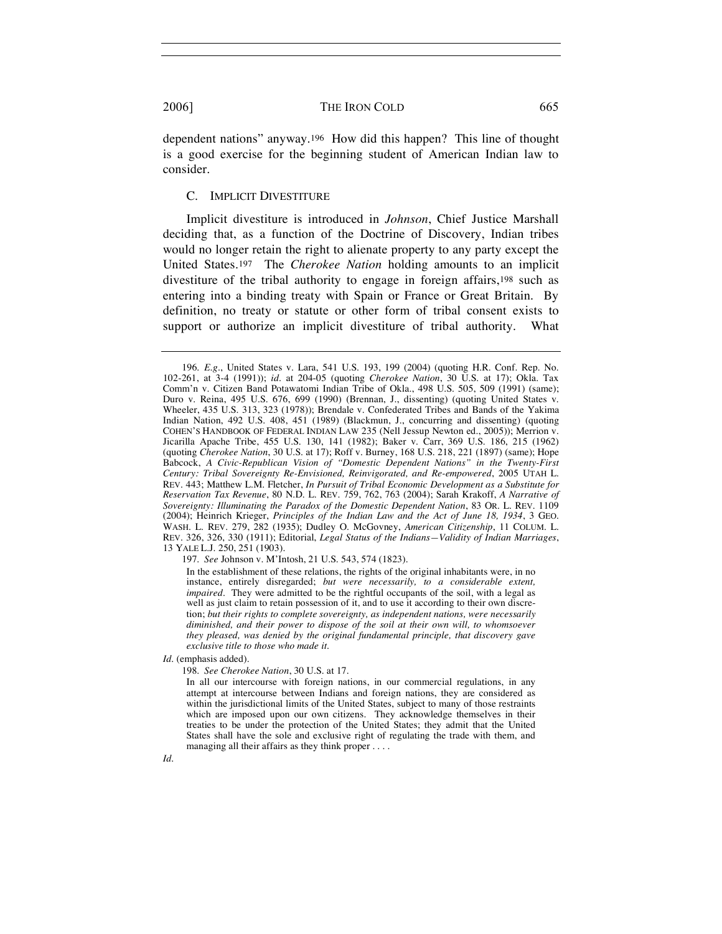dependent nations" anyway.196 How did this happen? This line of thought is a good exercise for the beginning student of American Indian law to consider.

## C. IMPLICIT DIVESTITURE

Implicit divestiture is introduced in *Johnson*, Chief Justice Marshall deciding that, as a function of the Doctrine of Discovery, Indian tribes would no longer retain the right to alienate property to any party except the United States.197 The *Cherokee Nation* holding amounts to an implicit divestiture of the tribal authority to engage in foreign affairs,198 such as entering into a binding treaty with Spain or France or Great Britain. By definition, no treaty or statute or other form of tribal consent exists to support or authorize an implicit divestiture of tribal authority. What

197*. See* Johnson v. M'Intosh, 21 U.S. 543, 574 (1823).

<sup>196</sup>*. E.g*., United States v. Lara, 541 U.S. 193, 199 (2004) (quoting H.R. Conf. Rep. No. 102-261, at 3-4 (1991)); *id*. at 204-05 (quoting *Cherokee Nation*, 30 U.S. at 17); Okla. Tax Comm'n v. Citizen Band Potawatomi Indian Tribe of Okla., 498 U.S. 505, 509 (1991) (same); Duro v. Reina, 495 U.S. 676, 699 (1990) (Brennan, J., dissenting) (quoting United States v. Wheeler, 435 U.S. 313, 323 (1978)); Brendale v. Confederated Tribes and Bands of the Yakima Indian Nation, 492 U.S. 408, 451 (1989) (Blackmun, J., concurring and dissenting) (quoting COHEN'S HANDBOOK OF FEDERAL INDIAN LAW 235 (Nell Jessup Newton ed., 2005)); Merrion v. Jicarilla Apache Tribe, 455 U.S. 130, 141 (1982); Baker v. Carr, 369 U.S. 186, 215 (1962) (quoting *Cherokee Nation*, 30 U.S. at 17); Roff v. Burney, 168 U.S. 218, 221 (1897) (same); Hope Babcock, *A Civic-Republican Vision of "Domestic Dependent Nations" in the Twenty-First Century: Tribal Sovereignty Re-Envisioned, Reinvigorated, and Re-empowered*, 2005 UTAH L. REV. 443; Matthew L.M. Fletcher, *In Pursuit of Tribal Economic Development as a Substitute for Reservation Tax Revenue*, 80 N.D. L. REV. 759, 762, 763 (2004); Sarah Krakoff, *A Narrative of Sovereignty: Illuminating the Paradox of the Domestic Dependent Nation*, 83 OR. L. REV. 1109 (2004); Heinrich Krieger, *Principles of the Indian Law and the Act of June 18, 1934*, 3 GEO. WASH. L. REV. 279, 282 (1935); Dudley O. McGovney, *American Citizenship*, 11 COLUM. L. REV. 326, 326, 330 (1911); Editorial, *Legal Status of the Indians—Validity of Indian Marriages*, 13 YALE L.J. 250, 251 (1903).

In the establishment of these relations, the rights of the original inhabitants were, in no instance, entirely disregarded; *but were necessarily, to a considerable extent, impaired*. They were admitted to be the rightful occupants of the soil, with a legal as well as just claim to retain possession of it, and to use it according to their own discretion; *but their rights to complete sovereignty, as independent nations, were necessarily diminished, and their power to dispose of the soil at their own will, to whomsoever they pleased, was denied by the original fundamental principle, that discovery gave exclusive title to those who made it*.

*Id.* (emphasis added).

<sup>198</sup>*. See Cherokee Nation*, 30 U.S. at 17.

In all our intercourse with foreign nations, in our commercial regulations, in any attempt at intercourse between Indians and foreign nations, they are considered as within the jurisdictional limits of the United States, subject to many of those restraints which are imposed upon our own citizens. They acknowledge themselves in their treaties to be under the protection of the United States; they admit that the United States shall have the sole and exclusive right of regulating the trade with them, and managing all their affairs as they think proper ....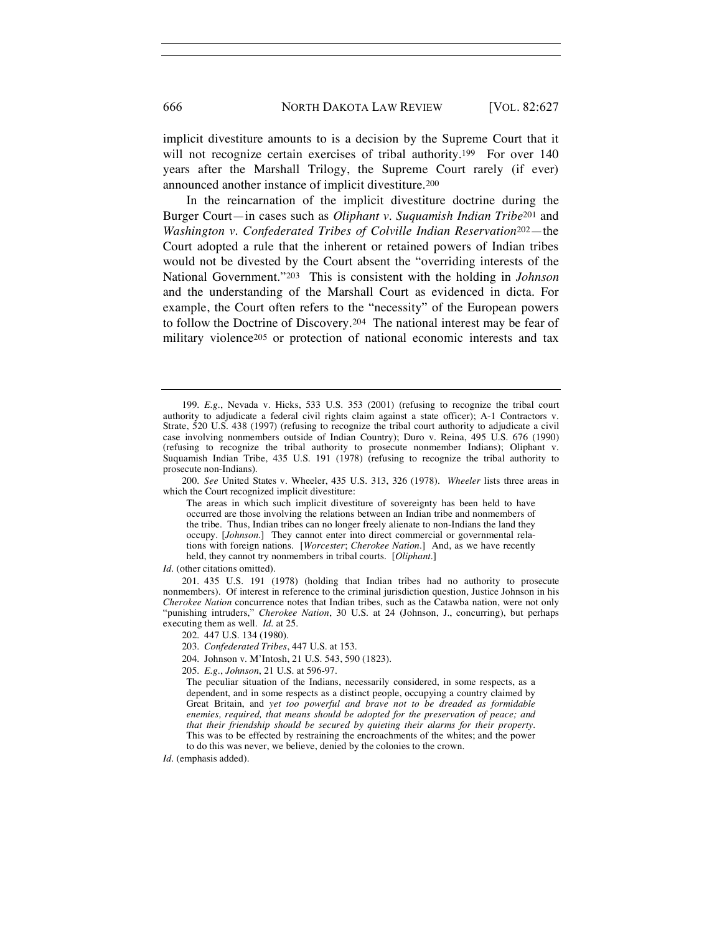implicit divestiture amounts to is a decision by the Supreme Court that it will not recognize certain exercises of tribal authority.<sup>199</sup> For over 140 years after the Marshall Trilogy, the Supreme Court rarely (if ever) announced another instance of implicit divestiture.200

In the reincarnation of the implicit divestiture doctrine during the Burger Court—in cases such as *Oliphant v. Suquamish Indian Tribe*201 and *Washington v. Confederated Tribes of Colville Indian Reservation*202—the Court adopted a rule that the inherent or retained powers of Indian tribes would not be divested by the Court absent the "overriding interests of the National Government."203 This is consistent with the holding in *Johnson* and the understanding of the Marshall Court as evidenced in dicta. For example, the Court often refers to the "necessity" of the European powers to follow the Doctrine of Discovery.204 The national interest may be fear of military violence205 or protection of national economic interests and tax

*Id.* (other citations omitted).

203*. Confederated Tribes*, 447 U.S. at 153.

204*.* Johnson v. M'Intosh, 21 U.S. 543, 590 (1823).

205*. E.g.*, *Johnson*, 21 U.S. at 596-97.

The peculiar situation of the Indians, necessarily considered, in some respects, as a dependent, and in some respects as a distinct people, occupying a country claimed by Great Britain, and *yet too powerful and brave not to be dreaded as formidable enemies, required, that means should be adopted for the preservation of peace; and that their friendship should be secured by quieting their alarms for their property*. This was to be effected by restraining the encroachments of the whites; and the power to do this was never, we believe, denied by the colonies to the crown.

*Id.* (emphasis added).

<sup>199</sup>*. E.g.*, Nevada v. Hicks, 533 U.S. 353 (2001) (refusing to recognize the tribal court authority to adjudicate a federal civil rights claim against a state officer); A-1 Contractors v. Strate, 520 U.S. 438 (1997) (refusing to recognize the tribal court authority to adjudicate a civil case involving nonmembers outside of Indian Country); Duro v. Reina, 495 U.S. 676 (1990) (refusing to recognize the tribal authority to prosecute nonmember Indians); Oliphant v. Suquamish Indian Tribe, 435 U.S. 191 (1978) (refusing to recognize the tribal authority to prosecute non-Indians).

<sup>200</sup>*. See* United States v. Wheeler, 435 U.S. 313, 326 (1978). *Wheeler* lists three areas in which the Court recognized implicit divestiture:

The areas in which such implicit divestiture of sovereignty has been held to have occurred are those involving the relations between an Indian tribe and nonmembers of the tribe. Thus, Indian tribes can no longer freely alienate to non-Indians the land they occupy. [*Johnson*.] They cannot enter into direct commercial or governmental relations with foreign nations. [*Worcester*; *Cherokee Nation*.] And, as we have recently held, they cannot try nonmembers in tribal courts. [*Oliphant*.]

<sup>201.</sup> 435 U.S. 191 (1978) (holding that Indian tribes had no authority to prosecute nonmembers). Of interest in reference to the criminal jurisdiction question, Justice Johnson in his *Cherokee Nation* concurrence notes that Indian tribes, such as the Catawba nation, were not only "punishing intruders," *Cherokee Nation*, 30 U.S. at 24 (Johnson, J., concurring), but perhaps executing them as well. *Id*. at 25.

<sup>202.</sup> 447 U.S. 134 (1980).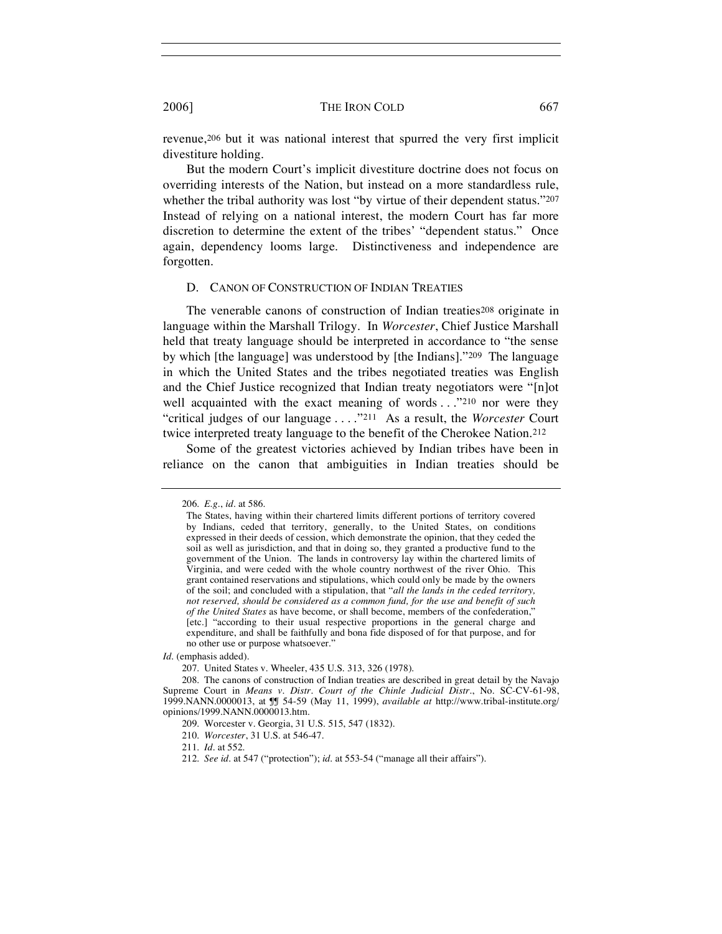revenue,206 but it was national interest that spurred the very first implicit divestiture holding.

But the modern Court's implicit divestiture doctrine does not focus on overriding interests of the Nation, but instead on a more standardless rule, whether the tribal authority was lost "by virtue of their dependent status."207 Instead of relying on a national interest, the modern Court has far more discretion to determine the extent of the tribes' "dependent status." Once again, dependency looms large. Distinctiveness and independence are forgotten.

#### D. CANON OF CONSTRUCTION OF INDIAN TREATIES

The venerable canons of construction of Indian treaties<sup>208</sup> originate in language within the Marshall Trilogy. In *Worcester*, Chief Justice Marshall held that treaty language should be interpreted in accordance to "the sense by which [the language] was understood by [the Indians]."209 The language in which the United States and the tribes negotiated treaties was English and the Chief Justice recognized that Indian treaty negotiators were "[n]ot well acquainted with the exact meaning of words . . . "210 nor were they "critical judges of our language . . . ."211 As a result, the *Worcester* Court twice interpreted treaty language to the benefit of the Cherokee Nation.212

Some of the greatest victories achieved by Indian tribes have been in reliance on the canon that ambiguities in Indian treaties should be

<sup>206</sup>*. E.g.*, *id.* at 586.

The States, having within their chartered limits different portions of territory covered by Indians, ceded that territory, generally, to the United States, on conditions expressed in their deeds of cession, which demonstrate the opinion, that they ceded the soil as well as jurisdiction, and that in doing so, they granted a productive fund to the government of the Union. The lands in controversy lay within the chartered limits of Virginia, and were ceded with the whole country northwest of the river Ohio. This grant contained reservations and stipulations, which could only be made by the owners of the soil; and concluded with a stipulation, that "*all the lands in the ceded territory, not reserved, should be considered as a common fund, for the use and benefit of such of the United States* as have become, or shall become, members of the confederation," [etc.] "according to their usual respective proportions in the general charge and expenditure, and shall be faithfully and bona fide disposed of for that purpose, and for no other use or purpose whatsoever."

*Id.* (emphasis added).

<sup>207.</sup> United States v. Wheeler, 435 U.S. 313, 326 (1978).

<sup>208.</sup> The canons of construction of Indian treaties are described in great detail by the Navajo Supreme Court in *Means v. Distr. Court of the Chinle Judicial Distr.*, No. SC-CV-61-98, 1999.NANN.0000013, at ¶¶ 54-59 (May 11, 1999), *available at* http://www.tribal-institute.org/ opinions/1999.NANN.0000013.htm.

<sup>209</sup>*.* Worcester v. Georgia, 31 U.S. 515, 547 (1832).

<sup>210</sup>*. Worcester*, 31 U.S. at 546-47.

<sup>211</sup>*. Id.* at 552.

<sup>212</sup>*. See id.* at 547 ("protection"); *id*. at 553-54 ("manage all their affairs").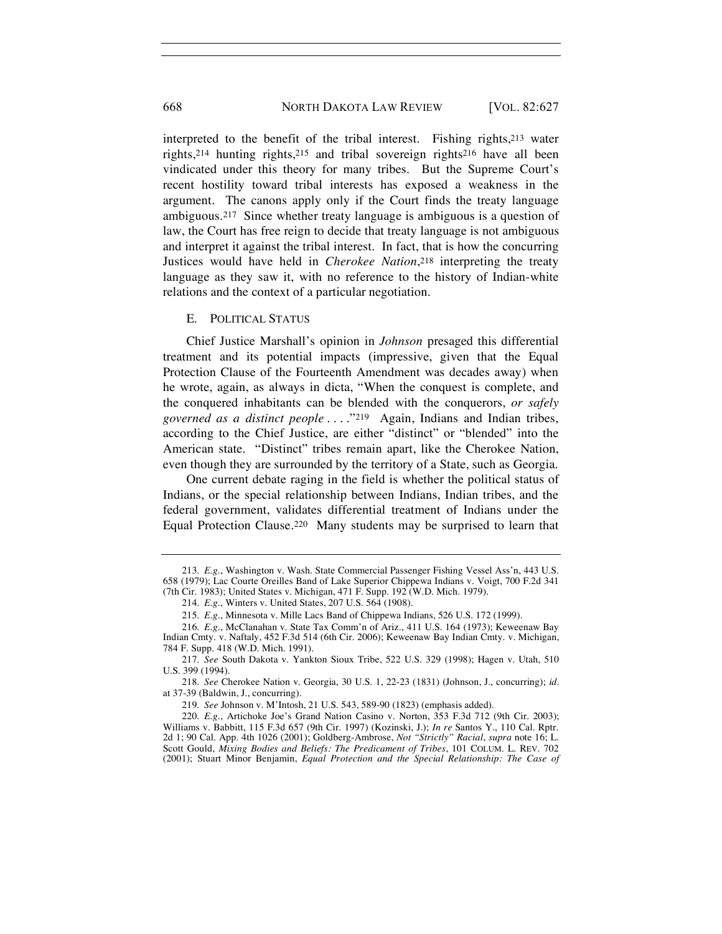interpreted to the benefit of the tribal interest. Fishing rights,213 water rights,214 hunting rights,215 and tribal sovereign rights216 have all been vindicated under this theory for many tribes. But the Supreme Court's recent hostility toward tribal interests has exposed a weakness in the argument. The canons apply only if the Court finds the treaty language ambiguous.217 Since whether treaty language is ambiguous is a question of law, the Court has free reign to decide that treaty language is not ambiguous and interpret it against the tribal interest. In fact, that is how the concurring Justices would have held in *Cherokee Nation*,218 interpreting the treaty language as they saw it, with no reference to the history of Indian-white relations and the context of a particular negotiation.

#### E. POLITICAL STATUS

Chief Justice Marshall's opinion in *Johnson* presaged this differential treatment and its potential impacts (impressive, given that the Equal Protection Clause of the Fourteenth Amendment was decades away) when he wrote, again, as always in dicta, "When the conquest is complete, and the conquered inhabitants can be blended with the conquerors, *or safely governed as a distinct people* . . . ."219 Again, Indians and Indian tribes, according to the Chief Justice, are either "distinct" or "blended" into the American state. "Distinct" tribes remain apart, like the Cherokee Nation, even though they are surrounded by the territory of a State, such as Georgia.

One current debate raging in the field is whether the political status of Indians, or the special relationship between Indians, Indian tribes, and the federal government, validates differential treatment of Indians under the Equal Protection Clause.220 Many students may be surprised to learn that

219*. See* Johnson v. M'Intosh, 21 U.S. 543, 589-90 (1823) (emphasis added).

<sup>213</sup>*. E.g.*, Washington v. Wash. State Commercial Passenger Fishing Vessel Ass'n, 443 U.S. 658 (1979); Lac Courte Oreilles Band of Lake Superior Chippewa Indians v. Voigt, 700 F.2d 341 (7th Cir. 1983); United States v. Michigan, 471 F. Supp. 192 (W.D. Mich. 1979).

<sup>214</sup>*. E.g.*, Winters v. United States, 207 U.S. 564 (1908).

<sup>215</sup>*. E.g.*, Minnesota v. Mille Lacs Band of Chippewa Indians, 526 U.S. 172 (1999).

<sup>216</sup>*. E.g.*, McClanahan v. State Tax Comm'n of Ariz., 411 U.S. 164 (1973); Keweenaw Bay Indian Cmty. v. Naftaly, 452 F.3d 514 (6th Cir. 2006); Keweenaw Bay Indian Cmty. v. Michigan, 784 F. Supp. 418 (W.D. Mich. 1991).

<sup>217</sup>*. See* South Dakota v. Yankton Sioux Tribe, 522 U.S. 329 (1998); Hagen v. Utah, 510 U.S. 399 (1994).

<sup>218</sup>*. See* Cherokee Nation v. Georgia, 30 U.S. 1, 22-23 (1831) (Johnson, J., concurring); *id*. at 37-39 (Baldwin, J., concurring).

<sup>220</sup>*. E.g.*, Artichoke Joe's Grand Nation Casino v. Norton, 353 F.3d 712 (9th Cir. 2003); Williams v. Babbitt, 115 F.3d 657 (9th Cir. 1997) (Kozinski, J.); *In re* Santos Y., 110 Cal. Rptr. 2d 1; 90 Cal. App. 4th 1026 (2001); Goldberg-Ambrose, *Not "Strictly" Racial*, *supra* note 16; L. Scott Gould, *Mixing Bodies and Beliefs: The Predicament of Tribes*, 101 COLUM. L. REV. 702 (2001); Stuart Minor Benjamin, *Equal Protection and the Special Relationship: The Case of*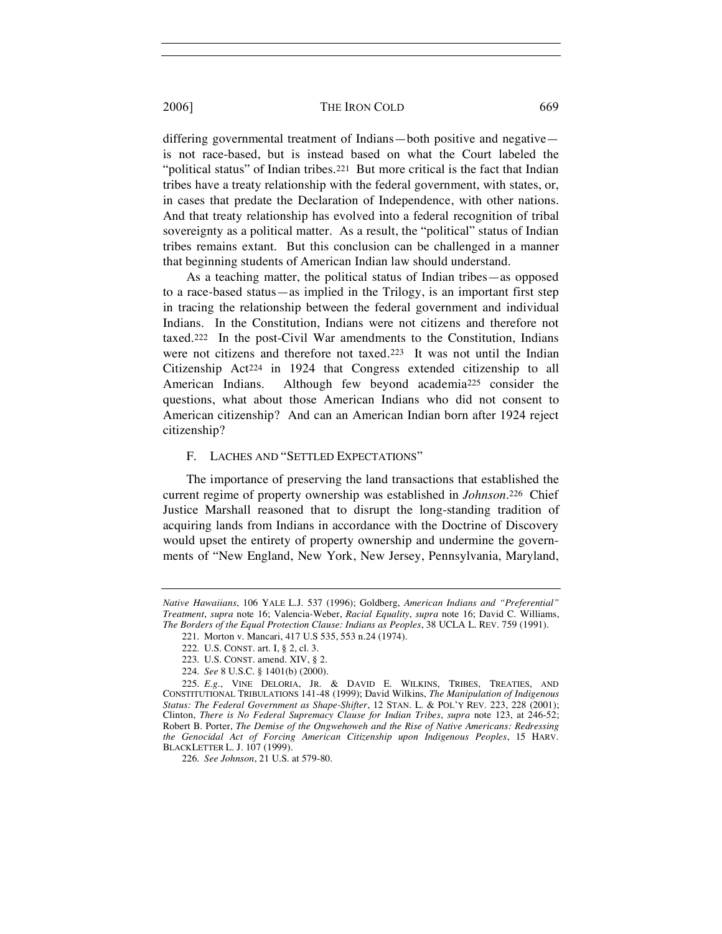differing governmental treatment of Indians—both positive and negative is not race-based, but is instead based on what the Court labeled the "political status" of Indian tribes.221 But more critical is the fact that Indian tribes have a treaty relationship with the federal government, with states, or, in cases that predate the Declaration of Independence, with other nations. And that treaty relationship has evolved into a federal recognition of tribal sovereignty as a political matter. As a result, the "political" status of Indian tribes remains extant. But this conclusion can be challenged in a manner that beginning students of American Indian law should understand.

As a teaching matter, the political status of Indian tribes—as opposed to a race-based status—as implied in the Trilogy, is an important first step in tracing the relationship between the federal government and individual Indians. In the Constitution, Indians were not citizens and therefore not taxed.222 In the post-Civil War amendments to the Constitution, Indians were not citizens and therefore not taxed.223 It was not until the Indian Citizenship Act224 in 1924 that Congress extended citizenship to all American Indians. Although few beyond academia225 consider the questions, what about those American Indians who did not consent to American citizenship? And can an American Indian born after 1924 reject citizenship?

# F. LACHES AND "SETTLED EXPECTATIONS"

The importance of preserving the land transactions that established the current regime of property ownership was established in *Johnson*.226 Chief Justice Marshall reasoned that to disrupt the long-standing tradition of acquiring lands from Indians in accordance with the Doctrine of Discovery would upset the entirety of property ownership and undermine the governments of "New England, New York, New Jersey, Pennsylvania, Maryland,

226*. See Johnson*, 21 U.S. at 579-80.

*Native Hawaiians*, 106 YALE L.J. 537 (1996); Goldberg, *American Indians and "Preferential" Treatment*, *supra* note 16; Valencia-Weber, *Racial Equality*, *supra* note 16; David C. Williams, *The Borders of the Equal Protection Clause: Indians as Peoples*, 38 UCLA L. REV. 759 (1991).

<sup>221.</sup> Morton v. Mancari, 417 U.S 535, 553 n.24 (1974).

<sup>222.</sup> U.S. CONST. art. I, § 2, cl. 3.

<sup>223.</sup> U.S. CONST. amend. XIV, § 2.

<sup>224</sup>*. See* 8 U.S.C. § 1401(b) (2000).

<sup>225</sup>*. E.g.*, VINE DELORIA, JR. & DAVID E. WILKINS, TRIBES, TREATIES, AND CONSTITUTIONAL TRIBULATIONS 141-48 (1999); David Wilkins, *The Manipulation of Indigenous Status: The Federal Government as Shape-Shifter*, 12 STAN. L. & POL'Y REV. 223, 228 (2001); Clinton, *There is No Federal Supremacy Clause for Indian Tribes*, *supra* note 123, at 246-52; Robert B. Porter, *The Demise of the Ongwehoweh and the Rise of Native Americans: Redressing the Genocidal Act of Forcing American Citizenship upon Indigenous Peoples*, 15 HARV. BLACKLETTER L. J. 107 (1999).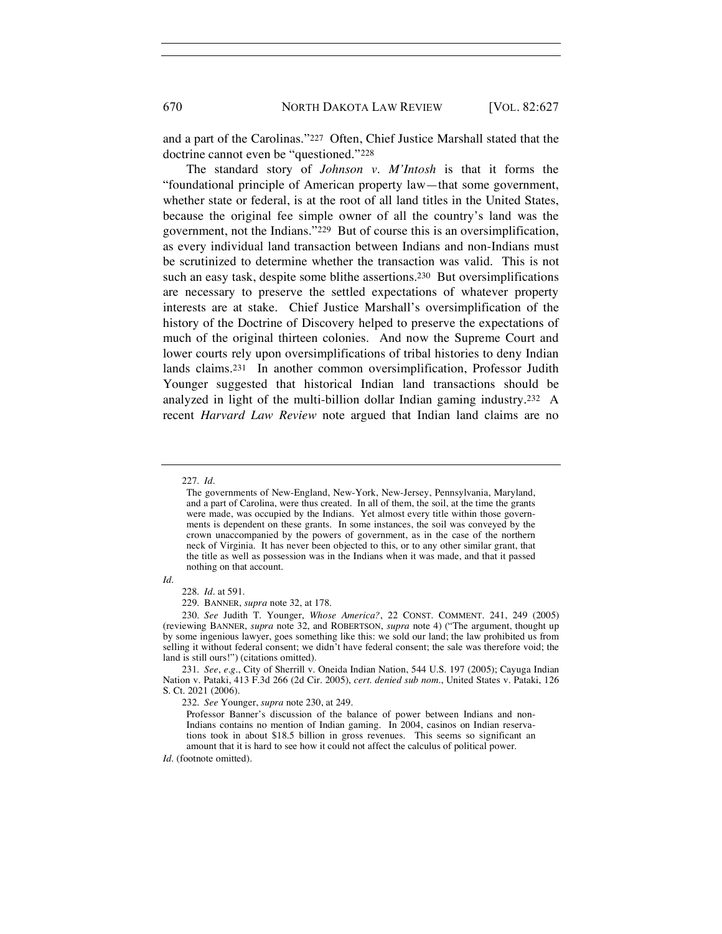and a part of the Carolinas."227 Often, Chief Justice Marshall stated that the doctrine cannot even be "questioned."228

The standard story of *Johnson v. M'Intosh* is that it forms the "foundational principle of American property law—that some government, whether state or federal, is at the root of all land titles in the United States, because the original fee simple owner of all the country's land was the government, not the Indians."229 But of course this is an oversimplification, as every individual land transaction between Indians and non-Indians must be scrutinized to determine whether the transaction was valid. This is not such an easy task, despite some blithe assertions.230 But oversimplifications are necessary to preserve the settled expectations of whatever property interests are at stake. Chief Justice Marshall's oversimplification of the history of the Doctrine of Discovery helped to preserve the expectations of much of the original thirteen colonies. And now the Supreme Court and lower courts rely upon oversimplifications of tribal histories to deny Indian lands claims.231 In another common oversimplification, Professor Judith Younger suggested that historical Indian land transactions should be analyzed in light of the multi-billion dollar Indian gaming industry.232 A recent *Harvard Law Review* note argued that Indian land claims are no

#### 227*. Id*.

*Id.*

228*. Id.* at 591.

229. BANNER, *supra* note 32, at 178.

230*. See* Judith T. Younger, *Whose America?*, 22 CONST. COMMENT. 241, 249 (2005) (reviewing BANNER, *supra* note 32, and ROBERTSON, *supra* note 4) ("The argument, thought up by some ingenious lawyer, goes something like this: we sold our land; the law prohibited us from selling it without federal consent; we didn't have federal consent; the sale was therefore void; the land is still ours!") (citations omitted).

231*. See*, *e.g.*, City of Sherrill v. Oneida Indian Nation, 544 U.S. 197 (2005); Cayuga Indian Nation v. Pataki, 413 F.3d 266 (2d Cir. 2005), *cert. denied sub nom.*, United States v. Pataki, 126 S. Ct. 2021 (2006).

232*. See* Younger, *supra* note 230, at 249.

Professor Banner's discussion of the balance of power between Indians and non-Indians contains no mention of Indian gaming. In 2004, casinos on Indian reservations took in about \$18.5 billion in gross revenues. This seems so significant an amount that it is hard to see how it could not affect the calculus of political power.

*Id.* (footnote omitted).

The governments of New-England, New-York, New-Jersey, Pennsylvania, Maryland, and a part of Carolina, were thus created. In all of them, the soil, at the time the grants were made, was occupied by the Indians. Yet almost every title within those governments is dependent on these grants. In some instances, the soil was conveyed by the crown unaccompanied by the powers of government, as in the case of the northern neck of Virginia. It has never been objected to this, or to any other similar grant, that the title as well as possession was in the Indians when it was made, and that it passed nothing on that account.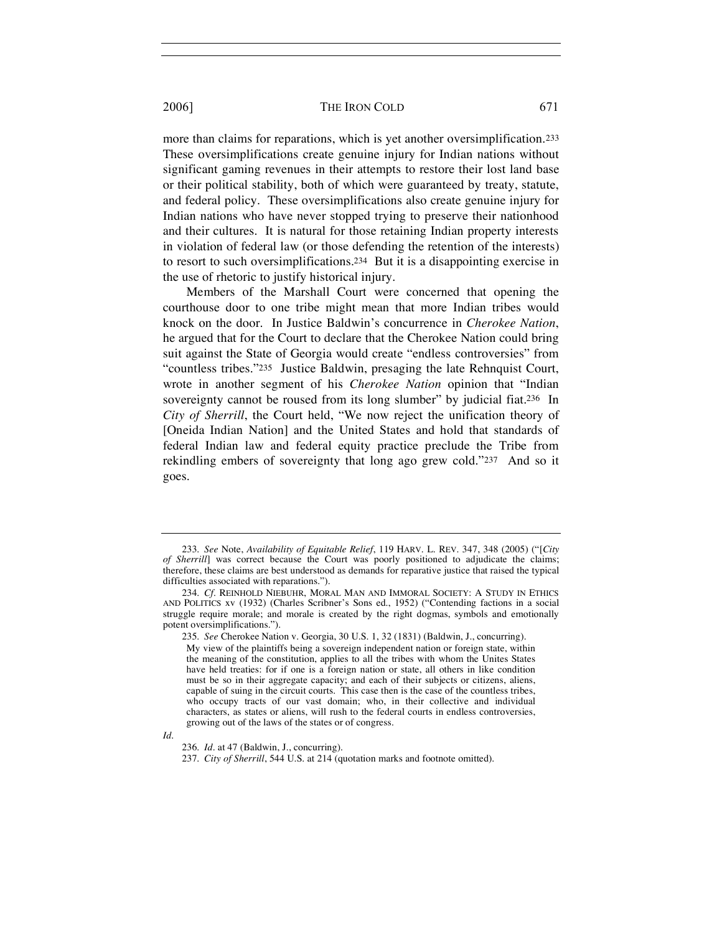more than claims for reparations, which is yet another oversimplification.233 These oversimplifications create genuine injury for Indian nations without significant gaming revenues in their attempts to restore their lost land base or their political stability, both of which were guaranteed by treaty, statute, and federal policy. These oversimplifications also create genuine injury for Indian nations who have never stopped trying to preserve their nationhood and their cultures. It is natural for those retaining Indian property interests in violation of federal law (or those defending the retention of the interests) to resort to such oversimplifications.234 But it is a disappointing exercise in the use of rhetoric to justify historical injury.

Members of the Marshall Court were concerned that opening the courthouse door to one tribe might mean that more Indian tribes would knock on the door. In Justice Baldwin's concurrence in *Cherokee Nation*, he argued that for the Court to declare that the Cherokee Nation could bring suit against the State of Georgia would create "endless controversies" from "countless tribes."235 Justice Baldwin, presaging the late Rehnquist Court, wrote in another segment of his *Cherokee Nation* opinion that "Indian sovereignty cannot be roused from its long slumber" by judicial fiat.<sup>236</sup> In *City of Sherrill*, the Court held, "We now reject the unification theory of [Oneida Indian Nation] and the United States and hold that standards of federal Indian law and federal equity practice preclude the Tribe from rekindling embers of sovereignty that long ago grew cold."237 And so it goes.

My view of the plaintiffs being a sovereign independent nation or foreign state, within the meaning of the constitution, applies to all the tribes with whom the Unites States have held treaties: for if one is a foreign nation or state, all others in like condition must be so in their aggregate capacity; and each of their subjects or citizens, aliens, capable of suing in the circuit courts. This case then is the case of the countless tribes, who occupy tracts of our vast domain; who, in their collective and individual characters, as states or aliens, will rush to the federal courts in endless controversies, growing out of the laws of the states or of congress.

*Id.* 

<sup>233</sup>*. See* Note, *Availability of Equitable Relief*, 119 HARV. L. REV. 347, 348 (2005) ("[*City of Sherrill*] was correct because the Court was poorly positioned to adjudicate the claims; therefore, these claims are best understood as demands for reparative justice that raised the typical difficulties associated with reparations.").

<sup>234</sup>*. Cf*. REINHOLD NIEBUHR, MORAL MAN AND IMMORAL SOCIETY: A STUDY IN ETHICS AND POLITICS xv (1932) (Charles Scribner's Sons ed., 1952) ("Contending factions in a social struggle require morale; and morale is created by the right dogmas, symbols and emotionally potent oversimplifications.").

<sup>235</sup>*. See* Cherokee Nation v. Georgia, 30 U.S. 1, 32 (1831) (Baldwin, J., concurring).

<sup>236</sup>*. Id.* at 47 (Baldwin, J., concurring).

<sup>237</sup>*. City of Sherrill*, 544 U.S. at 214 (quotation marks and footnote omitted).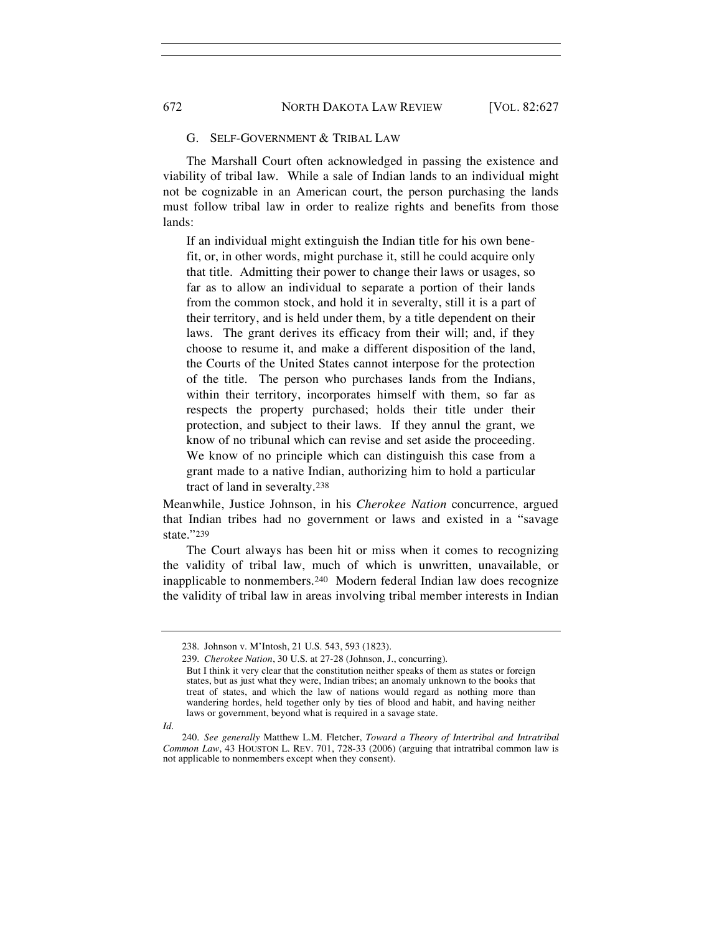# G. SELF-GOVERNMENT & TRIBAL LAW

The Marshall Court often acknowledged in passing the existence and viability of tribal law. While a sale of Indian lands to an individual might not be cognizable in an American court, the person purchasing the lands must follow tribal law in order to realize rights and benefits from those lands:

If an individual might extinguish the Indian title for his own benefit, or, in other words, might purchase it, still he could acquire only that title. Admitting their power to change their laws or usages, so far as to allow an individual to separate a portion of their lands from the common stock, and hold it in severalty, still it is a part of their territory, and is held under them, by a title dependent on their laws. The grant derives its efficacy from their will; and, if they choose to resume it, and make a different disposition of the land, the Courts of the United States cannot interpose for the protection of the title. The person who purchases lands from the Indians, within their territory, incorporates himself with them, so far as respects the property purchased; holds their title under their protection, and subject to their laws. If they annul the grant, we know of no tribunal which can revise and set aside the proceeding. We know of no principle which can distinguish this case from a grant made to a native Indian, authorizing him to hold a particular tract of land in severalty.238

Meanwhile, Justice Johnson, in his *Cherokee Nation* concurrence, argued that Indian tribes had no government or laws and existed in a "savage state."239

The Court always has been hit or miss when it comes to recognizing the validity of tribal law, much of which is unwritten, unavailable, or inapplicable to nonmembers.240 Modern federal Indian law does recognize the validity of tribal law in areas involving tribal member interests in Indian

*Id.* 

<sup>238</sup>*.* Johnson v. M'Intosh, 21 U.S. 543, 593 (1823).

<sup>239</sup>*. Cherokee Nation*, 30 U.S. at 27-28 (Johnson, J., concurring).

But I think it very clear that the constitution neither speaks of them as states or foreign states, but as just what they were, Indian tribes; an anomaly unknown to the books that treat of states, and which the law of nations would regard as nothing more than wandering hordes, held together only by ties of blood and habit, and having neither laws or government, beyond what is required in a savage state.

<sup>240</sup>*. See generally* Matthew L.M. Fletcher, *Toward a Theory of Intertribal and Intratribal Common Law*, 43 HOUSTON L. REV. 701, 728-33 (2006) (arguing that intratribal common law is not applicable to nonmembers except when they consent).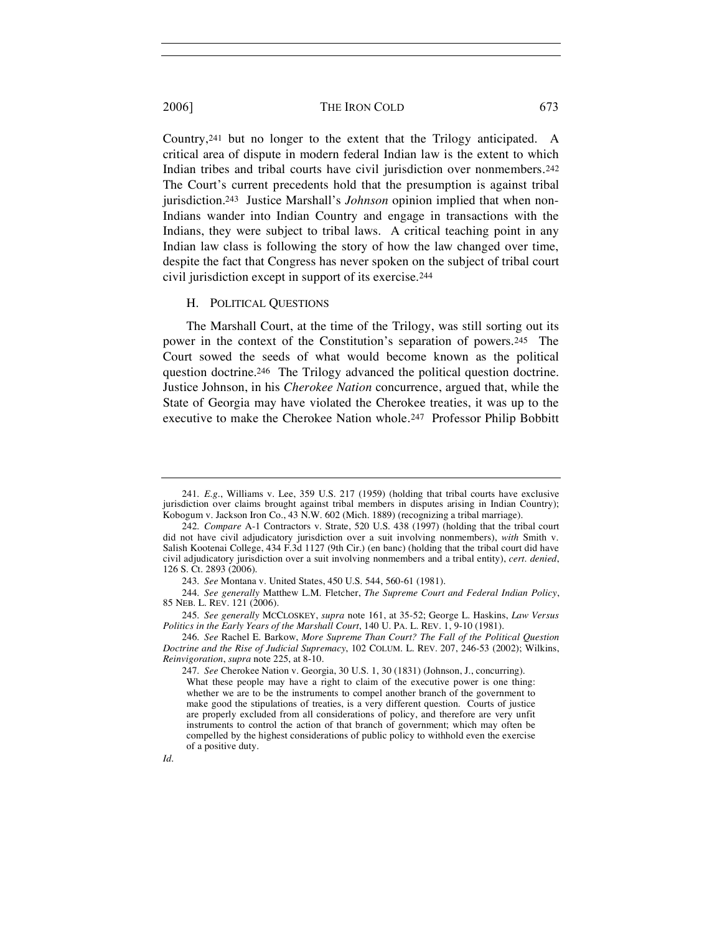Country,241 but no longer to the extent that the Trilogy anticipated. A critical area of dispute in modern federal Indian law is the extent to which Indian tribes and tribal courts have civil jurisdiction over nonmembers.242 The Court's current precedents hold that the presumption is against tribal jurisdiction.243 Justice Marshall's *Johnson* opinion implied that when non-Indians wander into Indian Country and engage in transactions with the Indians, they were subject to tribal laws. A critical teaching point in any Indian law class is following the story of how the law changed over time, despite the fact that Congress has never spoken on the subject of tribal court civil jurisdiction except in support of its exercise.244

#### H. POLITICAL QUESTIONS

The Marshall Court, at the time of the Trilogy, was still sorting out its power in the context of the Constitution's separation of powers.245 The Court sowed the seeds of what would become known as the political question doctrine.246 The Trilogy advanced the political question doctrine. Justice Johnson, in his *Cherokee Nation* concurrence, argued that, while the State of Georgia may have violated the Cherokee treaties, it was up to the executive to make the Cherokee Nation whole.247 Professor Philip Bobbitt

<sup>241</sup>*. E.g.*, Williams v. Lee, 359 U.S. 217 (1959) (holding that tribal courts have exclusive jurisdiction over claims brought against tribal members in disputes arising in Indian Country); Kobogum v. Jackson Iron Co., 43 N.W. 602 (Mich. 1889) (recognizing a tribal marriage).

<sup>242</sup>*. Compare* A-1 Contractors v. Strate, 520 U.S. 438 (1997) (holding that the tribal court did not have civil adjudicatory jurisdiction over a suit involving nonmembers), *with* Smith v. Salish Kootenai College, 434 F.3d 1127 (9th Cir.) (en banc) (holding that the tribal court did have civil adjudicatory jurisdiction over a suit involving nonmembers and a tribal entity), *cert. denied*, 126 S. Ct. 2893 (2006).

<sup>243</sup>*. See* Montana v. United States, 450 U.S. 544, 560-61 (1981).

<sup>244</sup>*. See generally* Matthew L.M. Fletcher, *The Supreme Court and Federal Indian Policy*, 85 NEB. L. REV. 121 (2006).

<sup>245</sup>*. See generally* MCCLOSKEY, *supra* note 161, at 35-52; George L. Haskins, *Law Versus Politics in the Early Years of the Marshall Court*, 140 U. PA. L. REV. 1, 9-10 (1981).

<sup>246</sup>*. See* Rachel E. Barkow, *More Supreme Than Court? The Fall of the Political Question Doctrine and the Rise of Judicial Supremacy*, 102 COLUM. L. REV. 207, 246-53 (2002); Wilkins, *Reinvigoration*, *supra* note 225, at 8-10.

<sup>247</sup>*. See* Cherokee Nation v. Georgia, 30 U.S. 1, 30 (1831) (Johnson, J., concurring).

What these people may have a right to claim of the executive power is one thing: whether we are to be the instruments to compel another branch of the government to make good the stipulations of treaties, is a very different question. Courts of justice are properly excluded from all considerations of policy, and therefore are very unfit instruments to control the action of that branch of government; which may often be compelled by the highest considerations of public policy to withhold even the exercise of a positive duty.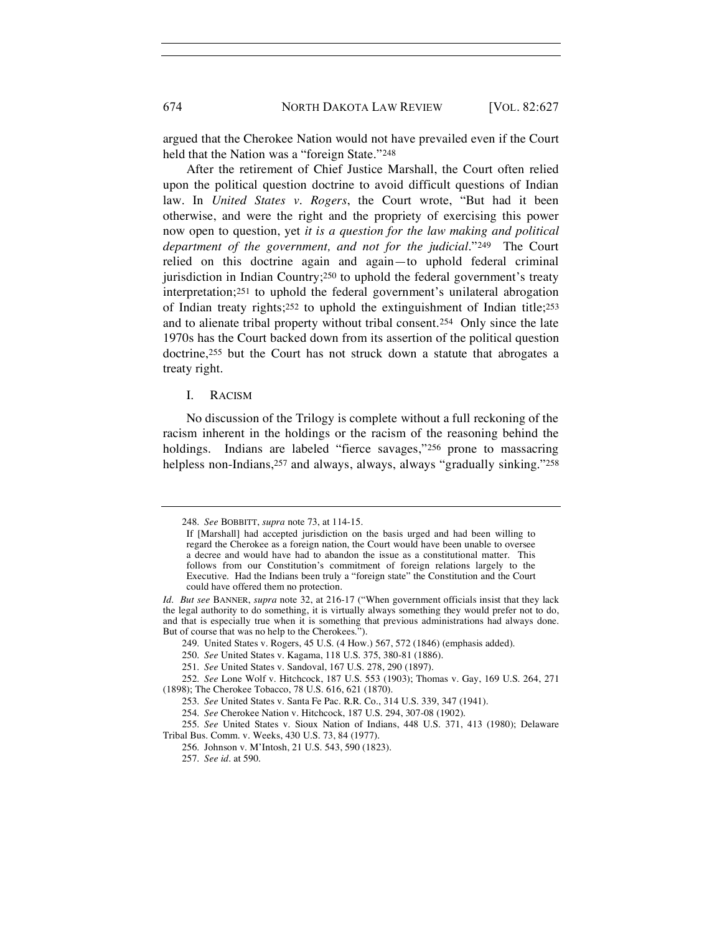argued that the Cherokee Nation would not have prevailed even if the Court held that the Nation was a "foreign State."248

After the retirement of Chief Justice Marshall, the Court often relied upon the political question doctrine to avoid difficult questions of Indian law. In *United States v. Rogers*, the Court wrote, "But had it been otherwise, and were the right and the propriety of exercising this power now open to question, yet *it is a question for the law making and political department of the government, and not for the judicial*."249 The Court relied on this doctrine again and again—to uphold federal criminal jurisdiction in Indian Country;250 to uphold the federal government's treaty interpretation;251 to uphold the federal government's unilateral abrogation of Indian treaty rights;252 to uphold the extinguishment of Indian title;253 and to alienate tribal property without tribal consent.254 Only since the late 1970s has the Court backed down from its assertion of the political question doctrine,255 but the Court has not struck down a statute that abrogates a treaty right.

#### I. RACISM

No discussion of the Trilogy is complete without a full reckoning of the racism inherent in the holdings or the racism of the reasoning behind the holdings. Indians are labeled "fierce savages,"<sup>256</sup> prone to massacring helpless non-Indians, 257 and always, always, always "gradually sinking."258

<sup>248</sup>*. See* BOBBITT, *supra* note 73, at 114-15.

If [Marshall] had accepted jurisdiction on the basis urged and had been willing to regard the Cherokee as a foreign nation, the Court would have been unable to oversee a decree and would have had to abandon the issue as a constitutional matter. This follows from our Constitution's commitment of foreign relations largely to the Executive. Had the Indians been truly a "foreign state" the Constitution and the Court could have offered them no protection.

*Id. But see* BANNER, *supra* note 32, at 216-17 ("When government officials insist that they lack the legal authority to do something, it is virtually always something they would prefer not to do, and that is especially true when it is something that previous administrations had always done. But of course that was no help to the Cherokees.").

<sup>249.</sup> United States v. Rogers, 45 U.S. (4 How.) 567, 572 (1846) (emphasis added).

<sup>250</sup>*. See* United States v. Kagama, 118 U.S. 375, 380-81 (1886).

<sup>251</sup>*. See* United States v. Sandoval, 167 U.S. 278, 290 (1897).

<sup>252</sup>*. See* Lone Wolf v. Hitchcock, 187 U.S. 553 (1903); Thomas v. Gay, 169 U.S. 264, 271 (1898); The Cherokee Tobacco, 78 U.S. 616, 621 (1870).

<sup>253</sup>*. See* United States v. Santa Fe Pac. R.R. Co., 314 U.S. 339, 347 (1941).

<sup>254</sup>*. See* Cherokee Nation v. Hitchcock, 187 U.S. 294, 307-08 (1902).

<sup>255</sup>*. See* United States v. Sioux Nation of Indians, 448 U.S. 371, 413 (1980); Delaware Tribal Bus. Comm. v. Weeks, 430 U.S. 73, 84 (1977).

<sup>256</sup>*.* Johnson v. M'Intosh, 21 U.S. 543, 590 (1823).

<sup>257</sup>*. See id.* at 590.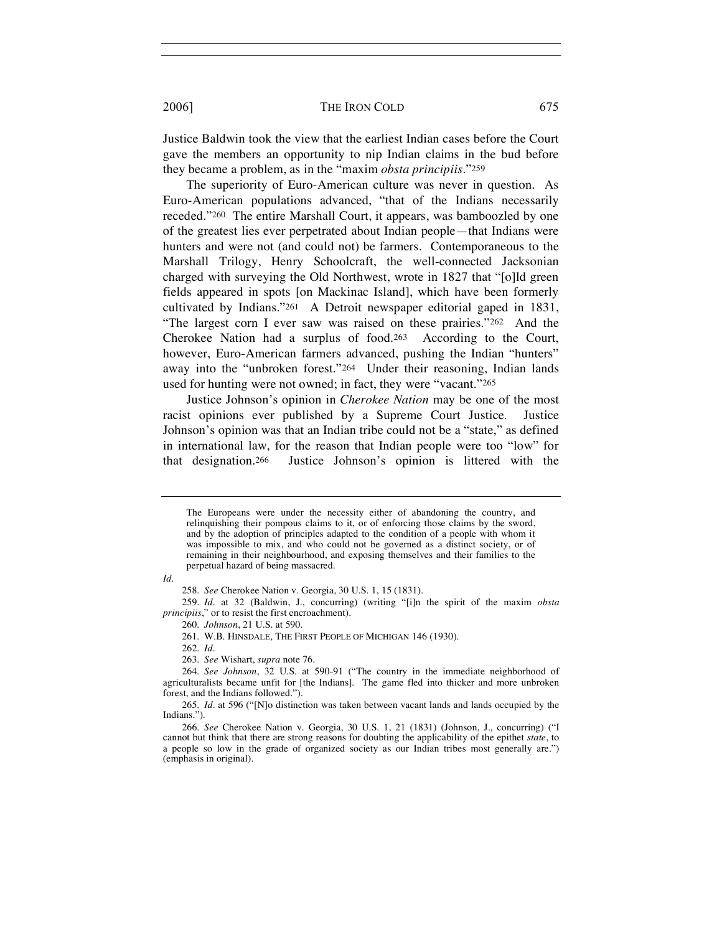Justice Baldwin took the view that the earliest Indian cases before the Court gave the members an opportunity to nip Indian claims in the bud before they became a problem, as in the "maxim *obsta principiis*."259

The superiority of Euro-American culture was never in question. As Euro-American populations advanced, "that of the Indians necessarily receded."260 The entire Marshall Court, it appears, was bamboozled by one of the greatest lies ever perpetrated about Indian people—that Indians were hunters and were not (and could not) be farmers. Contemporaneous to the Marshall Trilogy, Henry Schoolcraft, the well-connected Jacksonian charged with surveying the Old Northwest, wrote in 1827 that "[o]ld green fields appeared in spots [on Mackinac Island], which have been formerly cultivated by Indians."261 A Detroit newspaper editorial gaped in 1831, "The largest corn I ever saw was raised on these prairies."262 And the Cherokee Nation had a surplus of food.263 According to the Court, however, Euro-American farmers advanced, pushing the Indian "hunters" away into the "unbroken forest."264 Under their reasoning, Indian lands used for hunting were not owned; in fact, they were "vacant."265

Justice Johnson's opinion in *Cherokee Nation* may be one of the most racist opinions ever published by a Supreme Court Justice. Justice Johnson's opinion was that an Indian tribe could not be a "state," as defined in international law, for the reason that Indian people were too "low" for that designation.266 Justice Johnson's opinion is littered with the

*Id.*

259*. Id.* at 32 (Baldwin, J., concurring) (writing "[i]n the spirit of the maxim *obsta principiis*," or to resist the first encroachment).

260*. Johnson*, 21 U.S. at 590.

261. W.B. HINSDALE, THE FIRST PEOPLE OF MICHIGAN 146 (1930).

262*. Id*.

263*. See* Wishart, *supra* note 76.

264*. See Johnson*, 32 U.S. at 590-91 ("The country in the immediate neighborhood of agriculturalists became unfit for [the Indians]. The game fled into thicker and more unbroken forest, and the Indians followed.").

265*. Id.* at 596 ("[N]o distinction was taken between vacant lands and lands occupied by the Indians.").

266*. See* Cherokee Nation v. Georgia, 30 U.S. 1, 21 (1831) (Johnson, J., concurring) ("I cannot but think that there are strong reasons for doubting the applicability of the epithet *state*, to a people so low in the grade of organized society as our Indian tribes most generally are.") (emphasis in original).

The Europeans were under the necessity either of abandoning the country, and relinquishing their pompous claims to it, or of enforcing those claims by the sword, and by the adoption of principles adapted to the condition of a people with whom it was impossible to mix, and who could not be governed as a distinct society, or of remaining in their neighbourhood, and exposing themselves and their families to the perpetual hazard of being massacred.

<sup>258</sup>*. See* Cherokee Nation v. Georgia, 30 U.S. 1, 15 (1831).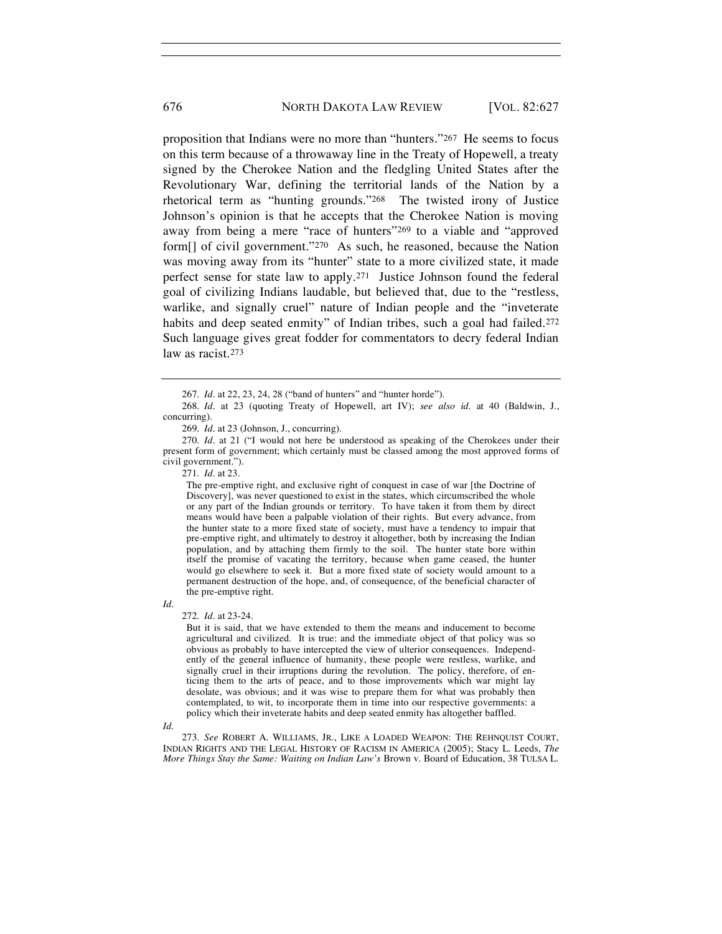proposition that Indians were no more than "hunters."267 He seems to focus on this term because of a throwaway line in the Treaty of Hopewell, a treaty signed by the Cherokee Nation and the fledgling United States after the Revolutionary War, defining the territorial lands of the Nation by a rhetorical term as "hunting grounds."268 The twisted irony of Justice Johnson's opinion is that he accepts that the Cherokee Nation is moving away from being a mere "race of hunters"269 to a viable and "approved form[] of civil government."270 As such, he reasoned, because the Nation was moving away from its "hunter" state to a more civilized state, it made perfect sense for state law to apply.271 Justice Johnson found the federal goal of civilizing Indians laudable, but believed that, due to the "restless, warlike, and signally cruel" nature of Indian people and the "inveterate habits and deep seated enmity" of Indian tribes, such a goal had failed.<sup>272</sup> Such language gives great fodder for commentators to decry federal Indian law as racist.273

269*. Id.* at 23 (Johnson, J., concurring).

270*. Id.* at 21 ("I would not here be understood as speaking of the Cherokees under their present form of government; which certainly must be classed among the most approved forms of civil government.").

271*. Id.* at 23.

The pre-emptive right, and exclusive right of conquest in case of war [the Doctrine of Discovery], was never questioned to exist in the states, which circumscribed the whole or any part of the Indian grounds or territory. To have taken it from them by direct means would have been a palpable violation of their rights. But every advance, from the hunter state to a more fixed state of society, must have a tendency to impair that pre-emptive right, and ultimately to destroy it altogether, both by increasing the Indian population, and by attaching them firmly to the soil. The hunter state bore within itself the promise of vacating the territory, because when game ceased, the hunter would go elsewhere to seek it. But a more fixed state of society would amount to a permanent destruction of the hope, and, of consequence, of the beneficial character of the pre-emptive right.

*Id*.

#### 272*. Id.* at 23-24.

But it is said, that we have extended to them the means and inducement to become agricultural and civilized. It is true: and the immediate object of that policy was so obvious as probably to have intercepted the view of ulterior consequences. Independently of the general influence of humanity, these people were restless, warlike, and signally cruel in their irruptions during the revolution. The policy, therefore, of enticing them to the arts of peace, and to those improvements which war might lay desolate, was obvious; and it was wise to prepare them for what was probably then contemplated, to wit, to incorporate them in time into our respective governments: a policy which their inveterate habits and deep seated enmity has altogether baffled.

*Id.*

273*. See* ROBERT A. WILLIAMS, JR., LIKE A LOADED WEAPON: THE REHNQUIST COURT, INDIAN RIGHTS AND THE LEGAL HISTORY OF RACISM IN AMERICA (2005); Stacy L. Leeds, *The More Things Stay the Same: Waiting on Indian Law's* Brown v. Board of Education, 38 TULSA L.

<sup>267</sup>*. Id.* at 22, 23, 24, 28 ("band of hunters" and "hunter horde").

<sup>268</sup>*. Id.* at 23 (quoting Treaty of Hopewell, art IV); *see also id*. at 40 (Baldwin, J., concurring).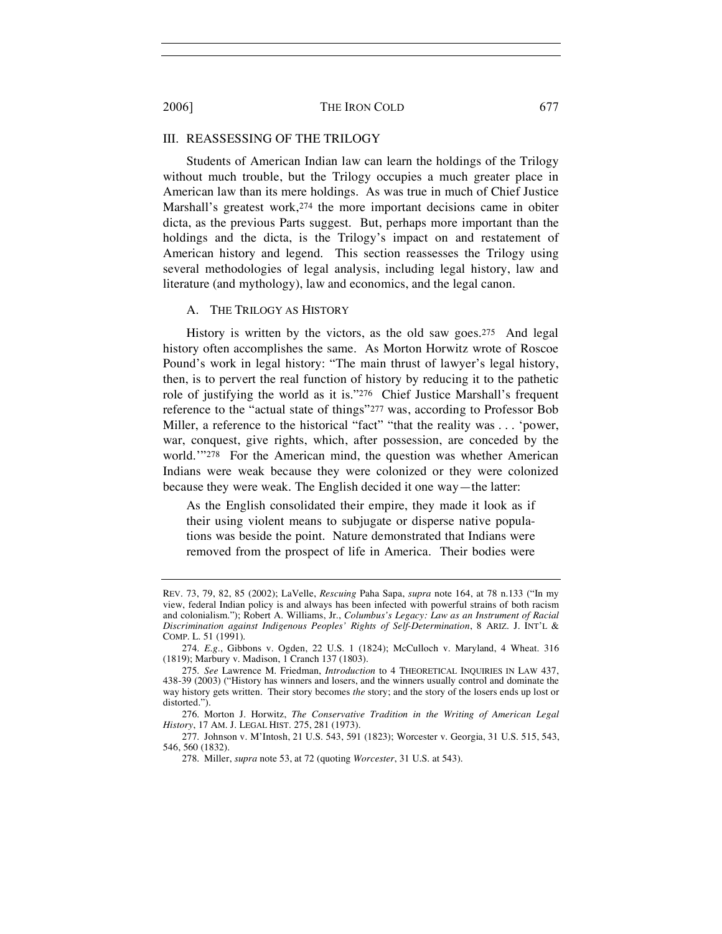# III. REASSESSING OF THE TRILOGY

Students of American Indian law can learn the holdings of the Trilogy without much trouble, but the Trilogy occupies a much greater place in American law than its mere holdings. As was true in much of Chief Justice Marshall's greatest work,274 the more important decisions came in obiter dicta, as the previous Parts suggest. But, perhaps more important than the holdings and the dicta, is the Trilogy's impact on and restatement of American history and legend. This section reassesses the Trilogy using several methodologies of legal analysis, including legal history, law and literature (and mythology), law and economics, and the legal canon.

# A. THE TRILOGY AS HISTORY

History is written by the victors, as the old saw goes.<sup>275</sup> And legal history often accomplishes the same. As Morton Horwitz wrote of Roscoe Pound's work in legal history: "The main thrust of lawyer's legal history, then, is to pervert the real function of history by reducing it to the pathetic role of justifying the world as it is."276 Chief Justice Marshall's frequent reference to the "actual state of things"277 was, according to Professor Bob Miller, a reference to the historical "fact" "that the reality was . . . 'power, war, conquest, give rights, which, after possession, are conceded by the world.'"278 For the American mind, the question was whether American Indians were weak because they were colonized or they were colonized because they were weak. The English decided it one way—the latter:

As the English consolidated their empire, they made it look as if their using violent means to subjugate or disperse native populations was beside the point. Nature demonstrated that Indians were removed from the prospect of life in America. Their bodies were

REV. 73, 79, 82, 85 (2002); LaVelle, *Rescuing* Paha Sapa, *supra* note 164, at 78 n.133 ("In my view, federal Indian policy is and always has been infected with powerful strains of both racism and colonialism."); Robert A. Williams, Jr., *Columbus's Legacy: Law as an Instrument of Racial Discrimination against Indigenous Peoples' Rights of Self-Determination*, 8 ARIZ. J. INT'L & COMP. L. 51 (1991).

<sup>274</sup>*. E.g.*, Gibbons v. Ogden, 22 U.S. 1 (1824); McCulloch v. Maryland, 4 Wheat. 316 (1819); Marbury v. Madison, 1 Cranch 137 (1803).

<sup>275</sup>*. See* Lawrence M. Friedman, *Introduction* to 4 THEORETICAL INQUIRIES IN LAW 437, 438-39 (2003) ("History has winners and losers, and the winners usually control and dominate the way history gets written. Their story becomes *the* story; and the story of the losers ends up lost or distorted.").

<sup>276.</sup> Morton J. Horwitz, *The Conservative Tradition in the Writing of American Legal History*, 17 AM. J. LEGAL HIST. 275, 281 (1973).

<sup>277</sup>*.* Johnson v. M'Intosh, 21 U.S. 543, 591 (1823); Worcester v. Georgia, 31 U.S. 515, 543, 546, 560 (1832).

<sup>278.</sup> Miller, *supra* note 53, at 72 (quoting *Worcester*, 31 U.S. at 543).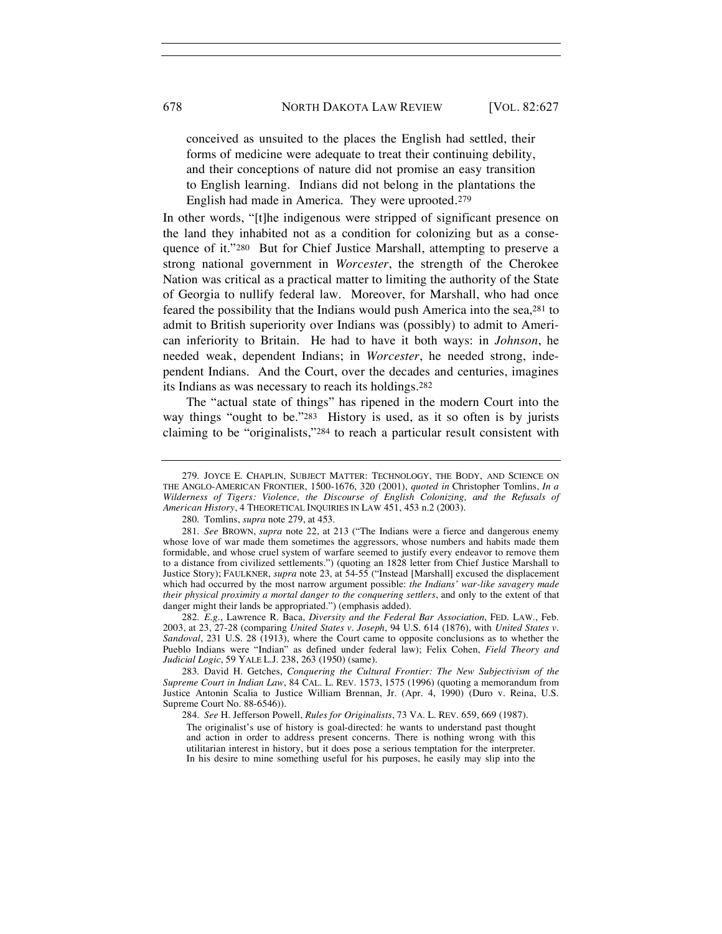conceived as unsuited to the places the English had settled, their forms of medicine were adequate to treat their continuing debility, and their conceptions of nature did not promise an easy transition to English learning. Indians did not belong in the plantations the English had made in America. They were uprooted.279

In other words, "[t]he indigenous were stripped of significant presence on the land they inhabited not as a condition for colonizing but as a consequence of it."280 But for Chief Justice Marshall, attempting to preserve a strong national government in *Worcester*, the strength of the Cherokee Nation was critical as a practical matter to limiting the authority of the State of Georgia to nullify federal law. Moreover, for Marshall, who had once feared the possibility that the Indians would push America into the sea,281 to admit to British superiority over Indians was (possibly) to admit to American inferiority to Britain. He had to have it both ways: in *Johnson*, he needed weak, dependent Indians; in *Worcester*, he needed strong, independent Indians. And the Court, over the decades and centuries, imagines its Indians as was necessary to reach its holdings.282

The "actual state of things" has ripened in the modern Court into the way things "ought to be."283 History is used, as it so often is by jurists claiming to be "originalists,"284 to reach a particular result consistent with

282*. E.g.*, Lawrence R. Baca, *Diversity and the Federal Bar Association*, FED. LAW., Feb. 2003, at 23, 27-28 (comparing *United States v. Joseph*, 94 U.S. 614 (1876), with *United States v. Sandoval*, 231 U.S. 28 (1913), where the Court came to opposite conclusions as to whether the Pueblo Indians were "Indian" as defined under federal law); Felix Cohen, *Field Theory and Judicial Logic*, 59 YALE L.J. 238, 263 (1950) (same).

283. David H. Getches, *Conquering the Cultural Frontier: The New Subjectivism of the Supreme Court in Indian Law*, 84 CAL. L. REV. 1573, 1575 (1996) (quoting a memorandum from Justice Antonin Scalia to Justice William Brennan, Jr. (Apr. 4, 1990) (Duro v. Reina, U.S. Supreme Court No. 88-6546)).

284*. See* H. Jefferson Powell, *Rules for Originalists*, 73 VA. L. REV. 659, 669 (1987).

The originalist's use of history is goal-directed: he wants to understand past thought and action in order to address present concerns. There is nothing wrong with this utilitarian interest in history, but it does pose a serious temptation for the interpreter. In his desire to mine something useful for his purposes, he easily may slip into the

<sup>279.</sup> JOYCE E. CHAPLIN, SUBJECT MATTER: TECHNOLOGY, THE BODY, AND SCIENCE ON THE ANGLO-AMERICAN FRONTIER, 1500-1676, 320 (2001), *quoted in* Christopher Tomlins, *In a Wilderness of Tigers: Violence, the Discourse of English Colonizing, and the Refusals of American History*, 4 THEORETICAL INQUIRIES IN LAW 451, 453 n.2 (2003).

<sup>280.</sup> Tomlins, *supra* note 279, at 453.

<sup>281</sup>*. See* BROWN, *supra* note 22, at 213 ("The Indians were a fierce and dangerous enemy whose love of war made them sometimes the aggressors, whose numbers and habits made them formidable, and whose cruel system of warfare seemed to justify every endeavor to remove them to a distance from civilized settlements.") (quoting an 1828 letter from Chief Justice Marshall to Justice Story); FAULKNER, *supra* note 23, at 54-55 ("Instead [Marshall] excused the displacement which had occurred by the most narrow argument possible: *the Indians' war-like savagery made their physical proximity a mortal danger to the conquering settlers*, and only to the extent of that danger might their lands be appropriated.") (emphasis added).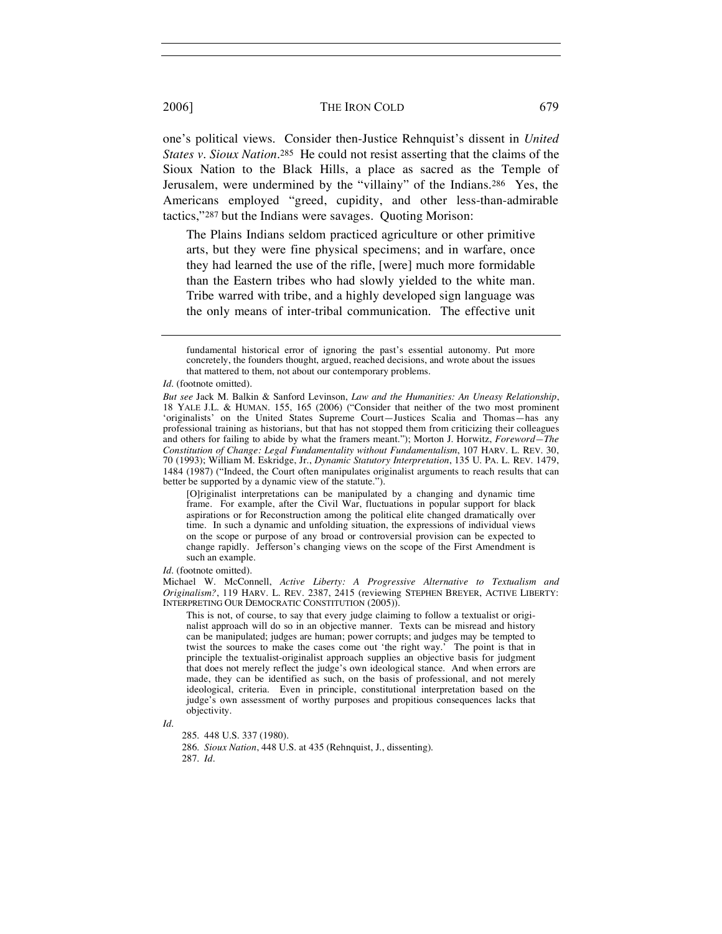one's political views. Consider then-Justice Rehnquist's dissent in *United States v. Sioux Nation*.285 He could not resist asserting that the claims of the Sioux Nation to the Black Hills, a place as sacred as the Temple of Jerusalem, were undermined by the "villainy" of the Indians.286 Yes, the Americans employed "greed, cupidity, and other less-than-admirable tactics,"287 but the Indians were savages. Quoting Morison:

The Plains Indians seldom practiced agriculture or other primitive arts, but they were fine physical specimens; and in warfare, once they had learned the use of the rifle, [were] much more formidable than the Eastern tribes who had slowly yielded to the white man. Tribe warred with tribe, and a highly developed sign language was the only means of inter-tribal communication. The effective unit

[O]riginalist interpretations can be manipulated by a changing and dynamic time frame. For example, after the Civil War, fluctuations in popular support for black aspirations or for Reconstruction among the political elite changed dramatically over time. In such a dynamic and unfolding situation, the expressions of individual views on the scope or purpose of any broad or controversial provision can be expected to change rapidly. Jefferson's changing views on the scope of the First Amendment is such an example.

*Id*. (footnote omitted).

Michael W. McConnell, *Active Liberty: A Progressive Alternative to Textualism and Originalism?*, 119 HARV. L. REV. 2387, 2415 (reviewing STEPHEN BREYER, ACTIVE LIBERTY: INTERPRETING OUR DEMOCRATIC CONSTITUTION (2005)).

This is not, of course, to say that every judge claiming to follow a textualist or originalist approach will do so in an objective manner. Texts can be misread and history can be manipulated; judges are human; power corrupts; and judges may be tempted to twist the sources to make the cases come out 'the right way.' The point is that in principle the textualist-originalist approach supplies an objective basis for judgment that does not merely reflect the judge's own ideological stance. And when errors are made, they can be identified as such, on the basis of professional, and not merely ideological, criteria. Even in principle, constitutional interpretation based on the judge's own assessment of worthy purposes and propitious consequences lacks that objectivity.

*Id.*

285. 448 U.S. 337 (1980).

286*. Sioux Nation*, 448 U.S. at 435 (Rehnquist, J., dissenting).

287*. Id*.

fundamental historical error of ignoring the past's essential autonomy. Put more concretely, the founders thought, argued, reached decisions, and wrote about the issues that mattered to them, not about our contemporary problems.

*Id.* (footnote omitted).

*But see* Jack M. Balkin & Sanford Levinson, *Law and the Humanities: An Uneasy Relationship*, 18 YALE J.L. & HUMAN. 155, 165 (2006) ("Consider that neither of the two most prominent 'originalists' on the United States Supreme Court—Justices Scalia and Thomas—has any professional training as historians, but that has not stopped them from criticizing their colleagues and others for failing to abide by what the framers meant."); Morton J. Horwitz, *Foreword—The Constitution of Change: Legal Fundamentality without Fundamentalism*, 107 HARV. L. REV. 30, 70 (1993); William M. Eskridge, Jr., *Dynamic Statutory Interpretation*, 135 U. PA. L. REV. 1479, 1484 (1987) ("Indeed, the Court often manipulates originalist arguments to reach results that can better be supported by a dynamic view of the statute.").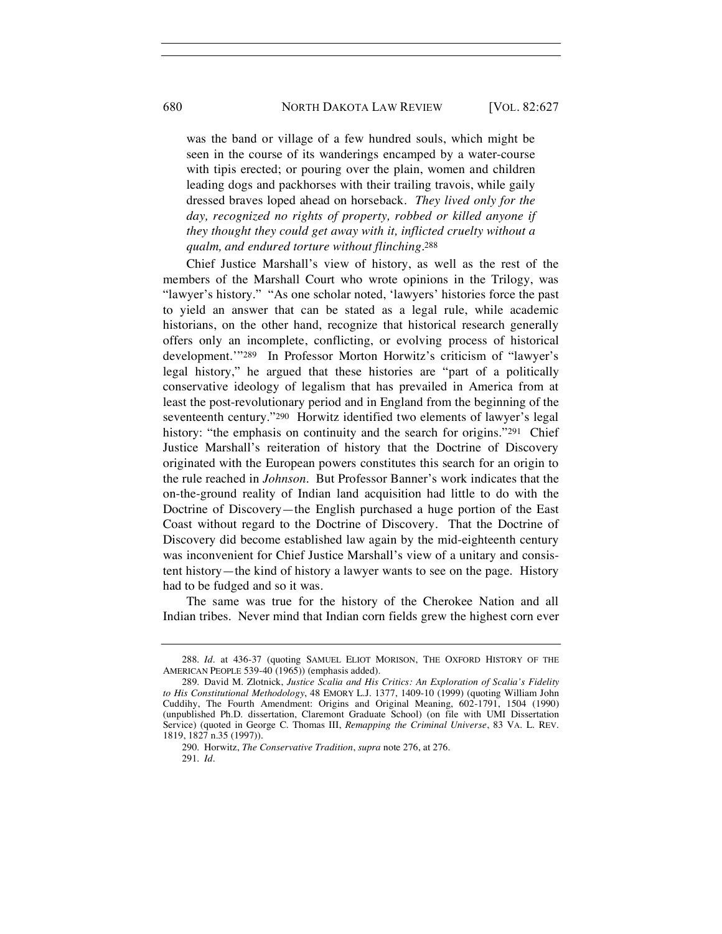was the band or village of a few hundred souls, which might be seen in the course of its wanderings encamped by a water-course with tipis erected; or pouring over the plain, women and children leading dogs and packhorses with their trailing travois, while gaily dressed braves loped ahead on horseback. *They lived only for the day, recognized no rights of property, robbed or killed anyone if they thought they could get away with it, inflicted cruelty without a qualm, and endured torture without flinching*.288

Chief Justice Marshall's view of history, as well as the rest of the members of the Marshall Court who wrote opinions in the Trilogy, was "lawyer's history." "As one scholar noted, 'lawyers' histories force the past to yield an answer that can be stated as a legal rule, while academic historians, on the other hand, recognize that historical research generally offers only an incomplete, conflicting, or evolving process of historical development.'"289 In Professor Morton Horwitz's criticism of "lawyer's legal history," he argued that these histories are "part of a politically conservative ideology of legalism that has prevailed in America from at least the post-revolutionary period and in England from the beginning of the seventeenth century."290 Horwitz identified two elements of lawyer's legal history: "the emphasis on continuity and the search for origins."291 Chief Justice Marshall's reiteration of history that the Doctrine of Discovery originated with the European powers constitutes this search for an origin to the rule reached in *Johnson*. But Professor Banner's work indicates that the on-the-ground reality of Indian land acquisition had little to do with the Doctrine of Discovery—the English purchased a huge portion of the East Coast without regard to the Doctrine of Discovery. That the Doctrine of Discovery did become established law again by the mid-eighteenth century was inconvenient for Chief Justice Marshall's view of a unitary and consistent history—the kind of history a lawyer wants to see on the page. History had to be fudged and so it was.

The same was true for the history of the Cherokee Nation and all Indian tribes. Never mind that Indian corn fields grew the highest corn ever

<sup>288</sup>*. Id*. at 436-37 (quoting SAMUEL ELIOT MORISON, THE OXFORD HISTORY OF THE AMERICAN PEOPLE 539-40 (1965)) (emphasis added).

<sup>289.</sup> David M. Zlotnick, *Justice Scalia and His Critics: An Exploration of Scalia's Fidelity to His Constitutional Methodology*, 48 EMORY L.J. 1377, 1409-10 (1999) (quoting William John Cuddihy, The Fourth Amendment: Origins and Original Meaning, 602-1791, 1504 (1990) (unpublished Ph.D. dissertation, Claremont Graduate School) (on file with UMI Dissertation Service) (quoted in George C. Thomas III, *Remapping the Criminal Universe*, 83 VA. L. REV. 1819, 1827 n.35 (1997)).

<sup>290.</sup> Horwitz, *The Conservative Tradition*, *supra* note 276, at 276. 291*. Id*.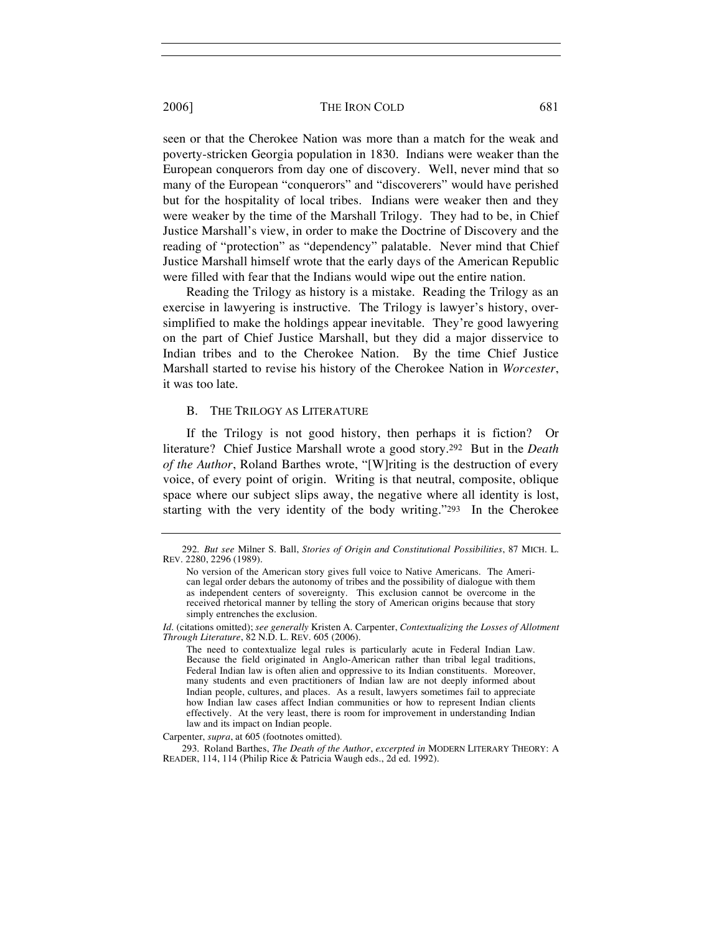seen or that the Cherokee Nation was more than a match for the weak and poverty-stricken Georgia population in 1830. Indians were weaker than the European conquerors from day one of discovery. Well, never mind that so many of the European "conquerors" and "discoverers" would have perished but for the hospitality of local tribes. Indians were weaker then and they were weaker by the time of the Marshall Trilogy. They had to be, in Chief Justice Marshall's view, in order to make the Doctrine of Discovery and the reading of "protection" as "dependency" palatable. Never mind that Chief Justice Marshall himself wrote that the early days of the American Republic were filled with fear that the Indians would wipe out the entire nation.

Reading the Trilogy as history is a mistake. Reading the Trilogy as an exercise in lawyering is instructive. The Trilogy is lawyer's history, oversimplified to make the holdings appear inevitable. They're good lawyering on the part of Chief Justice Marshall, but they did a major disservice to Indian tribes and to the Cherokee Nation. By the time Chief Justice Marshall started to revise his history of the Cherokee Nation in *Worcester*, it was too late.

#### B. THE TRILOGY AS LITERATURE

If the Trilogy is not good history, then perhaps it is fiction? Or literature? Chief Justice Marshall wrote a good story.292 But in the *Death of the Author*, Roland Barthes wrote, "[W]riting is the destruction of every voice, of every point of origin. Writing is that neutral, composite, oblique space where our subject slips away, the negative where all identity is lost, starting with the very identity of the body writing."293 In the Cherokee

*Id.* (citations omitted); *see generally* Kristen A. Carpenter, *Contextualizing the Losses of Allotment Through Literature*, 82 N.D. L. REV. 605 (2006).

Carpenter, *supra*, at 605 (footnotes omitted).

293. Roland Barthes, *The Death of the Author*, *excerpted in* MODERN LITERARY THEORY: A READER, 114, 114 (Philip Rice & Patricia Waugh eds., 2d ed. 1992).

<sup>292</sup>*. But see* Milner S. Ball, *Stories of Origin and Constitutional Possibilities*, 87 MICH. L. REV. 2280, 2296 (1989).

No version of the American story gives full voice to Native Americans. The American legal order debars the autonomy of tribes and the possibility of dialogue with them as independent centers of sovereignty. This exclusion cannot be overcome in the received rhetorical manner by telling the story of American origins because that story simply entrenches the exclusion.

The need to contextualize legal rules is particularly acute in Federal Indian Law. Because the field originated in Anglo-American rather than tribal legal traditions, Federal Indian law is often alien and oppressive to its Indian constituents. Moreover, many students and even practitioners of Indian law are not deeply informed about Indian people, cultures, and places. As a result, lawyers sometimes fail to appreciate how Indian law cases affect Indian communities or how to represent Indian clients effectively. At the very least, there is room for improvement in understanding Indian law and its impact on Indian people.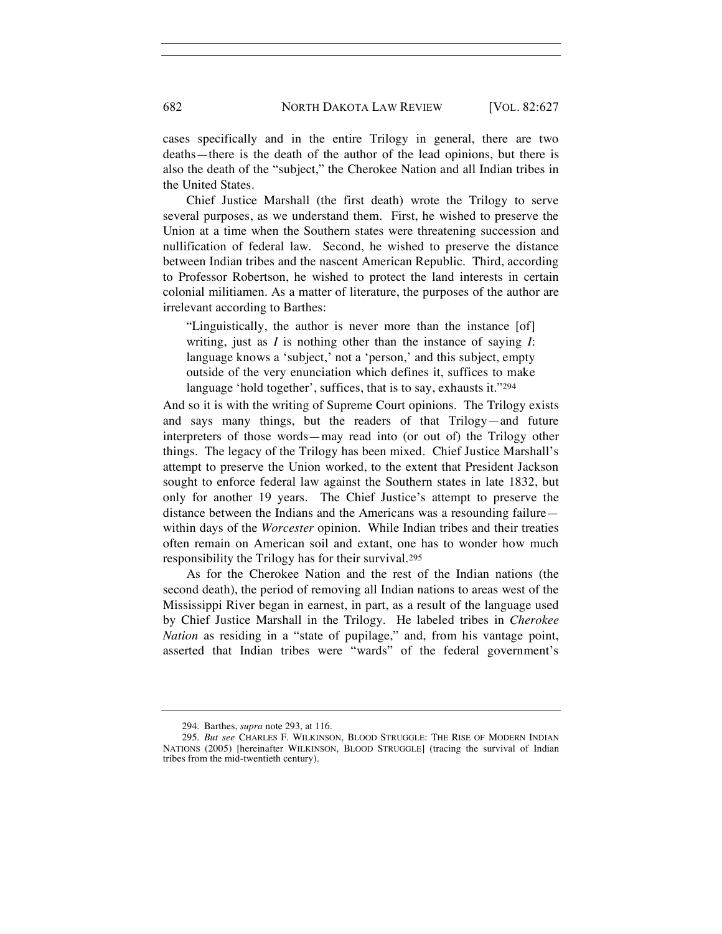cases specifically and in the entire Trilogy in general, there are two deaths—there is the death of the author of the lead opinions, but there is also the death of the "subject," the Cherokee Nation and all Indian tribes in the United States.

Chief Justice Marshall (the first death) wrote the Trilogy to serve several purposes, as we understand them. First, he wished to preserve the Union at a time when the Southern states were threatening succession and nullification of federal law. Second, he wished to preserve the distance between Indian tribes and the nascent American Republic. Third, according to Professor Robertson, he wished to protect the land interests in certain colonial militiamen. As a matter of literature, the purposes of the author are irrelevant according to Barthes:

"Linguistically, the author is never more than the instance [of] writing, just as *I* is nothing other than the instance of saying *I*: language knows a 'subject,' not a 'person,' and this subject, empty outside of the very enunciation which defines it, suffices to make language 'hold together', suffices, that is to say, exhausts it."294

And so it is with the writing of Supreme Court opinions. The Trilogy exists and says many things, but the readers of that Trilogy—and future interpreters of those words—may read into (or out of) the Trilogy other things. The legacy of the Trilogy has been mixed. Chief Justice Marshall's attempt to preserve the Union worked, to the extent that President Jackson sought to enforce federal law against the Southern states in late 1832, but only for another 19 years. The Chief Justice's attempt to preserve the distance between the Indians and the Americans was a resounding failure within days of the *Worcester* opinion. While Indian tribes and their treaties often remain on American soil and extant, one has to wonder how much responsibility the Trilogy has for their survival.295

As for the Cherokee Nation and the rest of the Indian nations (the second death), the period of removing all Indian nations to areas west of the Mississippi River began in earnest, in part, as a result of the language used by Chief Justice Marshall in the Trilogy. He labeled tribes in *Cherokee Nation* as residing in a "state of pupilage," and, from his vantage point, asserted that Indian tribes were "wards" of the federal government's

<sup>294.</sup> Barthes, *supra* note 293, at 116.

<sup>295</sup>*. But see* CHARLES F. WILKINSON, BLOOD STRUGGLE: THE RISE OF MODERN INDIAN NATIONS (2005) [hereinafter WILKINSON, BLOOD STRUGGLE] (tracing the survival of Indian tribes from the mid-twentieth century).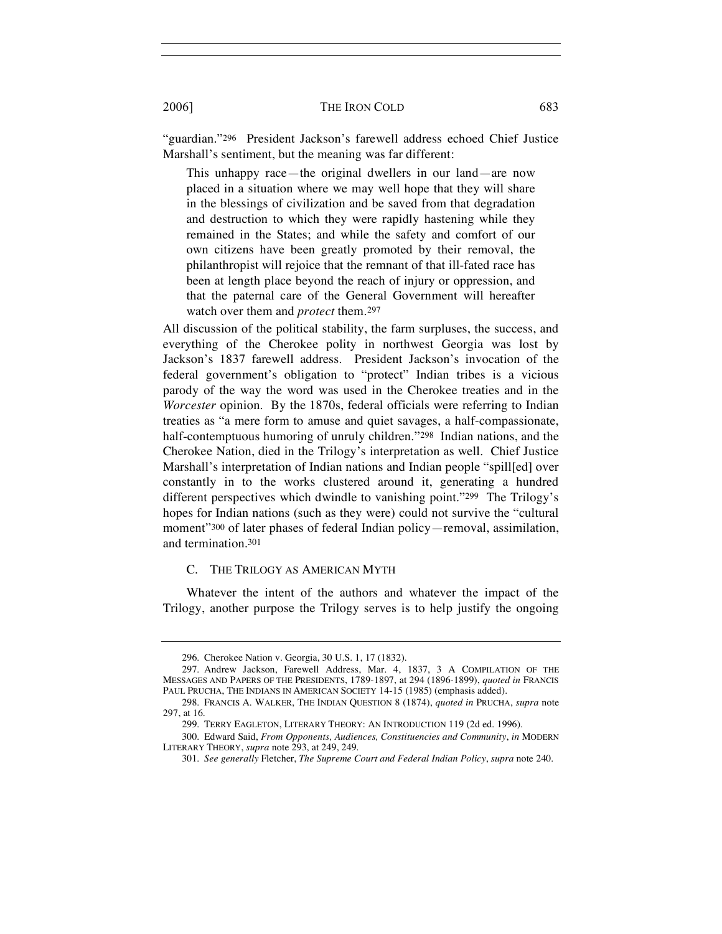"guardian."296 President Jackson's farewell address echoed Chief Justice Marshall's sentiment, but the meaning was far different:

This unhappy race—the original dwellers in our land—are now placed in a situation where we may well hope that they will share in the blessings of civilization and be saved from that degradation and destruction to which they were rapidly hastening while they remained in the States; and while the safety and comfort of our own citizens have been greatly promoted by their removal, the philanthropist will rejoice that the remnant of that ill-fated race has been at length place beyond the reach of injury or oppression, and that the paternal care of the General Government will hereafter watch over them and *protect* them.297

All discussion of the political stability, the farm surpluses, the success, and everything of the Cherokee polity in northwest Georgia was lost by Jackson's 1837 farewell address. President Jackson's invocation of the federal government's obligation to "protect" Indian tribes is a vicious parody of the way the word was used in the Cherokee treaties and in the *Worcester* opinion. By the 1870s, federal officials were referring to Indian treaties as "a mere form to amuse and quiet savages, a half-compassionate, half-contemptuous humoring of unruly children."298 Indian nations, and the Cherokee Nation, died in the Trilogy's interpretation as well. Chief Justice Marshall's interpretation of Indian nations and Indian people "spill[ed] over constantly in to the works clustered around it, generating a hundred different perspectives which dwindle to vanishing point."299 The Trilogy's hopes for Indian nations (such as they were) could not survive the "cultural moment"<sup>300</sup> of later phases of federal Indian policy—removal, assimilation, and termination.301

# C. THE TRILOGY AS AMERICAN MYTH

Whatever the intent of the authors and whatever the impact of the Trilogy, another purpose the Trilogy serves is to help justify the ongoing

<sup>296</sup>*.* Cherokee Nation v. Georgia, 30 U.S. 1, 17 (1832).

<sup>297.</sup> Andrew Jackson, Farewell Address, Mar. 4, 1837, 3 A COMPILATION OF THE MESSAGES AND PAPERS OF THE PRESIDENTS, 1789-1897, at 294 (1896-1899), *quoted in* FRANCIS PAUL PRUCHA, THE INDIANS IN AMERICAN SOCIETY 14-15 (1985) (emphasis added).

<sup>298.</sup> FRANCIS A. WALKER, THE INDIAN QUESTION 8 (1874), *quoted in* PRUCHA, *supra* note 297, at 16.

<sup>299.</sup> TERRY EAGLETON, LITERARY THEORY: AN INTRODUCTION 119 (2d ed. 1996).

<sup>300.</sup> Edward Said, *From Opponents, Audiences, Constituencies and Community*, *in* MODERN LITERARY THEORY, *supra* note 293, at 249, 249.

<sup>301</sup>*. See generally* Fletcher, *The Supreme Court and Federal Indian Policy*, *supra* note 240.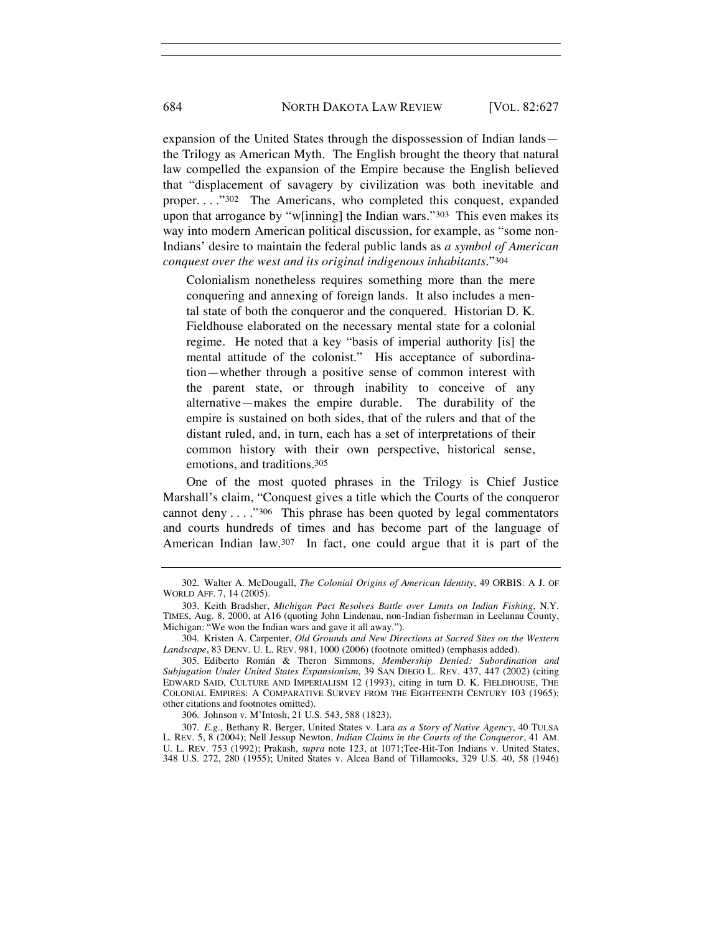expansion of the United States through the dispossession of Indian lands the Trilogy as American Myth. The English brought the theory that natural law compelled the expansion of the Empire because the English believed that "displacement of savagery by civilization was both inevitable and proper. . . ."302 The Americans, who completed this conquest, expanded upon that arrogance by "w[inning] the Indian wars."303 This even makes its way into modern American political discussion, for example, as "some non-Indians' desire to maintain the federal public lands as *a symbol of American conquest over the west and its original indigenous inhabitants*."304

Colonialism nonetheless requires something more than the mere conquering and annexing of foreign lands. It also includes a mental state of both the conqueror and the conquered. Historian D. K. Fieldhouse elaborated on the necessary mental state for a colonial regime. He noted that a key "basis of imperial authority [is] the mental attitude of the colonist." His acceptance of subordination—whether through a positive sense of common interest with the parent state, or through inability to conceive of any alternative—makes the empire durable. The durability of the empire is sustained on both sides, that of the rulers and that of the distant ruled, and, in turn, each has a set of interpretations of their common history with their own perspective, historical sense, emotions, and traditions.305

One of the most quoted phrases in the Trilogy is Chief Justice Marshall's claim, "Conquest gives a title which the Courts of the conqueror cannot deny . . . ."306 This phrase has been quoted by legal commentators and courts hundreds of times and has become part of the language of American Indian law.307 In fact, one could argue that it is part of the

306*.* Johnson v. M'Intosh, 21 U.S. 543, 588 (1823).

<sup>302.</sup> Walter A. McDougall, *The Colonial Origins of American Identity*, 49 ORBIS: A J. OF WORLD AFF. 7, 14 (2005).

<sup>303.</sup> Keith Bradsher, *Michigan Pact Resolves Battle over Limits on Indian Fishing*, N.Y. TIMES, Aug. 8, 2000, at A16 (quoting John Lindenau, non-Indian fisherman in Leelanau County, Michigan: "We won the Indian wars and gave it all away.").

<sup>304.</sup> Kristen A. Carpenter, *Old Grounds and New Directions at Sacred Sites on the Western Landscape*, 83 DENV. U. L. REV. 981, 1000 (2006) (footnote omitted) (emphasis added).

<sup>305.</sup> Ediberto Román & Theron Simmons, *Membership Denied: Subordination and Subjugation Under United States Expansionism*, 39 SAN DIEGO L. REV. 437, 447 (2002) (citing EDWARD SAID, CULTURE AND IMPERIALISM 12 (1993), citing in turn D. K. FIELDHOUSE, THE COLONIAL EMPIRES: A COMPARATIVE SURVEY FROM THE EIGHTEENTH CENTURY 103 (1965); other citations and footnotes omitted).

<sup>307</sup>*. E.g.*, Bethany R. Berger, United States v. Lara *as a Story of Native Agency*, 40 TULSA L. REV. 5, 8 (2004); Nell Jessup Newton, *Indian Claims in the Courts of the Conqueror*, 41 AM. U. L. REV. 753 (1992); Prakash, *supra* note 123, at 1071;Tee-Hit-Ton Indians v. United States, 348 U.S. 272, 280 (1955); United States v. Alcea Band of Tillamooks, 329 U.S. 40, 58 (1946)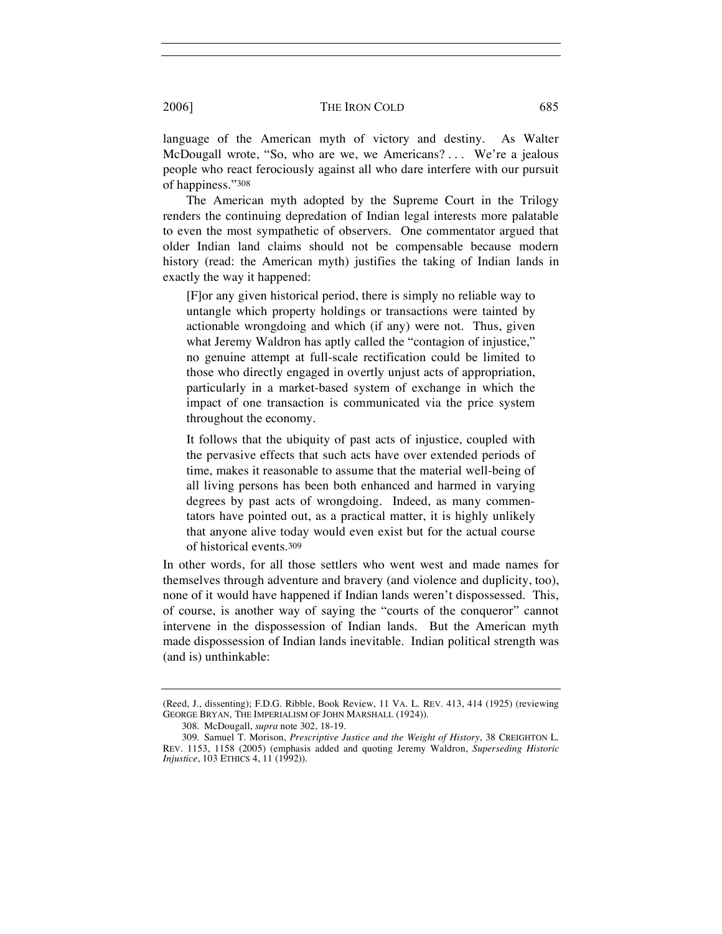language of the American myth of victory and destiny. As Walter McDougall wrote, "So, who are we, we Americans?... We're a jealous people who react ferociously against all who dare interfere with our pursuit of happiness."308

The American myth adopted by the Supreme Court in the Trilogy renders the continuing depredation of Indian legal interests more palatable to even the most sympathetic of observers. One commentator argued that older Indian land claims should not be compensable because modern history (read: the American myth) justifies the taking of Indian lands in exactly the way it happened:

[F]or any given historical period, there is simply no reliable way to untangle which property holdings or transactions were tainted by actionable wrongdoing and which (if any) were not. Thus, given what Jeremy Waldron has aptly called the "contagion of injustice," no genuine attempt at full-scale rectification could be limited to those who directly engaged in overtly unjust acts of appropriation, particularly in a market-based system of exchange in which the impact of one transaction is communicated via the price system throughout the economy.

It follows that the ubiquity of past acts of injustice, coupled with the pervasive effects that such acts have over extended periods of time, makes it reasonable to assume that the material well-being of all living persons has been both enhanced and harmed in varying degrees by past acts of wrongdoing. Indeed, as many commentators have pointed out, as a practical matter, it is highly unlikely that anyone alive today would even exist but for the actual course of historical events.309

In other words, for all those settlers who went west and made names for themselves through adventure and bravery (and violence and duplicity, too), none of it would have happened if Indian lands weren't dispossessed. This, of course, is another way of saying the "courts of the conqueror" cannot intervene in the dispossession of Indian lands. But the American myth made dispossession of Indian lands inevitable. Indian political strength was (and is) unthinkable:

<sup>(</sup>Reed, J., dissenting); F.D.G. Ribble, Book Review, 11 VA. L. REV. 413, 414 (1925) (reviewing GEORGE BRYAN, THE IMPERIALISM OF JOHN MARSHALL (1924)).

<sup>308.</sup> McDougall, *supra* note 302, 18-19.

<sup>309.</sup> Samuel T. Morison, *Prescriptive Justice and the Weight of History*, 38 CREIGHTON L. REV. 1153, 1158 (2005) (emphasis added and quoting Jeremy Waldron, *Superseding Historic Injustice*, 103 ETHICS 4, 11 (1992)).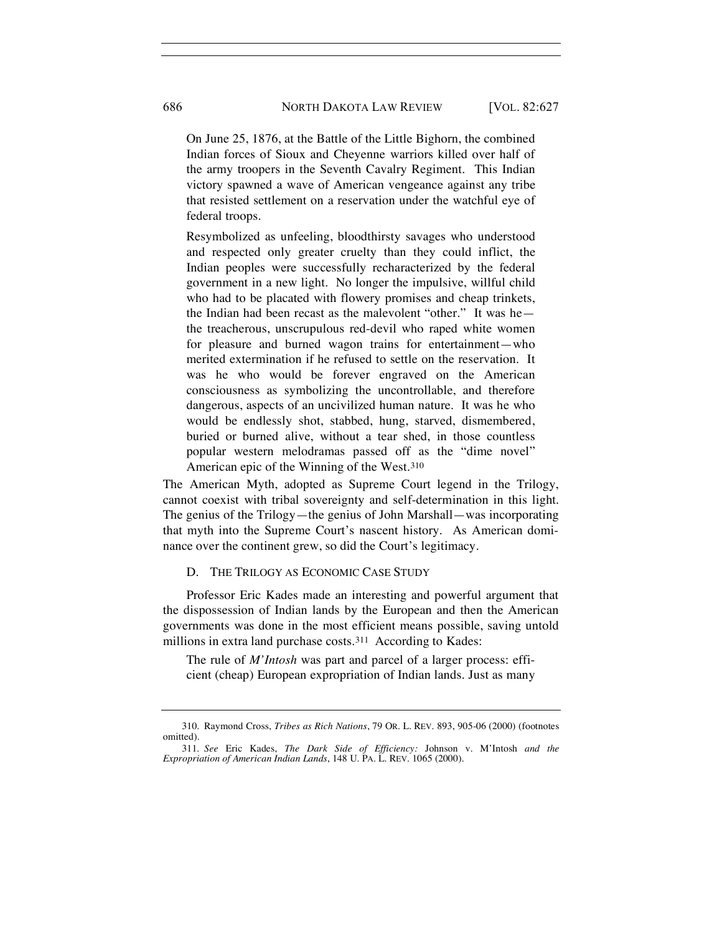On June 25, 1876, at the Battle of the Little Bighorn, the combined Indian forces of Sioux and Cheyenne warriors killed over half of the army troopers in the Seventh Cavalry Regiment. This Indian victory spawned a wave of American vengeance against any tribe that resisted settlement on a reservation under the watchful eye of federal troops.

Resymbolized as unfeeling, bloodthirsty savages who understood and respected only greater cruelty than they could inflict, the Indian peoples were successfully recharacterized by the federal government in a new light. No longer the impulsive, willful child who had to be placated with flowery promises and cheap trinkets, the Indian had been recast as the malevolent "other." It was he the treacherous, unscrupulous red-devil who raped white women for pleasure and burned wagon trains for entertainment—who merited extermination if he refused to settle on the reservation. It was he who would be forever engraved on the American consciousness as symbolizing the uncontrollable, and therefore dangerous, aspects of an uncivilized human nature. It was he who would be endlessly shot, stabbed, hung, starved, dismembered, buried or burned alive, without a tear shed, in those countless popular western melodramas passed off as the "dime novel" American epic of the Winning of the West.310

The American Myth, adopted as Supreme Court legend in the Trilogy, cannot coexist with tribal sovereignty and self-determination in this light. The genius of the Trilogy—the genius of John Marshall—was incorporating that myth into the Supreme Court's nascent history. As American dominance over the continent grew, so did the Court's legitimacy.

# D. THE TRILOGY AS ECONOMIC CASE STUDY

Professor Eric Kades made an interesting and powerful argument that the dispossession of Indian lands by the European and then the American governments was done in the most efficient means possible, saving untold millions in extra land purchase costs.<sup>311</sup> According to Kades:

The rule of *M'Intosh* was part and parcel of a larger process: efficient (cheap) European expropriation of Indian lands. Just as many

<sup>310.</sup> Raymond Cross, *Tribes as Rich Nations*, 79 OR. L. REV. 893, 905-06 (2000) (footnotes omitted).

<sup>311</sup>*. See* Eric Kades, *The Dark Side of Efficiency:* Johnson v. M'Intosh *and the Expropriation of American Indian Lands*, 148 U. PA. L. REV. 1065 (2000).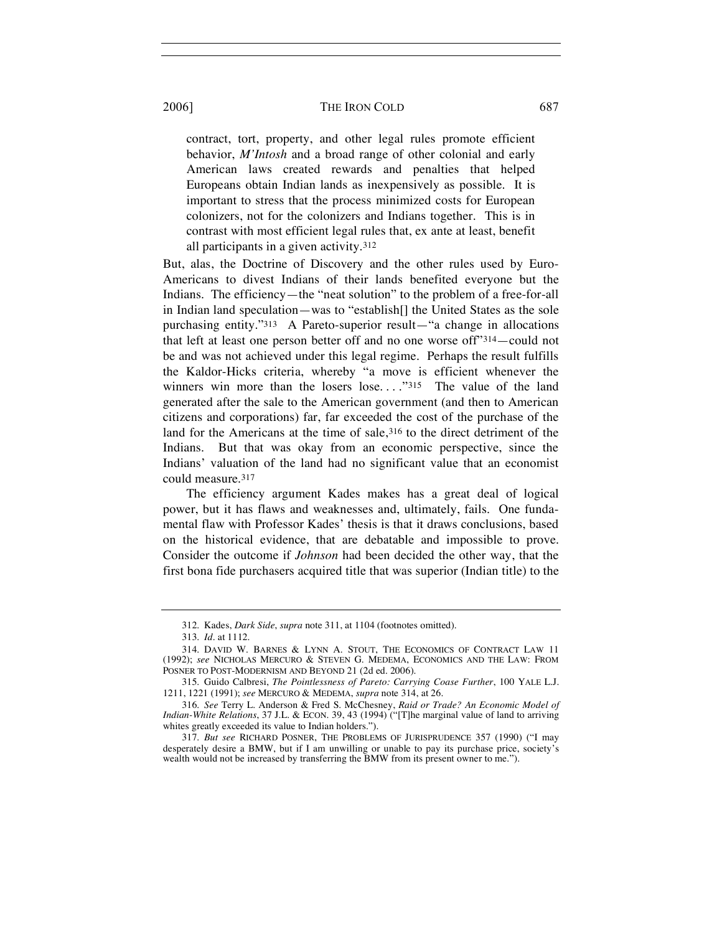contract, tort, property, and other legal rules promote efficient behavior, *M'Intosh* and a broad range of other colonial and early American laws created rewards and penalties that helped Europeans obtain Indian lands as inexpensively as possible. It is important to stress that the process minimized costs for European colonizers, not for the colonizers and Indians together. This is in contrast with most efficient legal rules that, ex ante at least, benefit all participants in a given activity.312

But, alas, the Doctrine of Discovery and the other rules used by Euro-Americans to divest Indians of their lands benefited everyone but the Indians. The efficiency—the "neat solution" to the problem of a free-for-all in Indian land speculation—was to "establish[] the United States as the sole purchasing entity."313 A Pareto-superior result—"a change in allocations that left at least one person better off and no one worse off"314—could not be and was not achieved under this legal regime. Perhaps the result fulfills the Kaldor-Hicks criteria, whereby "a move is efficient whenever the winners win more than the losers lose...."<sup>315</sup> The value of the land generated after the sale to the American government (and then to American citizens and corporations) far, far exceeded the cost of the purchase of the land for the Americans at the time of sale,<sup>316</sup> to the direct detriment of the Indians. But that was okay from an economic perspective, since the Indians' valuation of the land had no significant value that an economist could measure.317

The efficiency argument Kades makes has a great deal of logical power, but it has flaws and weaknesses and, ultimately, fails. One fundamental flaw with Professor Kades' thesis is that it draws conclusions, based on the historical evidence, that are debatable and impossible to prove. Consider the outcome if *Johnson* had been decided the other way, that the first bona fide purchasers acquired title that was superior (Indian title) to the

<sup>312.</sup> Kades, *Dark Side*, *supra* note 311, at 1104 (footnotes omitted).

<sup>313</sup>*. Id.* at 1112.

<sup>314.</sup> DAVID W. BARNES & LYNN A. STOUT, THE ECONOMICS OF CONTRACT LAW 11 (1992); *see* NICHOLAS MERCURO & STEVEN G. MEDEMA, ECONOMICS AND THE LAW: FROM POSNER TO POST-MODERNISM AND BEYOND 21 (2d ed. 2006).

<sup>315.</sup> Guido Calbresi, *The Pointlessness of Pareto: Carrying Coase Further*, 100 YALE L.J. 1211, 1221 (1991); *see* MERCURO & MEDEMA, *supra* note 314, at 26.

<sup>316</sup>*. See* Terry L. Anderson & Fred S. McChesney, *Raid or Trade? An Economic Model of Indian-White Relations*, 37 J.L. & ECON. 39, 43 (1994) ("[T]he marginal value of land to arriving whites greatly exceeded its value to Indian holders.").

<sup>317</sup>*. But see* RICHARD POSNER, THE PROBLEMS OF JURISPRUDENCE 357 (1990) ("I may desperately desire a BMW, but if I am unwilling or unable to pay its purchase price, society's wealth would not be increased by transferring the BMW from its present owner to me.").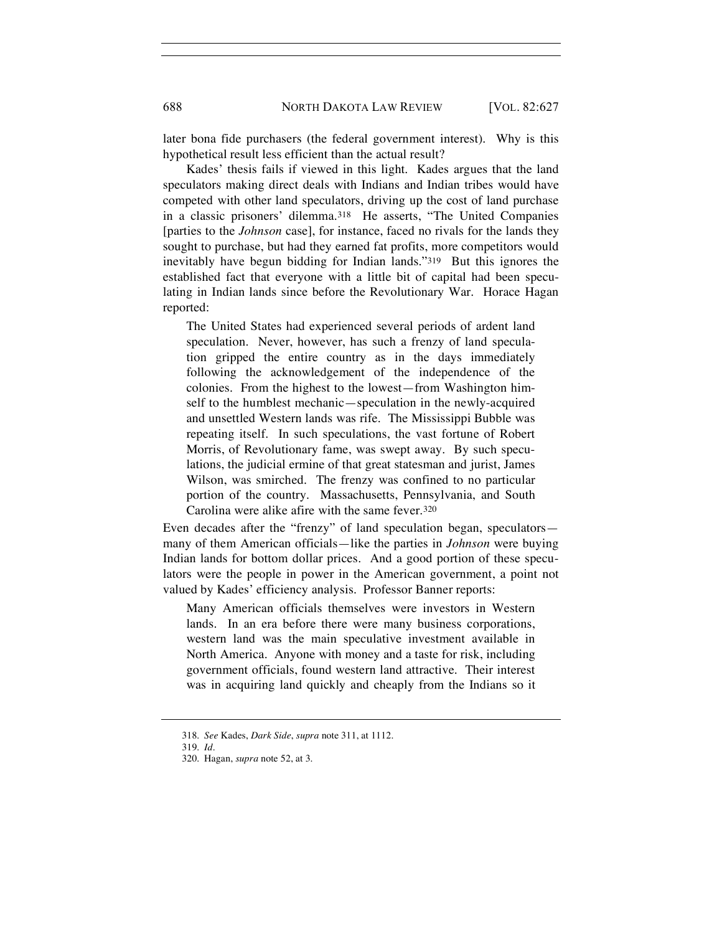later bona fide purchasers (the federal government interest). Why is this hypothetical result less efficient than the actual result?

Kades' thesis fails if viewed in this light. Kades argues that the land speculators making direct deals with Indians and Indian tribes would have competed with other land speculators, driving up the cost of land purchase in a classic prisoners' dilemma.318 He asserts, "The United Companies [parties to the *Johnson* case], for instance, faced no rivals for the lands they sought to purchase, but had they earned fat profits, more competitors would inevitably have begun bidding for Indian lands."319 But this ignores the established fact that everyone with a little bit of capital had been speculating in Indian lands since before the Revolutionary War. Horace Hagan reported:

The United States had experienced several periods of ardent land speculation. Never, however, has such a frenzy of land speculation gripped the entire country as in the days immediately following the acknowledgement of the independence of the colonies. From the highest to the lowest—from Washington himself to the humblest mechanic—speculation in the newly-acquired and unsettled Western lands was rife. The Mississippi Bubble was repeating itself. In such speculations, the vast fortune of Robert Morris, of Revolutionary fame, was swept away. By such speculations, the judicial ermine of that great statesman and jurist, James Wilson, was smirched. The frenzy was confined to no particular portion of the country. Massachusetts, Pennsylvania, and South Carolina were alike afire with the same fever.320

Even decades after the "frenzy" of land speculation began, speculators many of them American officials—like the parties in *Johnson* were buying Indian lands for bottom dollar prices. And a good portion of these speculators were the people in power in the American government, a point not valued by Kades' efficiency analysis. Professor Banner reports:

Many American officials themselves were investors in Western lands. In an era before there were many business corporations, western land was the main speculative investment available in North America. Anyone with money and a taste for risk, including government officials, found western land attractive. Their interest was in acquiring land quickly and cheaply from the Indians so it

<sup>318</sup>*. See* Kades, *Dark Side*, *supra* note 311, at 1112.

<sup>319.</sup> *Id*.

<sup>320.</sup> Hagan, *supra* note 52, at 3.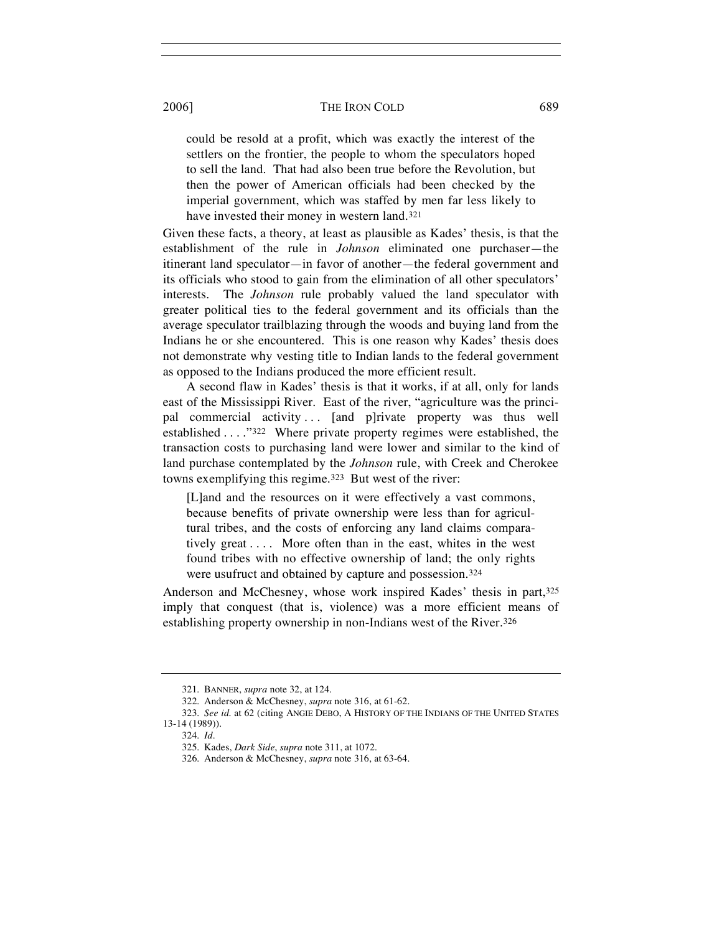could be resold at a profit, which was exactly the interest of the settlers on the frontier, the people to whom the speculators hoped to sell the land. That had also been true before the Revolution, but then the power of American officials had been checked by the imperial government, which was staffed by men far less likely to have invested their money in western land.321

Given these facts, a theory, at least as plausible as Kades' thesis, is that the establishment of the rule in *Johnson* eliminated one purchaser—the itinerant land speculator—in favor of another—the federal government and its officials who stood to gain from the elimination of all other speculators' interests. The *Johnson* rule probably valued the land speculator with greater political ties to the federal government and its officials than the average speculator trailblazing through the woods and buying land from the Indians he or she encountered. This is one reason why Kades' thesis does not demonstrate why vesting title to Indian lands to the federal government as opposed to the Indians produced the more efficient result.

A second flaw in Kades' thesis is that it works, if at all, only for lands east of the Mississippi River. East of the river, "agriculture was the principal commercial activity ... [and p]rivate property was thus well established . . . ."322 Where private property regimes were established, the transaction costs to purchasing land were lower and similar to the kind of land purchase contemplated by the *Johnson* rule, with Creek and Cherokee towns exemplifying this regime.323 But west of the river:

[L]and and the resources on it were effectively a vast commons, because benefits of private ownership were less than for agricultural tribes, and the costs of enforcing any land claims comparatively great .... More often than in the east, whites in the west found tribes with no effective ownership of land; the only rights were usufruct and obtained by capture and possession.324

Anderson and McChesney, whose work inspired Kades' thesis in part,325 imply that conquest (that is, violence) was a more efficient means of establishing property ownership in non-Indians west of the River.326

<sup>321.</sup> BANNER, *supra* note 32, at 124.

<sup>322.</sup> Anderson & McChesney, *supra* note 316, at 61-62.

<sup>323</sup>*. See id*. at 62 (citing ANGIE DEBO, A HISTORY OF THE INDIANS OF THE UNITED STATES 13-14 (1989)).

<sup>324</sup>*. Id.*

<sup>325.</sup> Kades, *Dark Side*, *supra* note 311, at 1072.

<sup>326.</sup> Anderson & McChesney, *supra* note 316, at 63-64.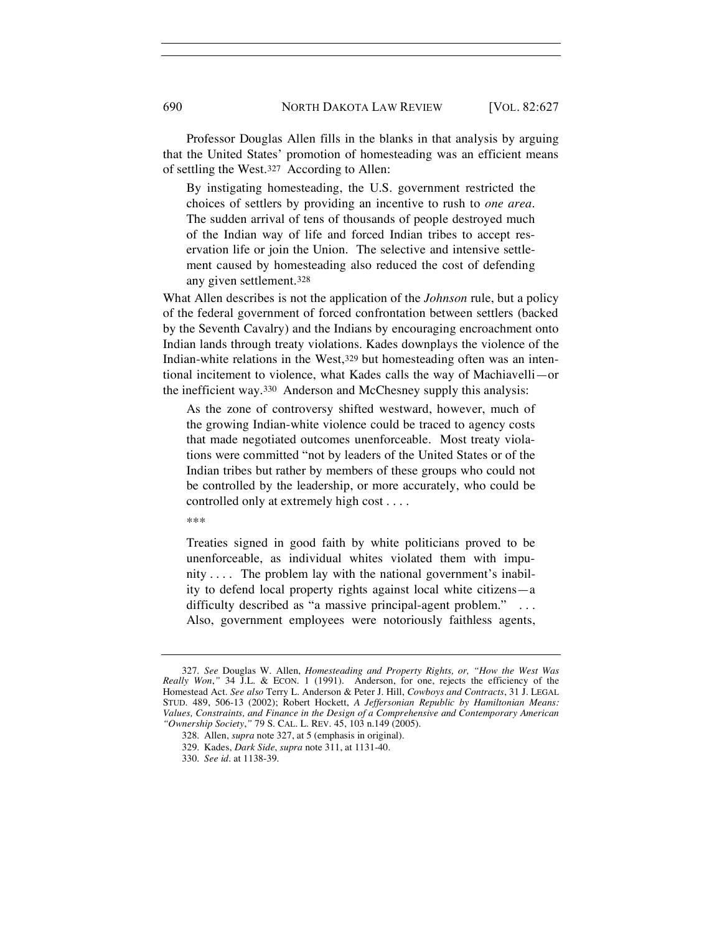Professor Douglas Allen fills in the blanks in that analysis by arguing that the United States' promotion of homesteading was an efficient means of settling the West.327 According to Allen:

By instigating homesteading, the U.S. government restricted the choices of settlers by providing an incentive to rush to *one area*. The sudden arrival of tens of thousands of people destroyed much of the Indian way of life and forced Indian tribes to accept reservation life or join the Union. The selective and intensive settlement caused by homesteading also reduced the cost of defending any given settlement.328

What Allen describes is not the application of the *Johnson* rule, but a policy of the federal government of forced confrontation between settlers (backed by the Seventh Cavalry) and the Indians by encouraging encroachment onto Indian lands through treaty violations. Kades downplays the violence of the Indian-white relations in the West,329 but homesteading often was an intentional incitement to violence, what Kades calls the way of Machiavelli—or the inefficient way.330 Anderson and McChesney supply this analysis:

As the zone of controversy shifted westward, however, much of the growing Indian-white violence could be traced to agency costs that made negotiated outcomes unenforceable. Most treaty violations were committed "not by leaders of the United States or of the Indian tribes but rather by members of these groups who could not be controlled by the leadership, or more accurately, who could be controlled only at extremely high cost . . . .

\*\*\*

Treaties signed in good faith by white politicians proved to be unenforceable, as individual whites violated them with impunity  $\dots$ . The problem lay with the national government's inability to defend local property rights against local white citizens—a difficulty described as "a massive principal-agent problem." ... Also, government employees were notoriously faithless agents,

<sup>327</sup>*. See* Douglas W. Allen, *Homesteading and Property Rights, or, "How the West Was Really Won*,*"* 34 J.L. & ECON. 1 (1991). Anderson, for one, rejects the efficiency of the Homestead Act. *See also* Terry L. Anderson & Peter J. Hill, *Cowboys and Contracts*, 31 J. LEGAL STUD. 489, 506-13 (2002); Robert Hockett, *A Jeffersonian Republic by Hamiltonian Means: Values, Constraints, and Finance in the Design of a Comprehensive and Contemporary American "Ownership Society*,*"* 79 S. CAL. L. REV. 45, 103 n.149 (2005).

<sup>328.</sup> Allen, *supra* note 327, at 5 (emphasis in original).

<sup>329.</sup> Kades, *Dark Side*, *supra* note 311, at 1131-40.

<sup>330</sup>*. See id.* at 1138-39.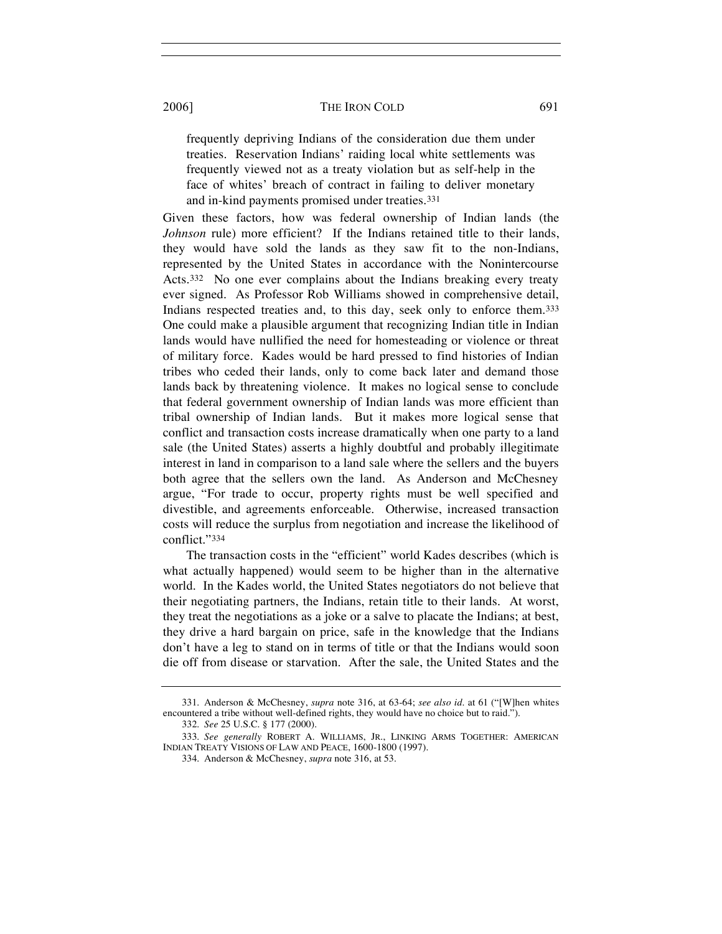frequently depriving Indians of the consideration due them under treaties. Reservation Indians' raiding local white settlements was frequently viewed not as a treaty violation but as self-help in the face of whites' breach of contract in failing to deliver monetary and in-kind payments promised under treaties.331

Given these factors, how was federal ownership of Indian lands (the *Johnson* rule) more efficient? If the Indians retained title to their lands, they would have sold the lands as they saw fit to the non-Indians, represented by the United States in accordance with the Nonintercourse Acts.332 No one ever complains about the Indians breaking every treaty ever signed. As Professor Rob Williams showed in comprehensive detail, Indians respected treaties and, to this day, seek only to enforce them.333 One could make a plausible argument that recognizing Indian title in Indian lands would have nullified the need for homesteading or violence or threat of military force. Kades would be hard pressed to find histories of Indian tribes who ceded their lands, only to come back later and demand those lands back by threatening violence. It makes no logical sense to conclude that federal government ownership of Indian lands was more efficient than tribal ownership of Indian lands. But it makes more logical sense that conflict and transaction costs increase dramatically when one party to a land sale (the United States) asserts a highly doubtful and probably illegitimate interest in land in comparison to a land sale where the sellers and the buyers both agree that the sellers own the land. As Anderson and McChesney argue, "For trade to occur, property rights must be well specified and divestible, and agreements enforceable. Otherwise, increased transaction costs will reduce the surplus from negotiation and increase the likelihood of conflict."334

The transaction costs in the "efficient" world Kades describes (which is what actually happened) would seem to be higher than in the alternative world. In the Kades world, the United States negotiators do not believe that their negotiating partners, the Indians, retain title to their lands. At worst, they treat the negotiations as a joke or a salve to placate the Indians; at best, they drive a hard bargain on price, safe in the knowledge that the Indians don't have a leg to stand on in terms of title or that the Indians would soon die off from disease or starvation. After the sale, the United States and the

<sup>331.</sup> Anderson & McChesney, *supra* note 316, at 63-64; *see also id*. at 61 ("[W]hen whites encountered a tribe without well-defined rights, they would have no choice but to raid.").

<sup>332</sup>*. See* 25 U.S.C. § 177 (2000).

<sup>333</sup>*. See generally* ROBERT A. WILLIAMS, JR., LINKING ARMS TOGETHER: AMERICAN INDIAN TREATY VISIONS OF LAW AND PEACE, 1600-1800 (1997).

<sup>334.</sup> Anderson & McChesney, *supra* note 316, at 53.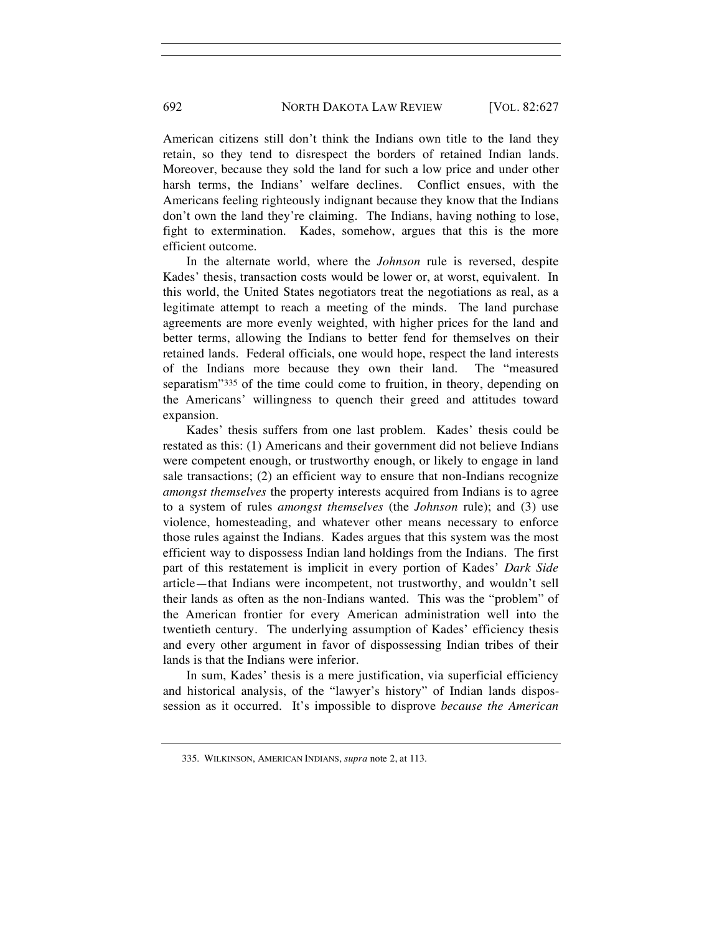American citizens still don't think the Indians own title to the land they retain, so they tend to disrespect the borders of retained Indian lands. Moreover, because they sold the land for such a low price and under other harsh terms, the Indians' welfare declines. Conflict ensues, with the Americans feeling righteously indignant because they know that the Indians don't own the land they're claiming. The Indians, having nothing to lose, fight to extermination. Kades, somehow, argues that this is the more efficient outcome.

In the alternate world, where the *Johnson* rule is reversed, despite Kades' thesis, transaction costs would be lower or, at worst, equivalent. In this world, the United States negotiators treat the negotiations as real, as a legitimate attempt to reach a meeting of the minds. The land purchase agreements are more evenly weighted, with higher prices for the land and better terms, allowing the Indians to better fend for themselves on their retained lands. Federal officials, one would hope, respect the land interests of the Indians more because they own their land. The "measured separatism"<sup>335</sup> of the time could come to fruition, in theory, depending on the Americans' willingness to quench their greed and attitudes toward expansion.

Kades' thesis suffers from one last problem. Kades' thesis could be restated as this: (1) Americans and their government did not believe Indians were competent enough, or trustworthy enough, or likely to engage in land sale transactions; (2) an efficient way to ensure that non-Indians recognize *amongst themselves* the property interests acquired from Indians is to agree to a system of rules *amongst themselves* (the *Johnson* rule); and (3) use violence, homesteading, and whatever other means necessary to enforce those rules against the Indians. Kades argues that this system was the most efficient way to dispossess Indian land holdings from the Indians. The first part of this restatement is implicit in every portion of Kades' *Dark Side* article—that Indians were incompetent, not trustworthy, and wouldn't sell their lands as often as the non-Indians wanted. This was the "problem" of the American frontier for every American administration well into the twentieth century. The underlying assumption of Kades' efficiency thesis and every other argument in favor of dispossessing Indian tribes of their lands is that the Indians were inferior.

In sum, Kades' thesis is a mere justification, via superficial efficiency and historical analysis, of the "lawyer's history" of Indian lands dispossession as it occurred. It's impossible to disprove *because the American* 

<sup>335.</sup> WILKINSON, AMERICAN INDIANS, *supra* note 2, at 113.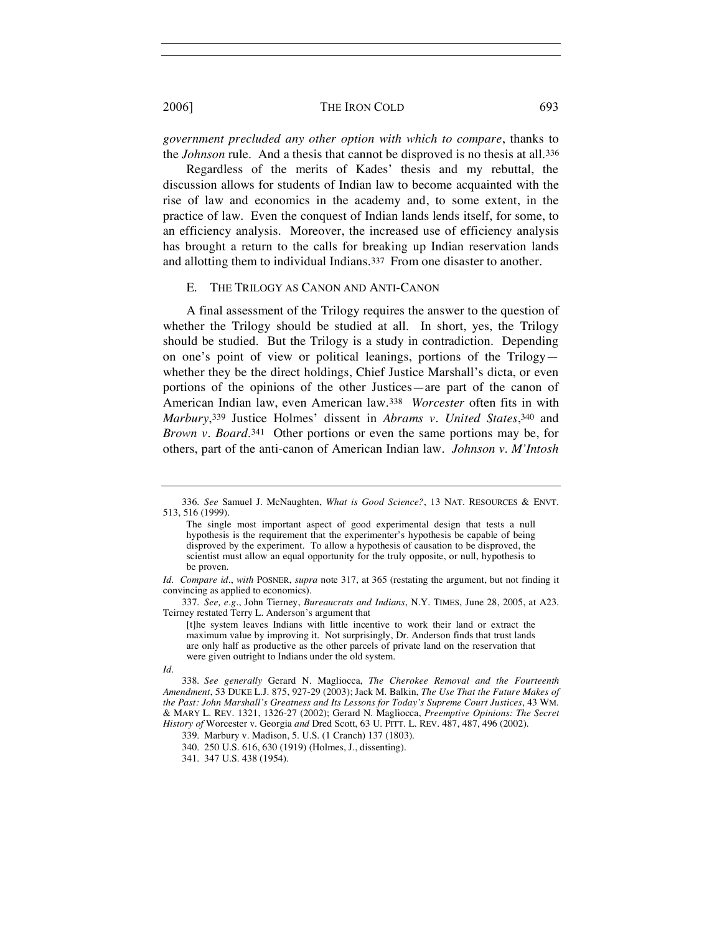*government precluded any other option with which to compare*, thanks to the *Johnson* rule. And a thesis that cannot be disproved is no thesis at all.336

Regardless of the merits of Kades' thesis and my rebuttal, the discussion allows for students of Indian law to become acquainted with the rise of law and economics in the academy and, to some extent, in the practice of law. Even the conquest of Indian lands lends itself, for some, to an efficiency analysis. Moreover, the increased use of efficiency analysis has brought a return to the calls for breaking up Indian reservation lands and allotting them to individual Indians.337 From one disaster to another.

## E. THE TRILOGY AS CANON AND ANTI-CANON

A final assessment of the Trilogy requires the answer to the question of whether the Trilogy should be studied at all. In short, yes, the Trilogy should be studied. But the Trilogy is a study in contradiction. Depending on one's point of view or political leanings, portions of the Trilogy whether they be the direct holdings, Chief Justice Marshall's dicta, or even portions of the opinions of the other Justices—are part of the canon of American Indian law, even American law.338 *Worcester* often fits in with *Marbury*,339 Justice Holmes' dissent in *Abrams v. United States*,340 and *Brown v. Board*.341 Other portions or even the same portions may be, for others, part of the anti-canon of American Indian law. *Johnson v. M'Intosh*

337*. See, e.g.*, John Tierney, *Bureaucrats and Indians*, N.Y. TIMES, June 28, 2005, at A23. Teirney restated Terry L. Anderson's argument that

[t]he system leaves Indians with little incentive to work their land or extract the maximum value by improving it. Not surprisingly, Dr. Anderson finds that trust lands are only half as productive as the other parcels of private land on the reservation that were given outright to Indians under the old system.

*Id.*

<sup>336</sup>*. See* Samuel J. McNaughten, *What is Good Science?*, 13 NAT. RESOURCES & ENVT. 513, 516 (1999).

The single most important aspect of good experimental design that tests a null hypothesis is the requirement that the experimenter's hypothesis be capable of being disproved by the experiment. To allow a hypothesis of causation to be disproved, the scientist must allow an equal opportunity for the truly opposite, or null, hypothesis to be proven.

*Id. Compare id.*, *with* POSNER, *supra* note 317, at 365 (restating the argument, but not finding it convincing as applied to economics).

<sup>338</sup>*. See generally* Gerard N. Magliocca, *The Cherokee Removal and the Fourteenth Amendment*, 53 DUKE L.J. 875, 927-29 (2003); Jack M. Balkin, *The Use That the Future Makes of the Past: John Marshall's Greatness and Its Lessons for Today's Supreme Court Justices*, 43 WM. & MARY L. REV. 1321, 1326-27 (2002); Gerard N. Magliocca, *Preemptive Opinions: The Secret History of* Worcester v. Georgia *and* Dred Scott, 63 U. PITT. L. REV. 487, 487, 496 (2002).

<sup>339.</sup> Marbury v. Madison, 5. U.S. (1 Cranch) 137 (1803).

<sup>340.</sup> 250 U.S. 616, 630 (1919) (Holmes, J., dissenting).

<sup>341.</sup> 347 U.S. 438 (1954).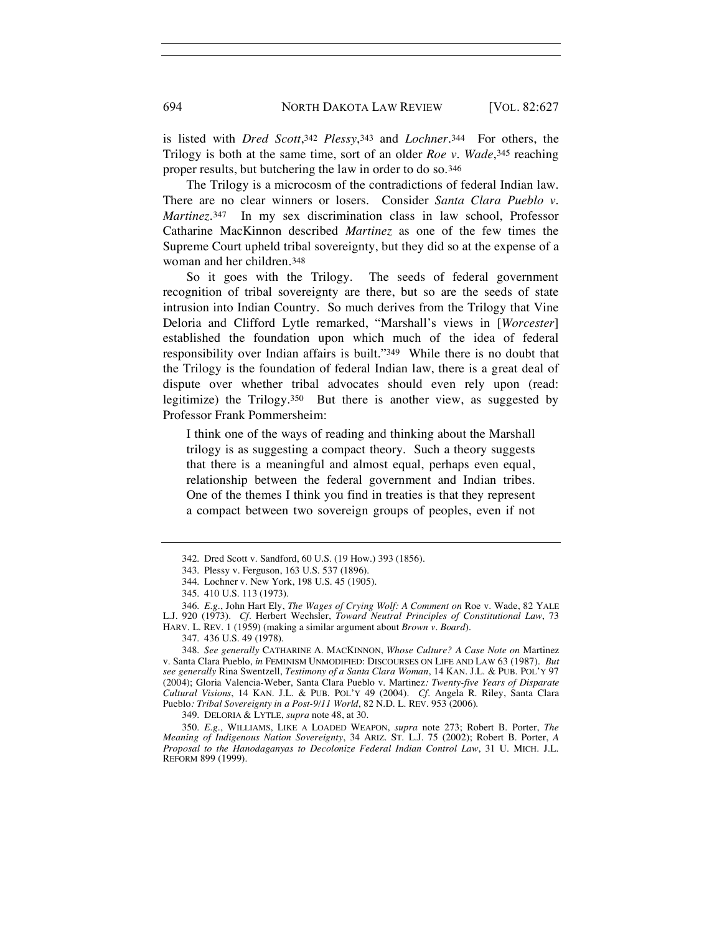is listed with *Dred Scott*,342 *Plessy*,343 and *Lochner*.344 For others, the Trilogy is both at the same time, sort of an older *Roe v. Wade*,345 reaching proper results, but butchering the law in order to do so.346

The Trilogy is a microcosm of the contradictions of federal Indian law. There are no clear winners or losers. Consider *Santa Clara Pueblo v. Martinez*.347 In my sex discrimination class in law school, Professor Catharine MacKinnon described *Martinez* as one of the few times the Supreme Court upheld tribal sovereignty, but they did so at the expense of a woman and her children.348

So it goes with the Trilogy. The seeds of federal government recognition of tribal sovereignty are there, but so are the seeds of state intrusion into Indian Country. So much derives from the Trilogy that Vine Deloria and Clifford Lytle remarked, "Marshall's views in [*Worcester*] established the foundation upon which much of the idea of federal responsibility over Indian affairs is built."349 While there is no doubt that the Trilogy is the foundation of federal Indian law, there is a great deal of dispute over whether tribal advocates should even rely upon (read: legitimize) the Trilogy.350 But there is another view, as suggested by Professor Frank Pommersheim:

I think one of the ways of reading and thinking about the Marshall trilogy is as suggesting a compact theory. Such a theory suggests that there is a meaningful and almost equal, perhaps even equal, relationship between the federal government and Indian tribes. One of the themes I think you find in treaties is that they represent a compact between two sovereign groups of peoples, even if not

349. DELORIA & LYTLE, *supra* note 48, at 30.

350*. E.g.*, WILLIAMS, LIKE A LOADED WEAPON, *supra* note 273; Robert B. Porter, *The Meaning of Indigenous Nation Sovereignty*, 34 ARIZ. ST. L.J. 75 (2002); Robert B. Porter, *A Proposal to the Hanodaganyas to Decolonize Federal Indian Control Law*, 31 U. MICH. J.L. REFORM 899 (1999).

<sup>342.</sup> Dred Scott v. Sandford, 60 U.S. (19 How.) 393 (1856).

<sup>343.</sup> Plessy v. Ferguson, 163 U.S. 537 (1896).

<sup>344.</sup> Lochner v. New York, 198 U.S. 45 (1905).

<sup>345.</sup> 410 U.S. 113 (1973).

<sup>346</sup>*. E.g.*, John Hart Ely, *The Wages of Crying Wolf: A Comment on* Roe v. Wade, 82 YALE L.J. 920 (1973). *Cf*. Herbert Wechsler, *Toward Neutral Principles of Constitutional Law*, 73 HARV. L. REV. 1 (1959) (making a similar argument about *Brown v. Board*).

<sup>347.</sup> 436 U.S. 49 (1978).

<sup>348</sup>*. See generally* CATHARINE A. MACKINNON, *Whose Culture? A Case Note on* Martinez v. Santa Clara Pueblo, *in* FEMINISM UNMODIFIED: DISCOURSES ON LIFE AND LAW 63 (1987). *But see generally* Rina Swentzell, *Testimony of a Santa Clara Woman*, 14 KAN. J.L. & PUB. POL'Y 97 (2004); Gloria Valencia-Weber, Santa Clara Pueblo v. Martinez*: Twenty-five Years of Disparate Cultural Visions*, 14 KAN. J.L. & PUB. POL'Y 49 (2004). *Cf*. Angela R. Riley, Santa Clara Pueblo*: Tribal Sovereignty in a Post-9/11 World*, 82 N.D. L. REV. 953 (2006).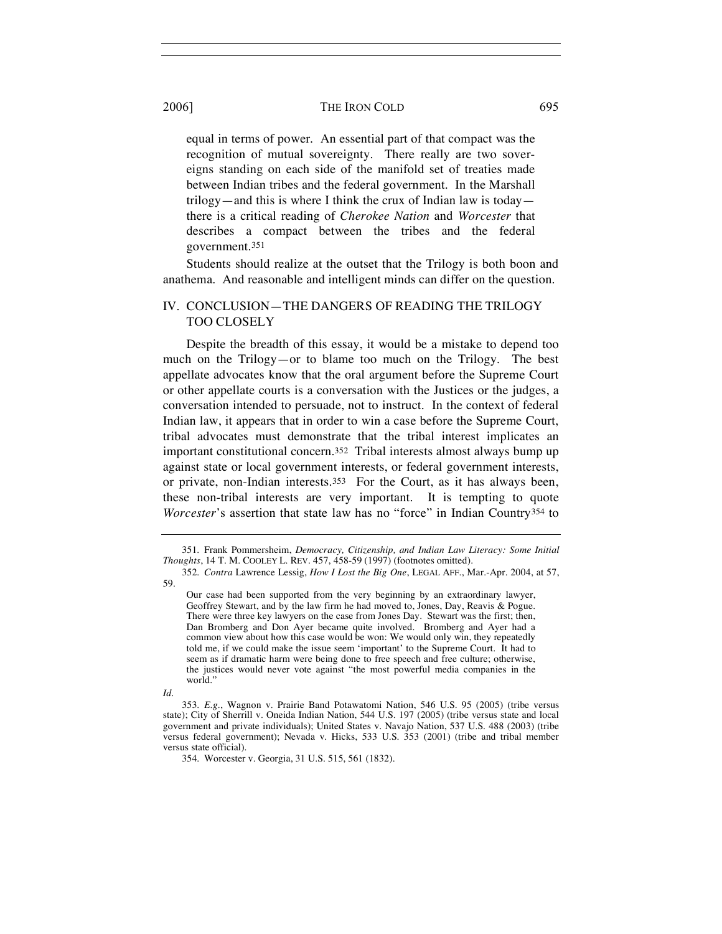equal in terms of power. An essential part of that compact was the recognition of mutual sovereignty. There really are two sovereigns standing on each side of the manifold set of treaties made between Indian tribes and the federal government. In the Marshall trilogy—and this is where I think the crux of Indian law is today there is a critical reading of *Cherokee Nation* and *Worcester* that describes a compact between the tribes and the federal government.351

Students should realize at the outset that the Trilogy is both boon and anathema. And reasonable and intelligent minds can differ on the question.

# IV. CONCLUSION—THE DANGERS OF READING THE TRILOGY TOO CLOSELY

Despite the breadth of this essay, it would be a mistake to depend too much on the Trilogy—or to blame too much on the Trilogy. The best appellate advocates know that the oral argument before the Supreme Court or other appellate courts is a conversation with the Justices or the judges, a conversation intended to persuade, not to instruct. In the context of federal Indian law, it appears that in order to win a case before the Supreme Court, tribal advocates must demonstrate that the tribal interest implicates an important constitutional concern.352 Tribal interests almost always bump up against state or local government interests, or federal government interests, or private, non-Indian interests.353 For the Court, as it has always been, these non-tribal interests are very important. It is tempting to quote *Worcester*'s assertion that state law has no "force" in Indian Country<sup>354</sup> to

*Id.*

<sup>351.</sup> Frank Pommersheim, *Democracy, Citizenship, and Indian Law Literacy: Some Initial Thoughts*, 14 T. M. COOLEY L. REV. 457, 458-59 (1997) (footnotes omitted).

<sup>352</sup>*. Contra* Lawrence Lessig, *How I Lost the Big One*, LEGAL AFF., Mar.-Apr. 2004, at 57, 59.

Our case had been supported from the very beginning by an extraordinary lawyer, Geoffrey Stewart, and by the law firm he had moved to, Jones, Day, Reavis & Pogue. There were three key lawyers on the case from Jones Day. Stewart was the first; then, Dan Bromberg and Don Ayer became quite involved. Bromberg and Ayer had a common view about how this case would be won: We would only win, they repeatedly told me, if we could make the issue seem 'important' to the Supreme Court. It had to seem as if dramatic harm were being done to free speech and free culture; otherwise, the justices would never vote against "the most powerful media companies in the world."

<sup>353</sup>*. E.g.*, Wagnon v. Prairie Band Potawatomi Nation, 546 U.S. 95 (2005) (tribe versus state); City of Sherrill v. Oneida Indian Nation, 544 U.S. 197 (2005) (tribe versus state and local government and private individuals); United States v. Navajo Nation, 537 U.S. 488 (2003) (tribe versus federal government); Nevada v. Hicks, 533 U.S. 353 (2001) (tribe and tribal member versus state official).

<sup>354</sup>*.* Worcester v. Georgia, 31 U.S. 515, 561 (1832).